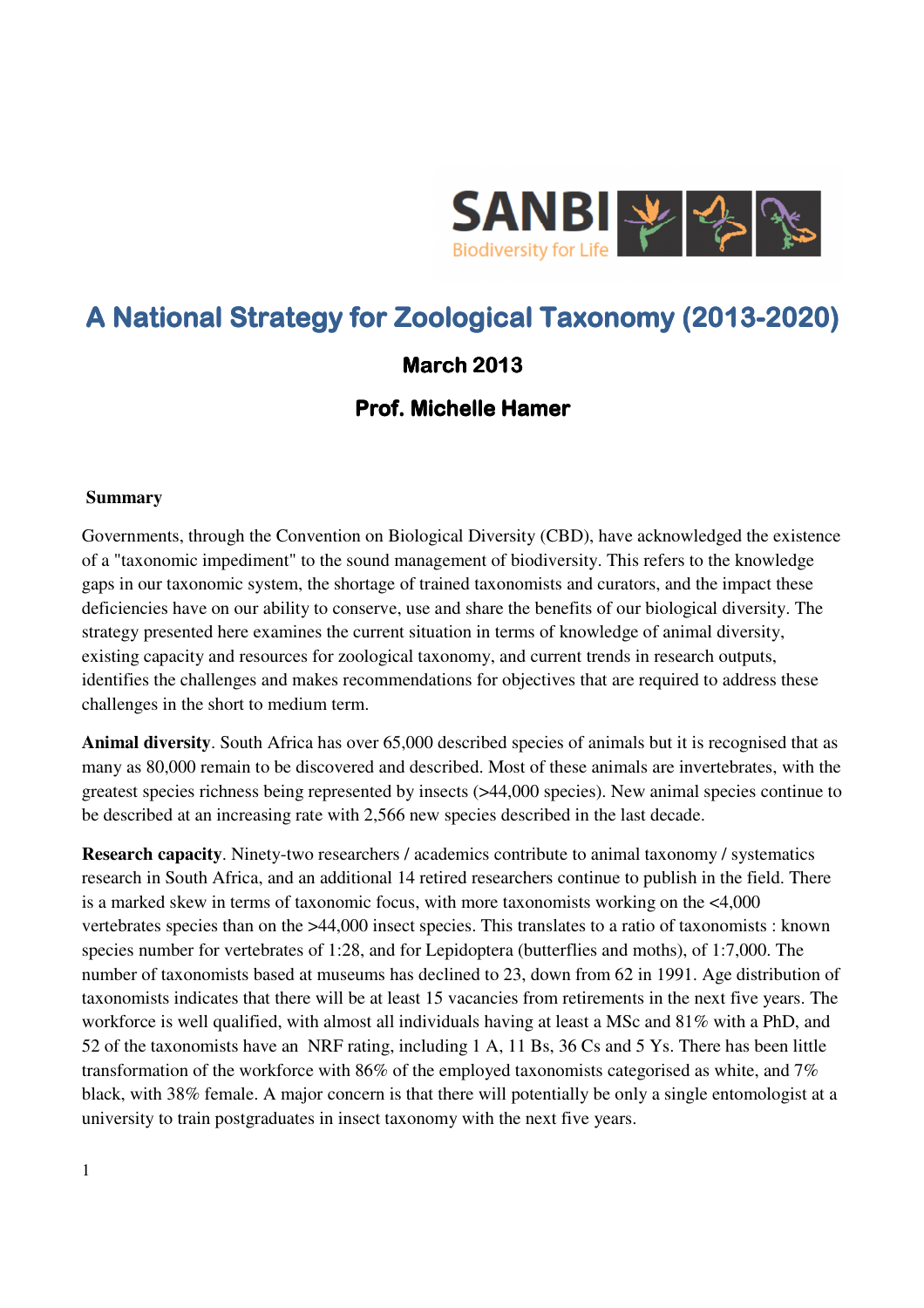

# A National Strategy for Zoological Taxonomy (2013-2020)

## **March 2013**

## Prof. Michelle Hamer

### **Summary**

Governments, through the Convention on Biological Diversity (CBD), have acknowledged the existence of a "taxonomic impediment" to the sound management of biodiversity. This refers to the knowledge gaps in our taxonomic system, the shortage of trained taxonomists and curators, and the impact these deficiencies have on our ability to conserve, use and share the benefits of our biological diversity. The strategy presented here examines the current situation in terms of knowledge of animal diversity, existing capacity and resources for zoological taxonomy, and current trends in research outputs, identifies the challenges and makes recommendations for objectives that are required to address these challenges in the short to medium term.

**Animal diversity**. South Africa has over 65,000 described species of animals but it is recognised that as many as 80,000 remain to be discovered and described. Most of these animals are invertebrates, with the greatest species richness being represented by insects (>44,000 species). New animal species continue to be described at an increasing rate with 2,566 new species described in the last decade.

**Research capacity**. Ninety-two researchers / academics contribute to animal taxonomy / systematics research in South Africa, and an additional 14 retired researchers continue to publish in the field. There is a marked skew in terms of taxonomic focus, with more taxonomists working on the <4,000 vertebrates species than on the >44,000 insect species. This translates to a ratio of taxonomists : known species number for vertebrates of 1:28, and for Lepidoptera (butterflies and moths), of 1:7,000. The number of taxonomists based at museums has declined to 23, down from 62 in 1991. Age distribution of taxonomists indicates that there will be at least 15 vacancies from retirements in the next five years. The workforce is well qualified, with almost all individuals having at least a MSc and 81% with a PhD, and 52 of the taxonomists have an NRF rating, including 1 A, 11 Bs, 36 Cs and 5 Ys. There has been little transformation of the workforce with 86% of the employed taxonomists categorised as white, and 7% black, with 38% female. A major concern is that there will potentially be only a single entomologist at a university to train postgraduates in insect taxonomy with the next five years.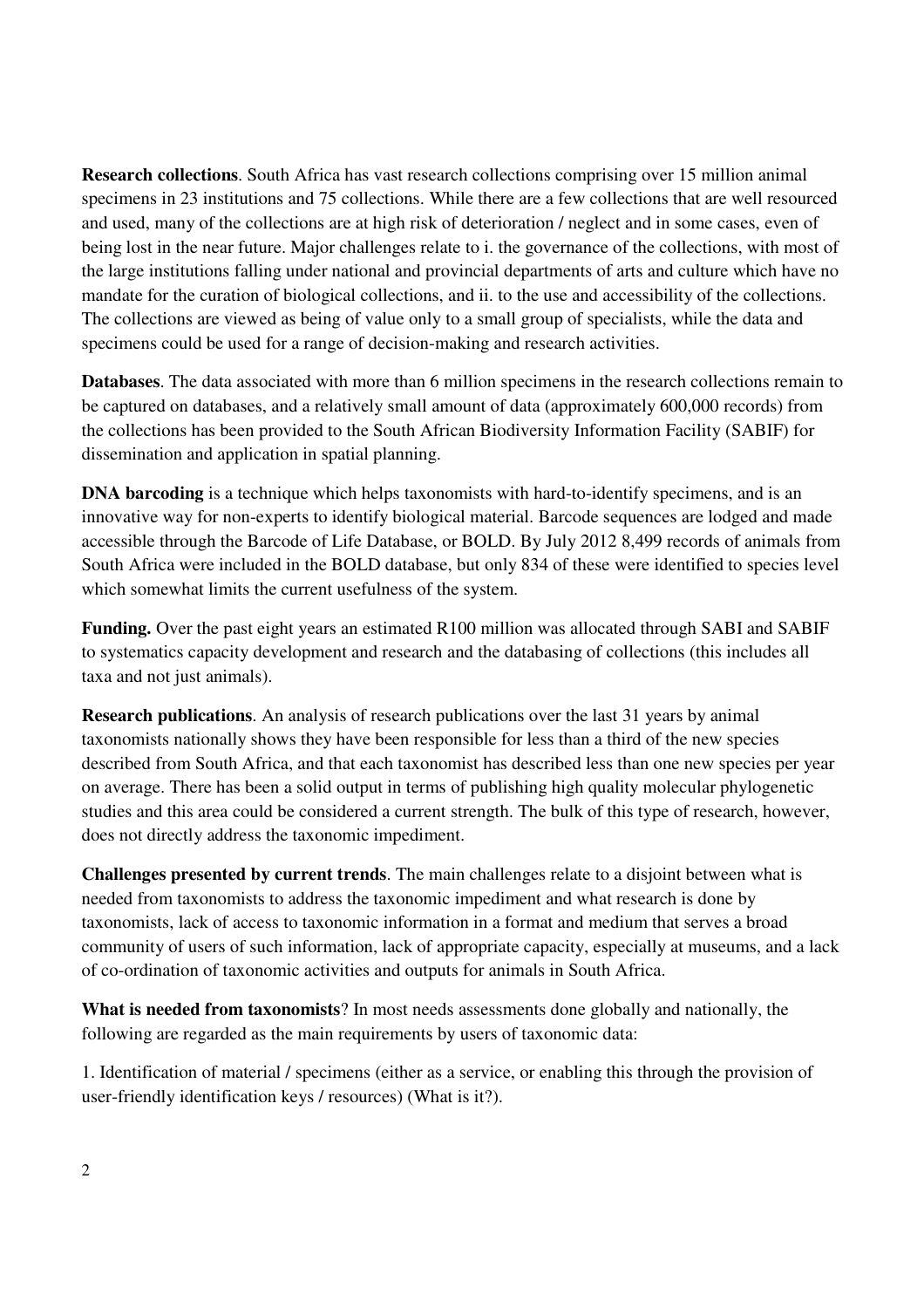**Research collections**. South Africa has vast research collections comprising over 15 million animal specimens in 23 institutions and 75 collections. While there are a few collections that are well resourced and used, many of the collections are at high risk of deterioration / neglect and in some cases, even of being lost in the near future. Major challenges relate to i. the governance of the collections, with most of the large institutions falling under national and provincial departments of arts and culture which have no mandate for the curation of biological collections, and ii. to the use and accessibility of the collections. The collections are viewed as being of value only to a small group of specialists, while the data and specimens could be used for a range of decision-making and research activities.

**Databases**. The data associated with more than 6 million specimens in the research collections remain to be captured on databases, and a relatively small amount of data (approximately 600,000 records) from the collections has been provided to the South African Biodiversity Information Facility (SABIF) for dissemination and application in spatial planning.

**DNA barcoding** is a technique which helps taxonomists with hard-to-identify specimens, and is an innovative way for non-experts to identify biological material. Barcode sequences are lodged and made accessible through the Barcode of Life Database, or BOLD. By July 2012 8,499 records of animals from South Africa were included in the BOLD database, but only 834 of these were identified to species level which somewhat limits the current usefulness of the system.

**Funding.** Over the past eight years an estimated R100 million was allocated through SABI and SABIF to systematics capacity development and research and the databasing of collections (this includes all taxa and not just animals).

**Research publications**. An analysis of research publications over the last 31 years by animal taxonomists nationally shows they have been responsible for less than a third of the new species described from South Africa, and that each taxonomist has described less than one new species per year on average. There has been a solid output in terms of publishing high quality molecular phylogenetic studies and this area could be considered a current strength. The bulk of this type of research, however, does not directly address the taxonomic impediment.

**Challenges presented by current trends**. The main challenges relate to a disjoint between what is needed from taxonomists to address the taxonomic impediment and what research is done by taxonomists, lack of access to taxonomic information in a format and medium that serves a broad community of users of such information, lack of appropriate capacity, especially at museums, and a lack of co-ordination of taxonomic activities and outputs for animals in South Africa.

**What is needed from taxonomists**? In most needs assessments done globally and nationally, the following are regarded as the main requirements by users of taxonomic data:

1. Identification of material / specimens (either as a service, or enabling this through the provision of user-friendly identification keys / resources) (What is it?).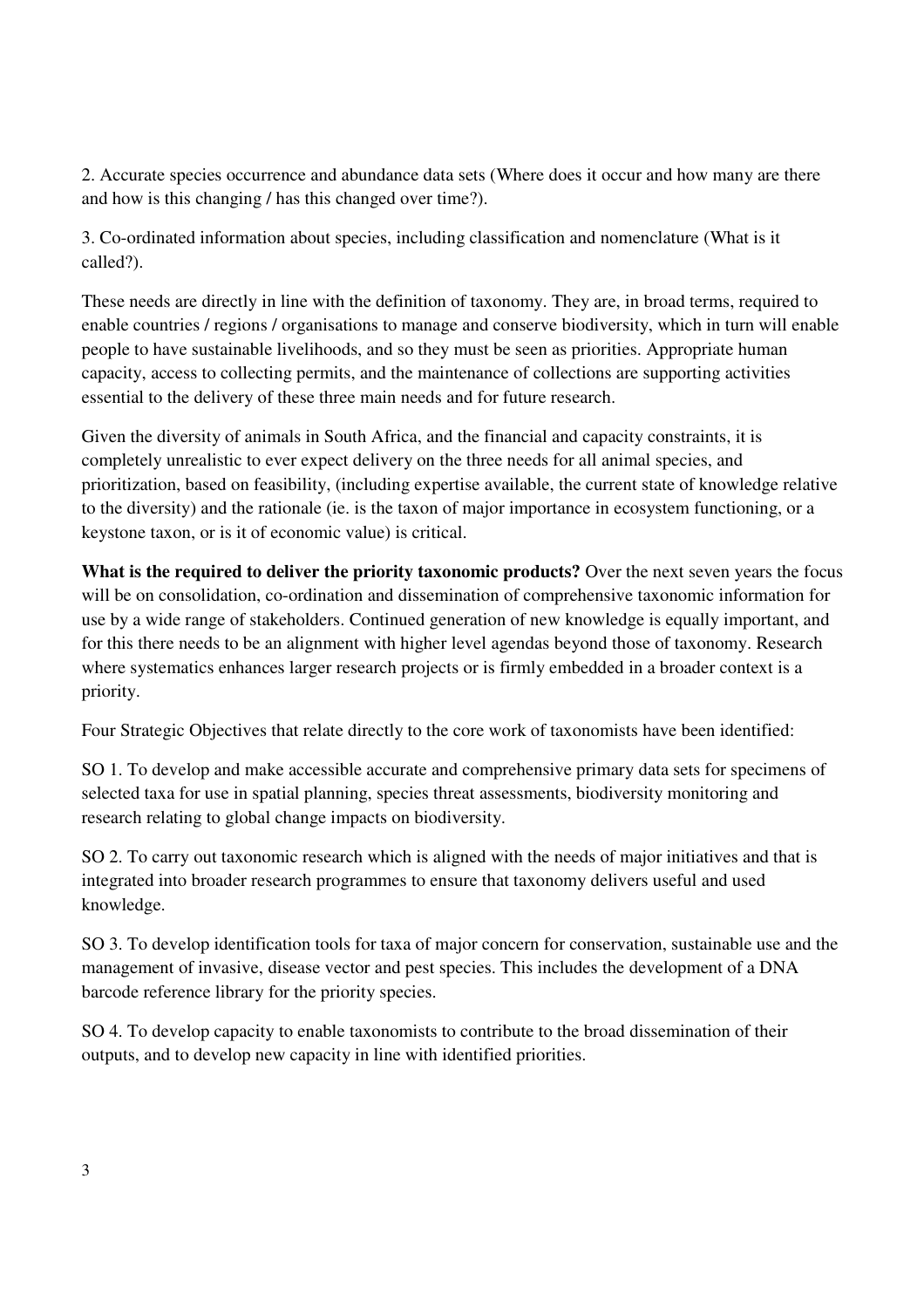2. Accurate species occurrence and abundance data sets (Where does it occur and how many are there and how is this changing / has this changed over time?).

3. Co-ordinated information about species, including classification and nomenclature (What is it called?).

These needs are directly in line with the definition of taxonomy. They are, in broad terms, required to enable countries / regions / organisations to manage and conserve biodiversity, which in turn will enable people to have sustainable livelihoods, and so they must be seen as priorities. Appropriate human capacity, access to collecting permits, and the maintenance of collections are supporting activities essential to the delivery of these three main needs and for future research.

Given the diversity of animals in South Africa, and the financial and capacity constraints, it is completely unrealistic to ever expect delivery on the three needs for all animal species, and prioritization, based on feasibility, (including expertise available, the current state of knowledge relative to the diversity) and the rationale (ie. is the taxon of major importance in ecosystem functioning, or a keystone taxon, or is it of economic value) is critical.

**What is the required to deliver the priority taxonomic products?** Over the next seven years the focus will be on consolidation, co-ordination and dissemination of comprehensive taxonomic information for use by a wide range of stakeholders. Continued generation of new knowledge is equally important, and for this there needs to be an alignment with higher level agendas beyond those of taxonomy. Research where systematics enhances larger research projects or is firmly embedded in a broader context is a priority.

Four Strategic Objectives that relate directly to the core work of taxonomists have been identified:

SO 1. To develop and make accessible accurate and comprehensive primary data sets for specimens of selected taxa for use in spatial planning, species threat assessments, biodiversity monitoring and research relating to global change impacts on biodiversity.

SO 2. To carry out taxonomic research which is aligned with the needs of major initiatives and that is integrated into broader research programmes to ensure that taxonomy delivers useful and used knowledge.

SO 3. To develop identification tools for taxa of major concern for conservation, sustainable use and the management of invasive, disease vector and pest species. This includes the development of a DNA barcode reference library for the priority species.

SO 4. To develop capacity to enable taxonomists to contribute to the broad dissemination of their outputs, and to develop new capacity in line with identified priorities.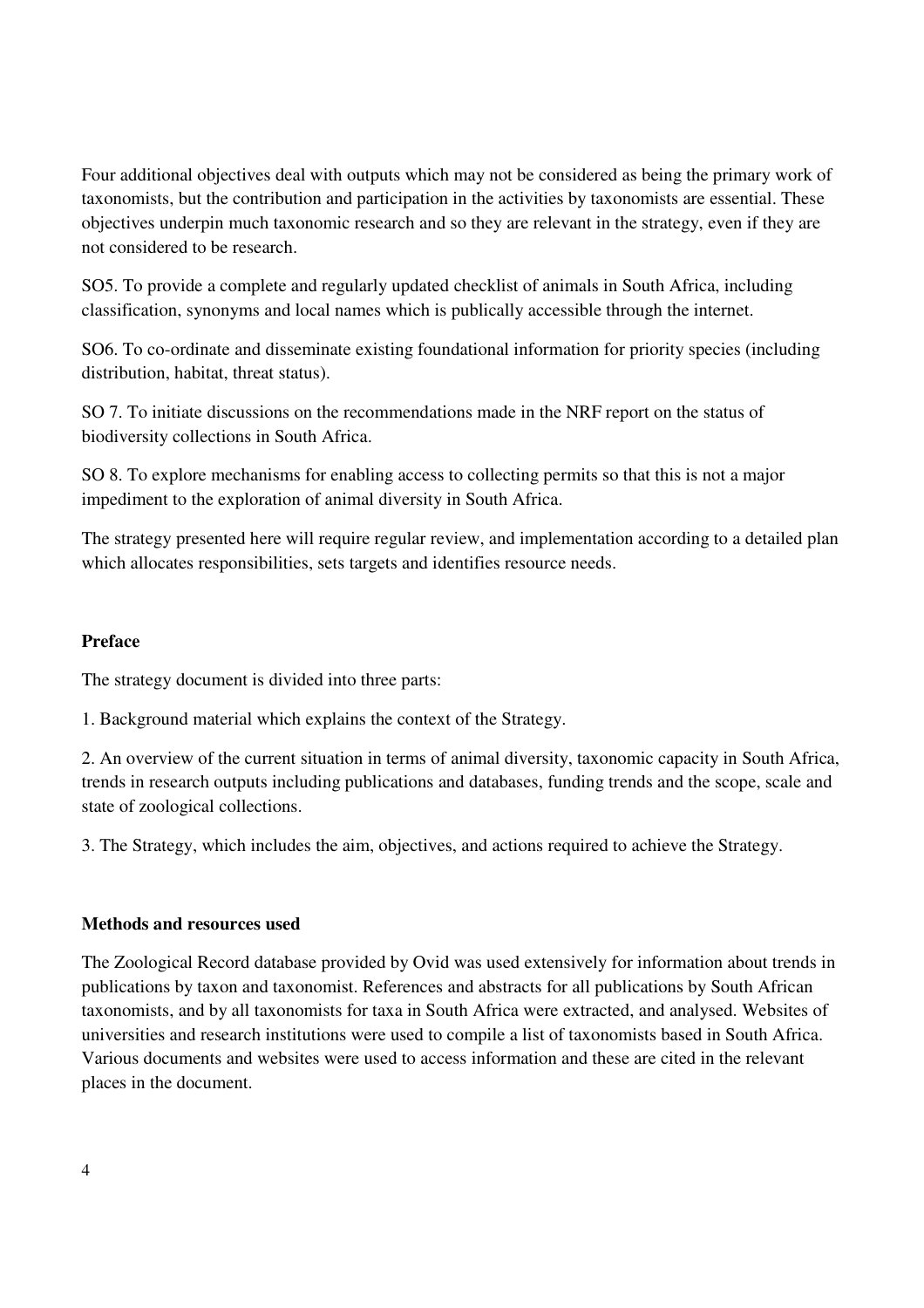Four additional objectives deal with outputs which may not be considered as being the primary work of taxonomists, but the contribution and participation in the activities by taxonomists are essential. These objectives underpin much taxonomic research and so they are relevant in the strategy, even if they are not considered to be research.

SO5. To provide a complete and regularly updated checklist of animals in South Africa, including classification, synonyms and local names which is publically accessible through the internet.

SO6. To co-ordinate and disseminate existing foundational information for priority species (including distribution, habitat, threat status).

SO 7. To initiate discussions on the recommendations made in the NRF report on the status of biodiversity collections in South Africa.

SO 8. To explore mechanisms for enabling access to collecting permits so that this is not a major impediment to the exploration of animal diversity in South Africa.

The strategy presented here will require regular review, and implementation according to a detailed plan which allocates responsibilities, sets targets and identifies resource needs.

### **Preface**

The strategy document is divided into three parts:

1. Background material which explains the context of the Strategy.

2. An overview of the current situation in terms of animal diversity, taxonomic capacity in South Africa, trends in research outputs including publications and databases, funding trends and the scope, scale and state of zoological collections.

3. The Strategy, which includes the aim, objectives, and actions required to achieve the Strategy.

### **Methods and resources used**

The Zoological Record database provided by Ovid was used extensively for information about trends in publications by taxon and taxonomist. References and abstracts for all publications by South African taxonomists, and by all taxonomists for taxa in South Africa were extracted, and analysed. Websites of universities and research institutions were used to compile a list of taxonomists based in South Africa. Various documents and websites were used to access information and these are cited in the relevant places in the document.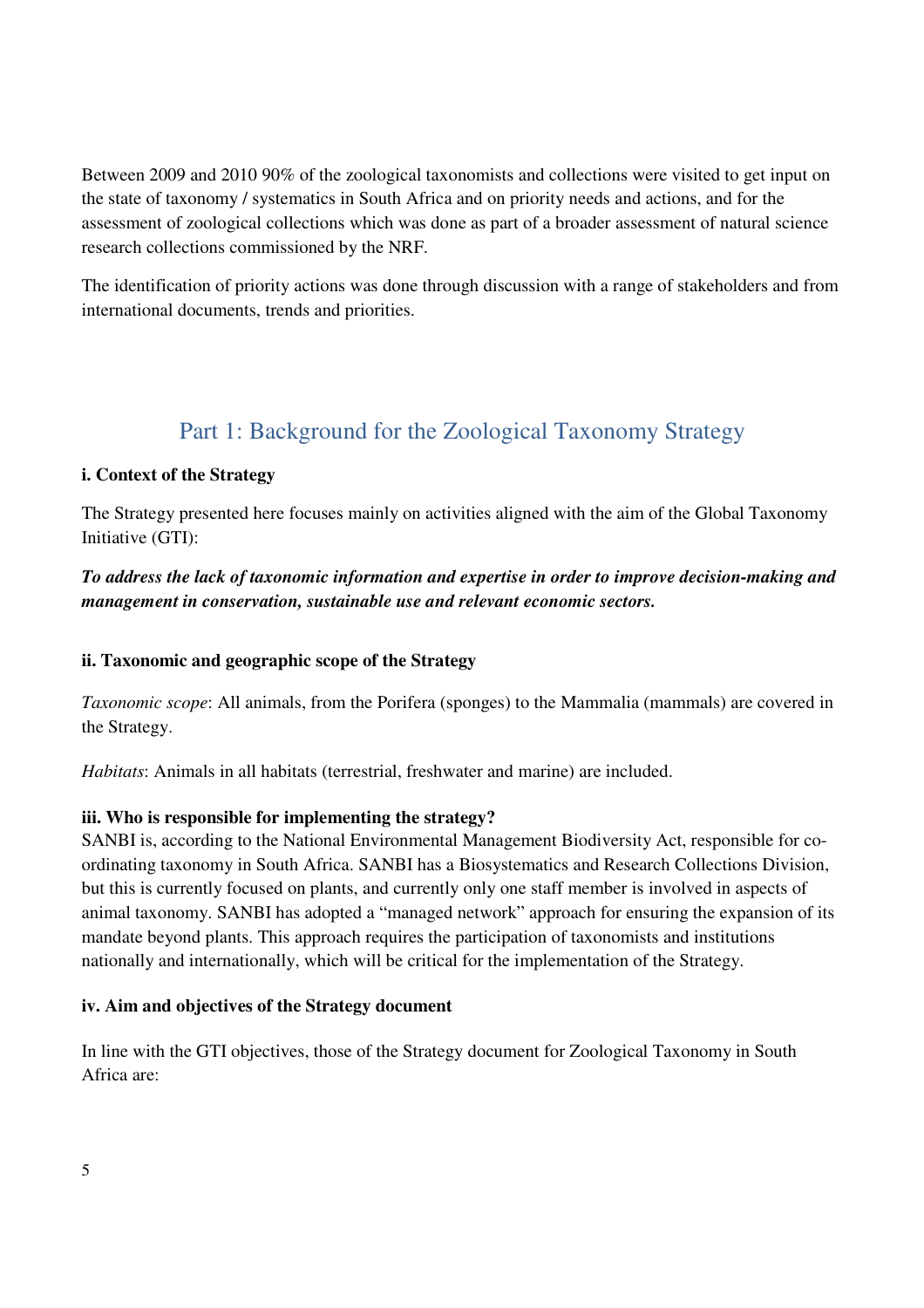Between 2009 and 2010 90% of the zoological taxonomists and collections were visited to get input on the state of taxonomy / systematics in South Africa and on priority needs and actions, and for the assessment of zoological collections which was done as part of a broader assessment of natural science research collections commissioned by the NRF.

The identification of priority actions was done through discussion with a range of stakeholders and from international documents, trends and priorities.

## Part 1: Background for the Zoological Taxonomy Strategy

## **i. Context of the Strategy**

The Strategy presented here focuses mainly on activities aligned with the aim of the Global Taxonomy Initiative (GTI):

*To address the lack of taxonomic information and expertise in order to improve decision-making and management in conservation, sustainable use and relevant economic sectors.* 

## **ii. Taxonomic and geographic scope of the Strategy**

*Taxonomic scope*: All animals, from the Porifera (sponges) to the Mammalia (mammals) are covered in the Strategy.

*Habitats*: Animals in all habitats (terrestrial, freshwater and marine) are included.

## **iii. Who is responsible for implementing the strategy?**

SANBI is, according to the National Environmental Management Biodiversity Act, responsible for coordinating taxonomy in South Africa. SANBI has a Biosystematics and Research Collections Division, but this is currently focused on plants, and currently only one staff member is involved in aspects of animal taxonomy. SANBI has adopted a "managed network" approach for ensuring the expansion of its mandate beyond plants. This approach requires the participation of taxonomists and institutions nationally and internationally, which will be critical for the implementation of the Strategy.

### **iv. Aim and objectives of the Strategy document**

In line with the GTI objectives, those of the Strategy document for Zoological Taxonomy in South Africa are: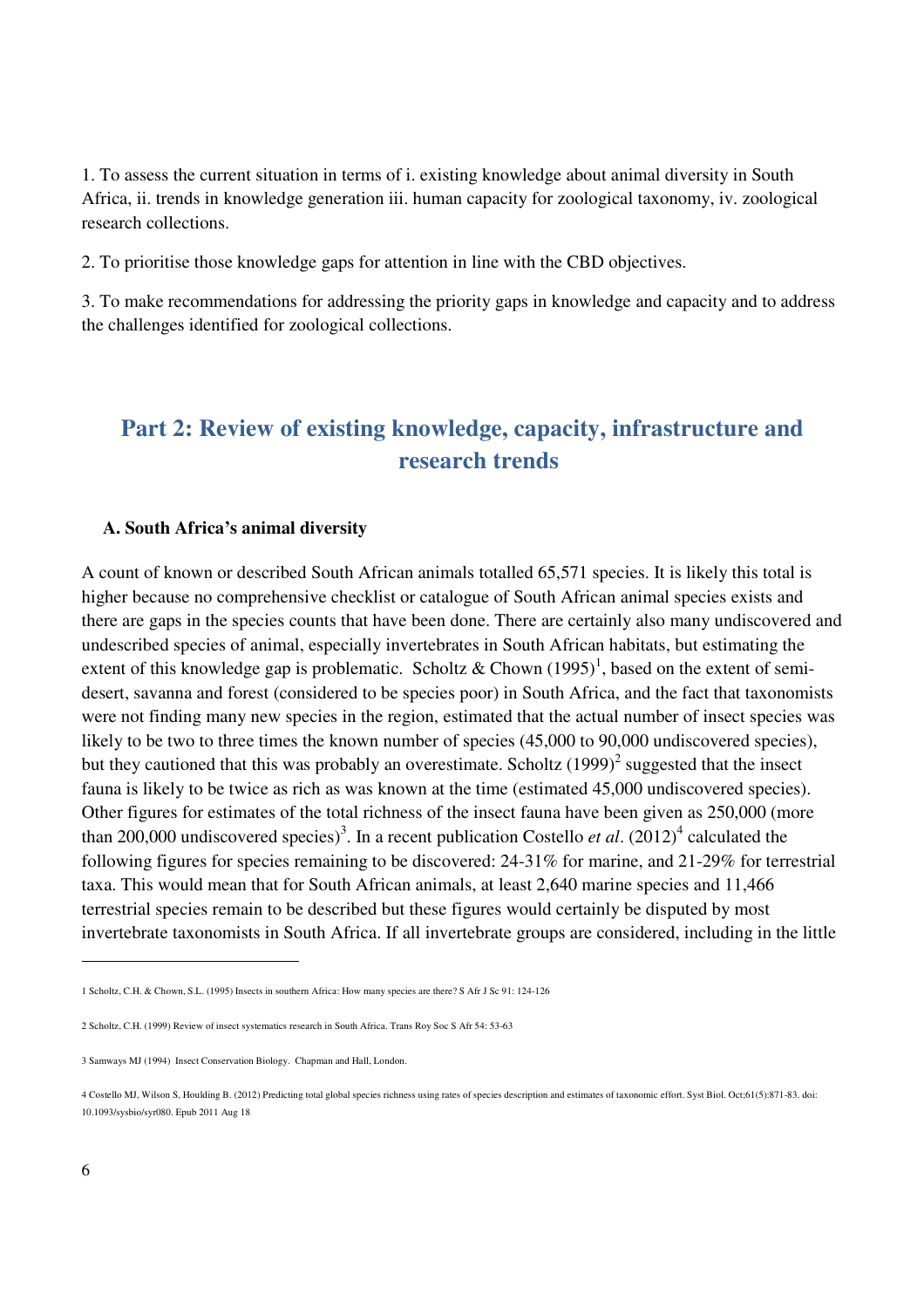1. To assess the current situation in terms of i. existing knowledge about animal diversity in South Africa, ii. trends in knowledge generation iii. human capacity for zoological taxonomy, iv. zoological research collections.

2. To prioritise those knowledge gaps for attention in line with the CBD objectives.

3. To make recommendations for addressing the priority gaps in knowledge and capacity and to address the challenges identified for zoological collections.

## **Part 2: Review of existing knowledge, capacity, infrastructure and research trends**

### **A. South Africa's animal diversity**

A count of known or described South African animals totalled 65,571 species. It is likely this total is higher because no comprehensive checklist or catalogue of South African animal species exists and there are gaps in the species counts that have been done. There are certainly also many undiscovered and undescribed species of animal, especially invertebrates in South African habitats, but estimating the extent of this knowledge gap is problematic. Scholtz & Chown  $(1995)^{1}$ , based on the extent of semidesert, savanna and forest (considered to be species poor) in South Africa, and the fact that taxonomists were not finding many new species in the region, estimated that the actual number of insect species was likely to be two to three times the known number of species (45,000 to 90,000 undiscovered species), but they cautioned that this was probably an overestimate. Scholtz  $(1999)^2$  suggested that the insect fauna is likely to be twice as rich as was known at the time (estimated 45,000 undiscovered species). Other figures for estimates of the total richness of the insect fauna have been given as 250,000 (more than 200,000 undiscovered species)<sup>3</sup>. In a recent publication Costello *et al*. (2012)<sup>4</sup> calculated the following figures for species remaining to be discovered: 24-31% for marine, and 21-29% for terrestrial taxa. This would mean that for South African animals, at least 2,640 marine species and 11,466 terrestrial species remain to be described but these figures would certainly be disputed by most invertebrate taxonomists in South Africa. If all invertebrate groups are considered, including in the little

<sup>1</sup> Scholtz, C.H. & Chown, S.L. (1995) Insects in southern Africa: How many species are there? S Afr J Sc 91: 124-126

<sup>2</sup> Scholtz, C.H. (1999) Review of insect systematics research in South Africa. Trans Roy Soc S Afr 54: 53-63

<sup>3</sup> Samways MJ (1994) Insect Conservation Biology. Chapman and Hall, London.

<sup>4</sup> Costello MJ, Wilson S, Houlding B. (2012) Predicting total global species richness using rates of species description and estimates of taxonomic effort. Syst Biol. Oct;61(5):871-83. doi: 10.1093/sysbio/syr080. Epub 2011 Aug 18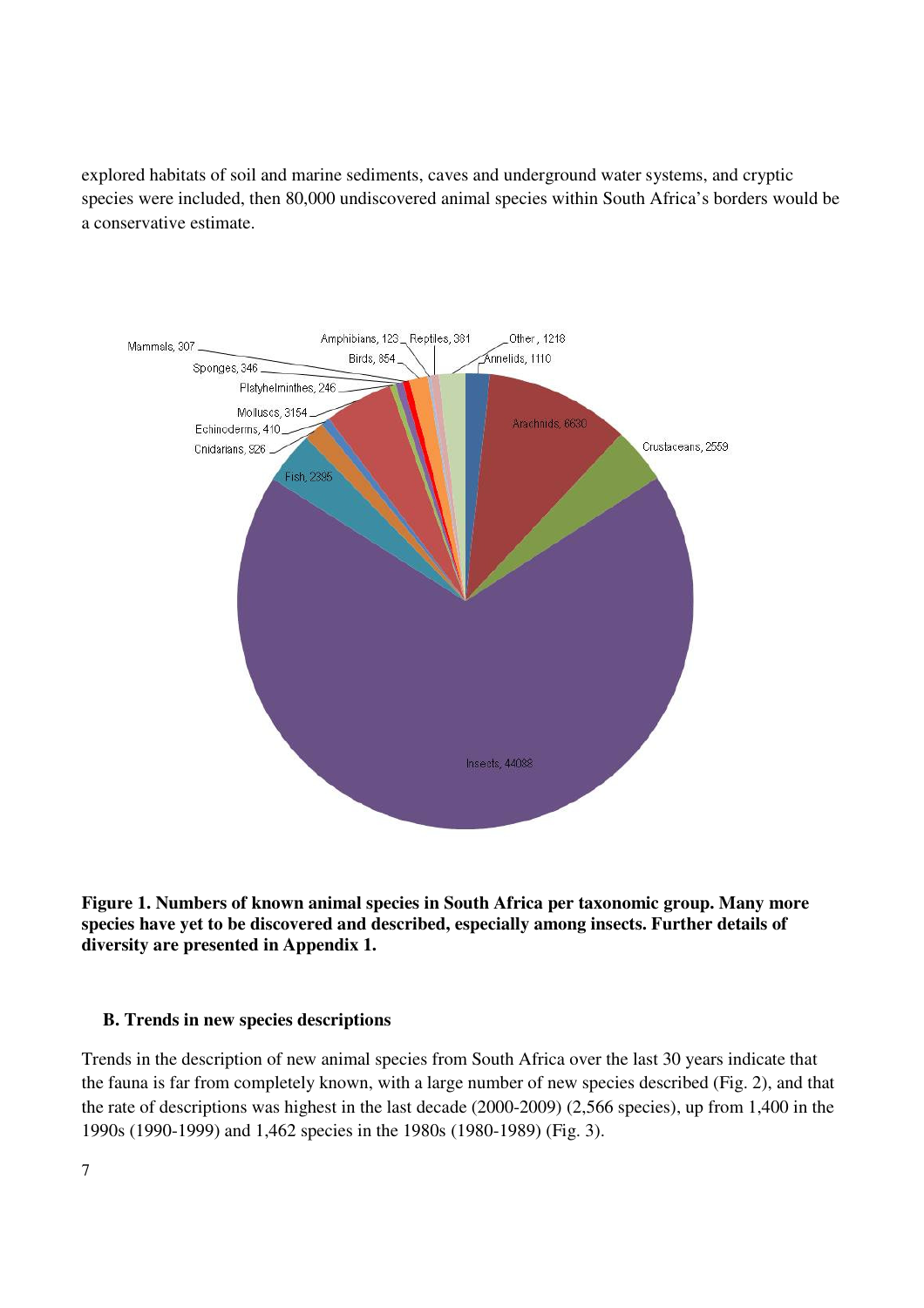explored habitats of soil and marine sediments, caves and underground water systems, and cryptic species were included, then 80,000 undiscovered animal species within South Africa's borders would be a conservative estimate.





### **B. Trends in new species descriptions**

Trends in the description of new animal species from South Africa over the last 30 years indicate that the fauna is far from completely known, with a large number of new species described (Fig. 2), and that the rate of descriptions was highest in the last decade (2000-2009) (2,566 species), up from 1,400 in the 1990s (1990-1999) and 1,462 species in the 1980s (1980-1989) (Fig. 3).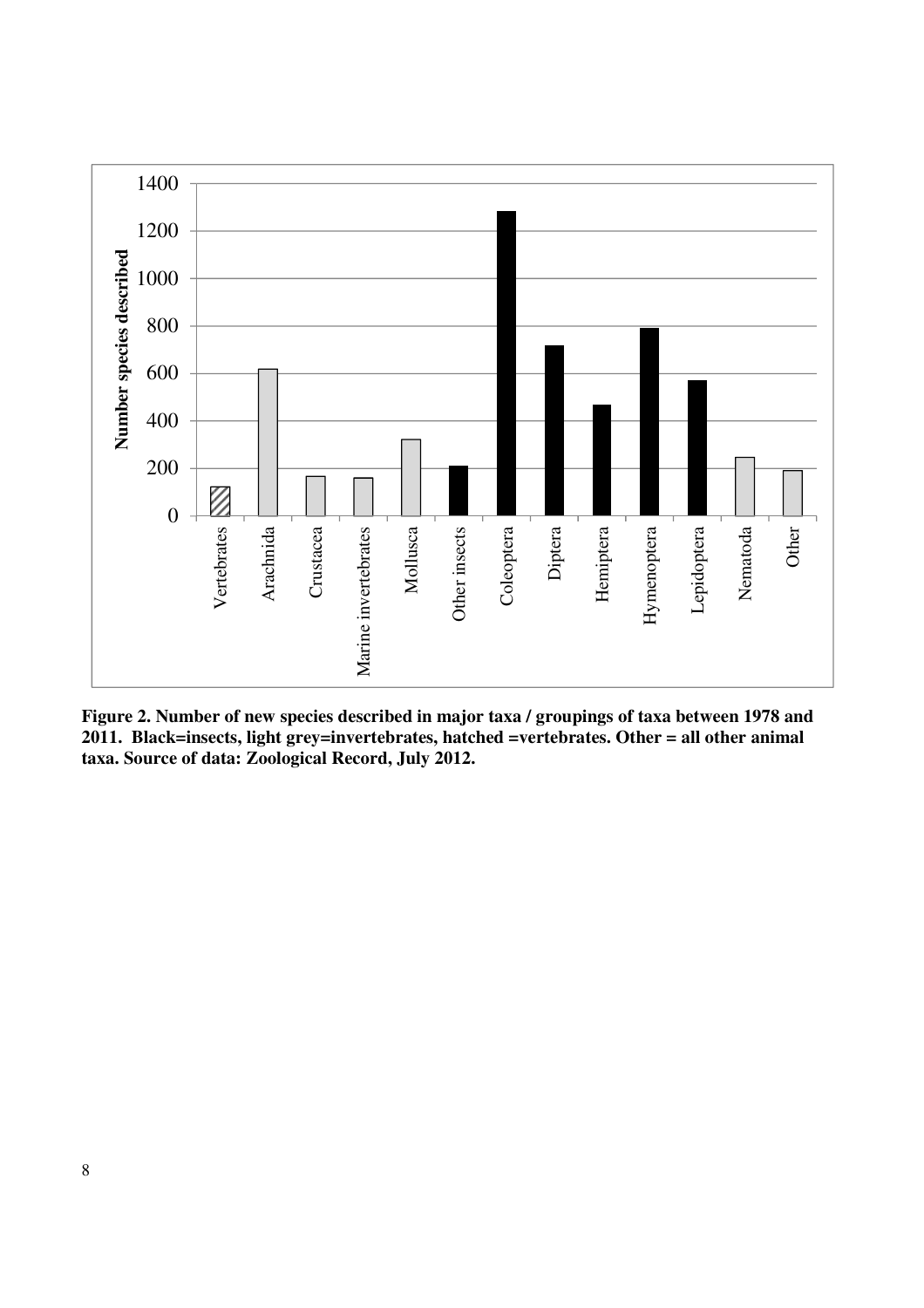

**Figure 2. Number of new species described in major taxa / groupings of taxa between 1978 and 2011. Black=insects, light grey=invertebrates, hatched =vertebrates. Other = all other animal taxa. Source of data: Zoological Record, July 2012.**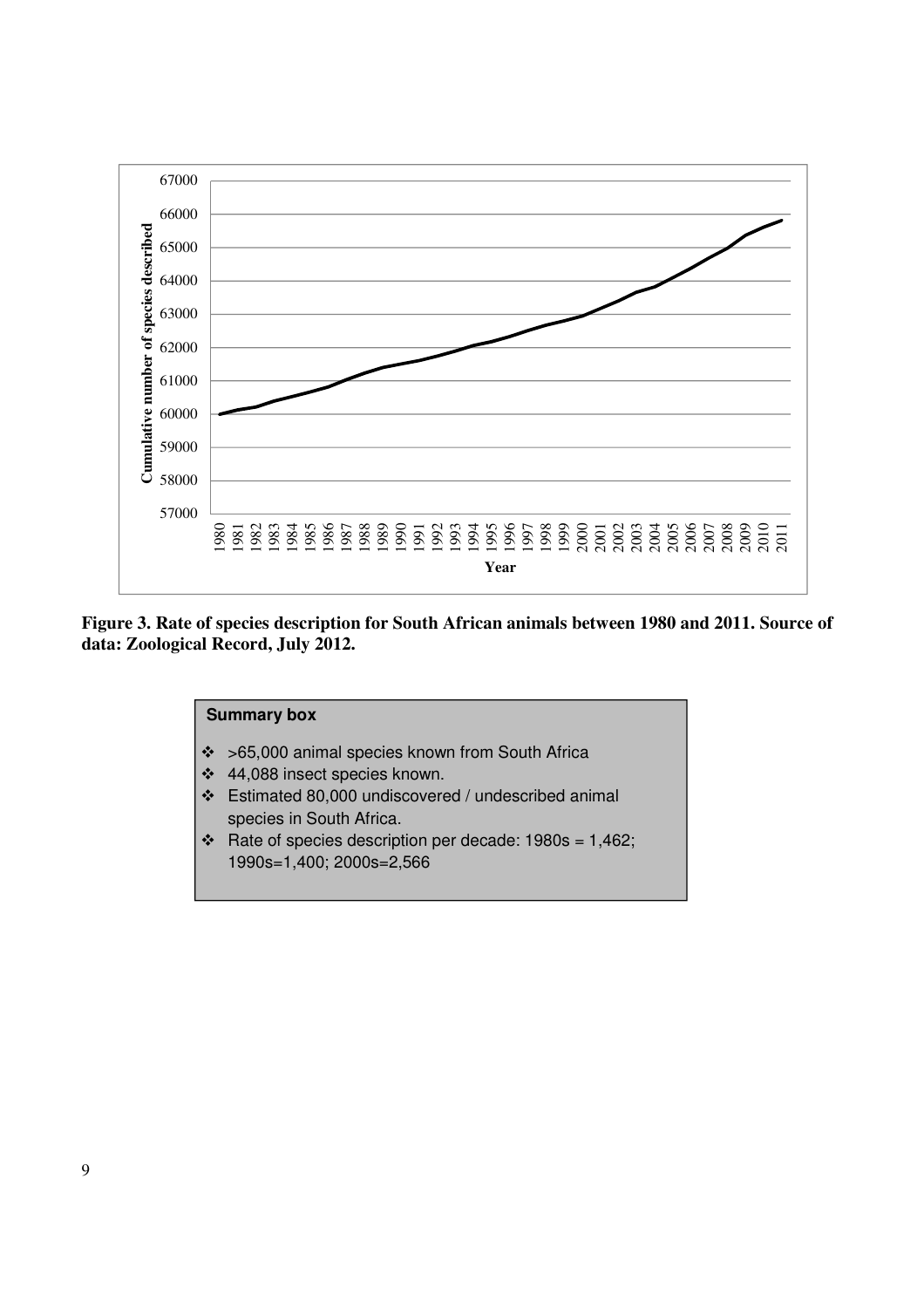

**Figure 3. Rate of species description for South African animals between 1980 and 2011. Source of data: Zoological Record, July 2012.** 

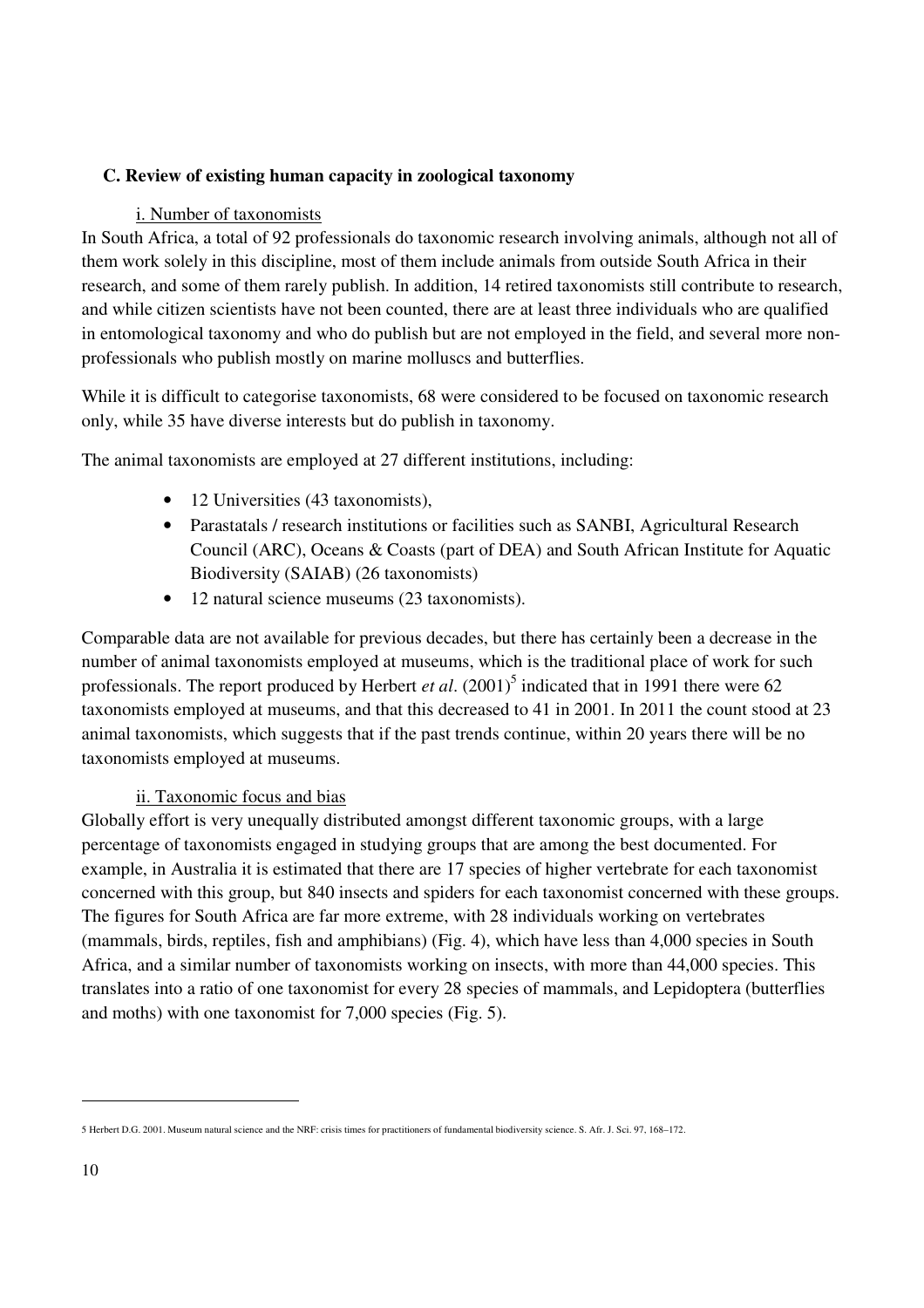## **C. Review of existing human capacity in zoological taxonomy**

## i. Number of taxonomists

In South Africa, a total of 92 professionals do taxonomic research involving animals, although not all of them work solely in this discipline, most of them include animals from outside South Africa in their research, and some of them rarely publish. In addition, 14 retired taxonomists still contribute to research, and while citizen scientists have not been counted, there are at least three individuals who are qualified in entomological taxonomy and who do publish but are not employed in the field, and several more nonprofessionals who publish mostly on marine molluscs and butterflies.

While it is difficult to categorise taxonomists, 68 were considered to be focused on taxonomic research only, while 35 have diverse interests but do publish in taxonomy.

The animal taxonomists are employed at 27 different institutions, including:

- 12 Universities (43 taxonomists),
- Parastatals / research institutions or facilities such as SANBI, Agricultural Research Council (ARC), Oceans & Coasts (part of DEA) and South African Institute for Aquatic Biodiversity (SAIAB) (26 taxonomists)
- 12 natural science museums (23 taxonomists).

Comparable data are not available for previous decades, but there has certainly been a decrease in the number of animal taxonomists employed at museums, which is the traditional place of work for such professionals. The report produced by Herbert *et al*. (2001)<sup>5</sup> indicated that in 1991 there were 62 taxonomists employed at museums, and that this decreased to 41 in 2001. In 2011 the count stood at 23 animal taxonomists, which suggests that if the past trends continue, within 20 years there will be no taxonomists employed at museums.

## ii. Taxonomic focus and bias

Globally effort is very unequally distributed amongst different taxonomic groups, with a large percentage of taxonomists engaged in studying groups that are among the best documented. For example, in Australia it is estimated that there are 17 species of higher vertebrate for each taxonomist concerned with this group, but 840 insects and spiders for each taxonomist concerned with these groups. The figures for South Africa are far more extreme, with 28 individuals working on vertebrates (mammals, birds, reptiles, fish and amphibians) (Fig. 4), which have less than 4,000 species in South Africa, and a similar number of taxonomists working on insects, with more than 44,000 species. This translates into a ratio of one taxonomist for every 28 species of mammals, and Lepidoptera (butterflies and moths) with one taxonomist for 7,000 species (Fig. 5).

<sup>5</sup> Herbert D.G. 2001. Museum natural science and the NRF: crisis times for practitioners of fundamental biodiversity science. S. Afr. J. Sci. 97, 168–172.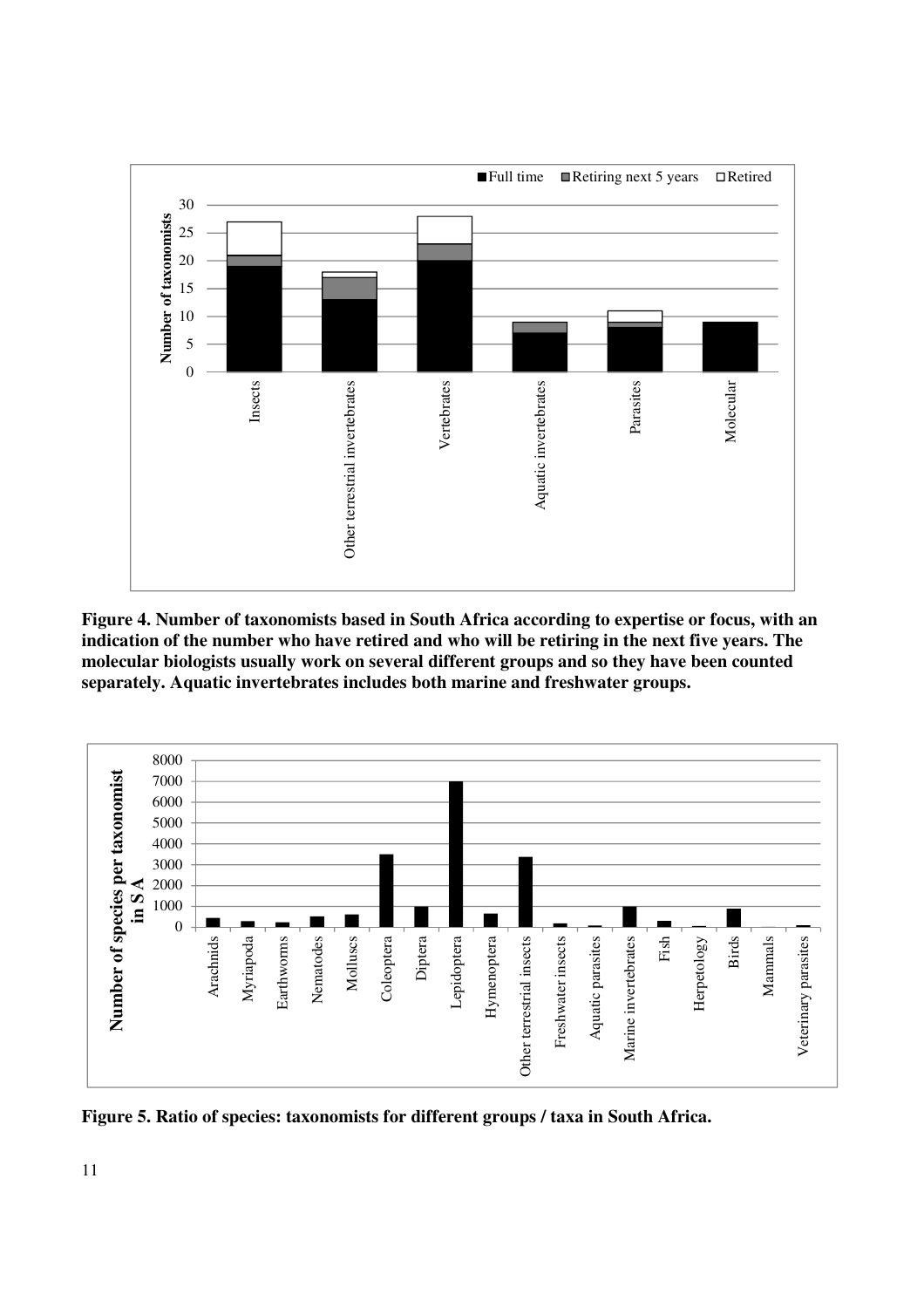

**Figure 4. Number of taxonomists based in South Africa according to expertise or focus, with an indication of the number who have retired and who will be retiring in the next five years. The molecular biologists usually work on several different groups and so they have been counted separately. Aquatic invertebrates includes both marine and freshwater groups.** 



**Figure 5. Ratio of species: taxonomists for different groups / taxa in South Africa.**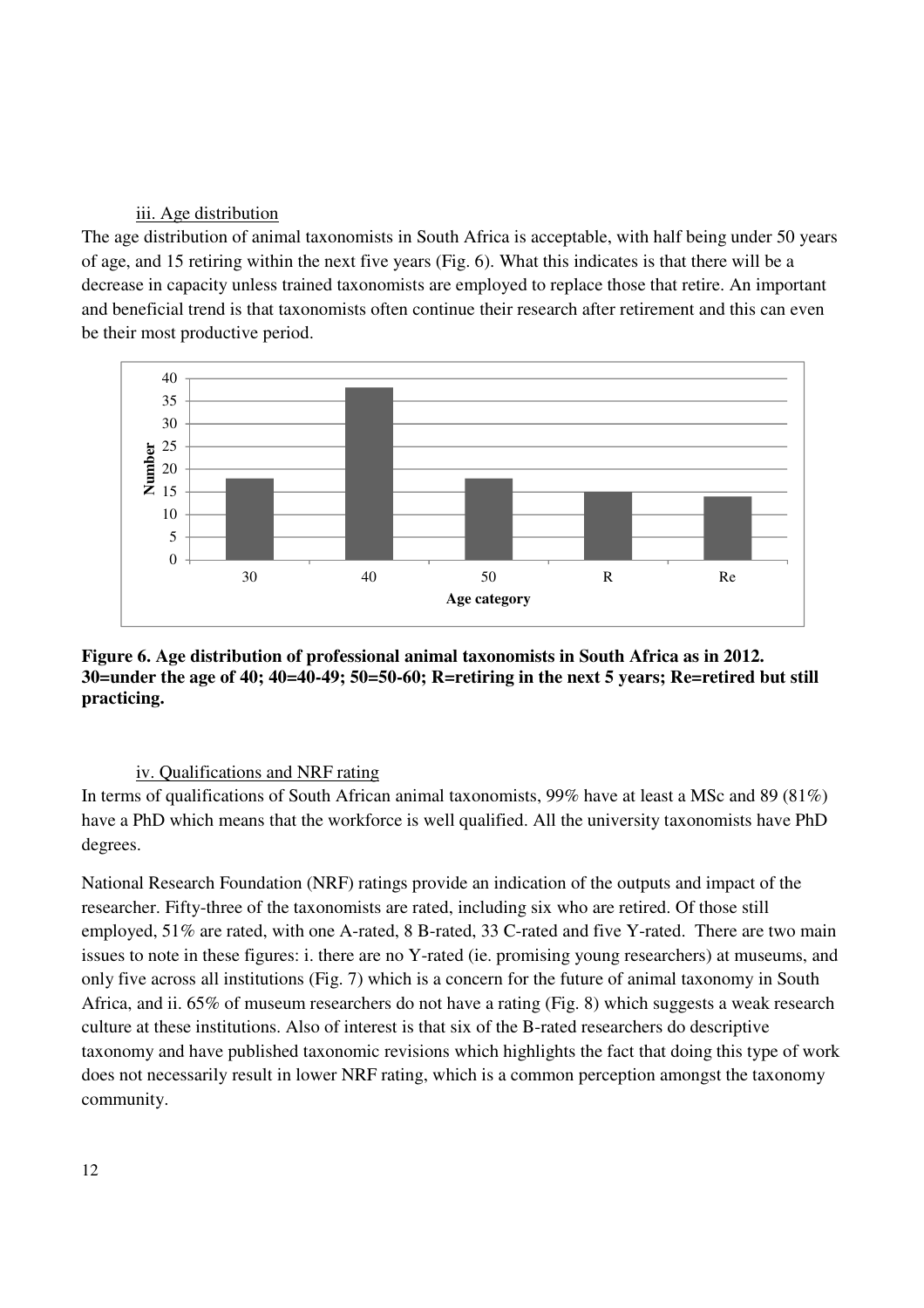### iii. Age distribution

The age distribution of animal taxonomists in South Africa is acceptable, with half being under 50 years of age, and 15 retiring within the next five years (Fig. 6). What this indicates is that there will be a decrease in capacity unless trained taxonomists are employed to replace those that retire. An important and beneficial trend is that taxonomists often continue their research after retirement and this can even be their most productive period.



### **Figure 6. Age distribution of professional animal taxonomists in South Africa as in 2012. 30=under the age of 40; 40=40-49; 50=50-60; R=retiring in the next 5 years; Re=retired but still practicing.**

### iv. Qualifications and NRF rating

In terms of qualifications of South African animal taxonomists, 99% have at least a MSc and 89 (81%) have a PhD which means that the workforce is well qualified. All the university taxonomists have PhD degrees.

National Research Foundation (NRF) ratings provide an indication of the outputs and impact of the researcher. Fifty-three of the taxonomists are rated, including six who are retired. Of those still employed, 51% are rated, with one A-rated, 8 B-rated, 33 C-rated and five Y-rated. There are two main issues to note in these figures: i. there are no Y-rated (ie. promising young researchers) at museums, and only five across all institutions (Fig. 7) which is a concern for the future of animal taxonomy in South Africa, and ii. 65% of museum researchers do not have a rating (Fig. 8) which suggests a weak research culture at these institutions. Also of interest is that six of the B-rated researchers do descriptive taxonomy and have published taxonomic revisions which highlights the fact that doing this type of work does not necessarily result in lower NRF rating, which is a common perception amongst the taxonomy community.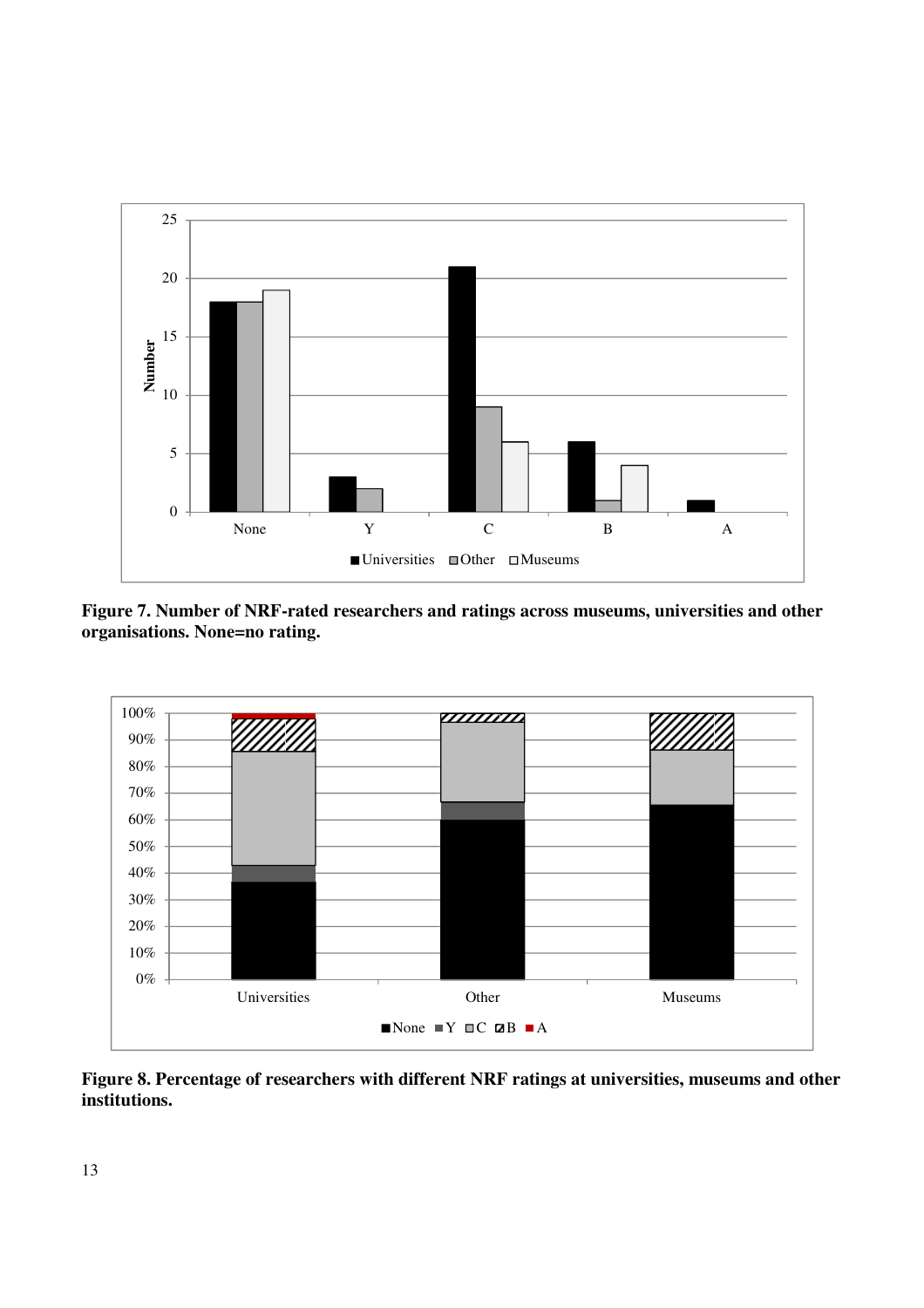

**Figure 7. Number of NRF-rated researchers and ratings across museums, universities and other organisations. None=no rating.** 



**Figure 8. Percentage of researchers with different NRF ratings at universities, museums and other institutions.**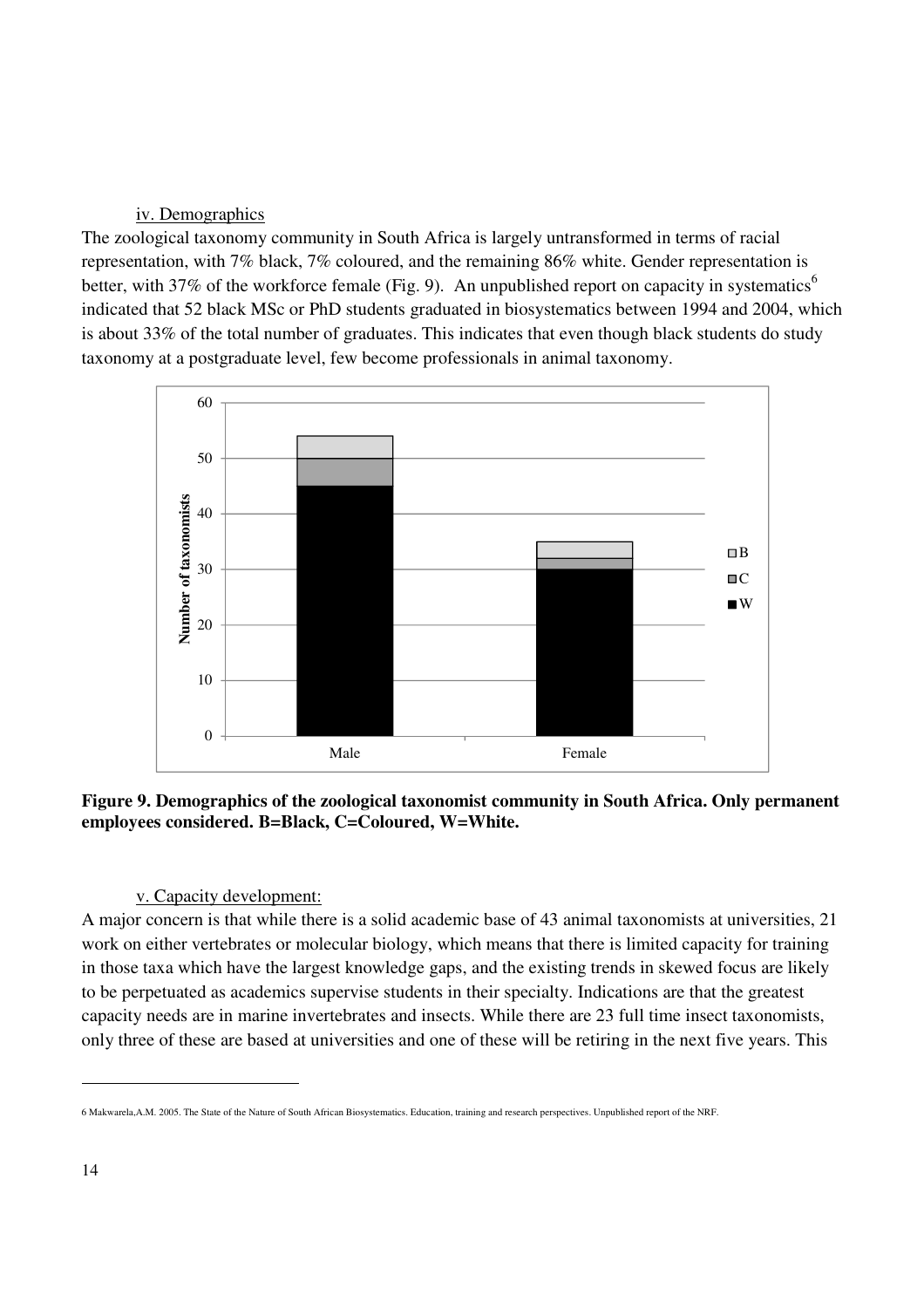### iv. Demographics

The zoological taxonomy community in South Africa is largely untransformed in terms of racial representation, with 7% black, 7% coloured, and the remaining 86% white. Gender representation is better, with 37% of the workforce female (Fig. 9). An unpublished report on capacity in systematics<sup>6</sup> indicated that 52 black MSc or PhD students graduated in biosystematics between 1994 and 2004, which is about 33% of the total number of graduates. This indicates that even though black students do study taxonomy at a postgraduate level, few become professionals in animal taxonomy.



### **Figure 9. Demographics of the zoological taxonomist community in South Africa. Only permanent employees considered. B=Black, C=Coloured, W=White.**

v. Capacity development:

A major concern is that while there is a solid academic base of 43 animal taxonomists at universities, 21 work on either vertebrates or molecular biology, which means that there is limited capacity for training in those taxa which have the largest knowledge gaps, and the existing trends in skewed focus are likely to be perpetuated as academics supervise students in their specialty. Indications are that the greatest capacity needs are in marine invertebrates and insects. While there are 23 full time insect taxonomists, only three of these are based at universities and one of these will be retiring in the next five years. This

<sup>6</sup> Makwarela,A.M. 2005. The State of the Nature of South African Biosystematics. Education, training and research perspectives. Unpublished report of the NRF.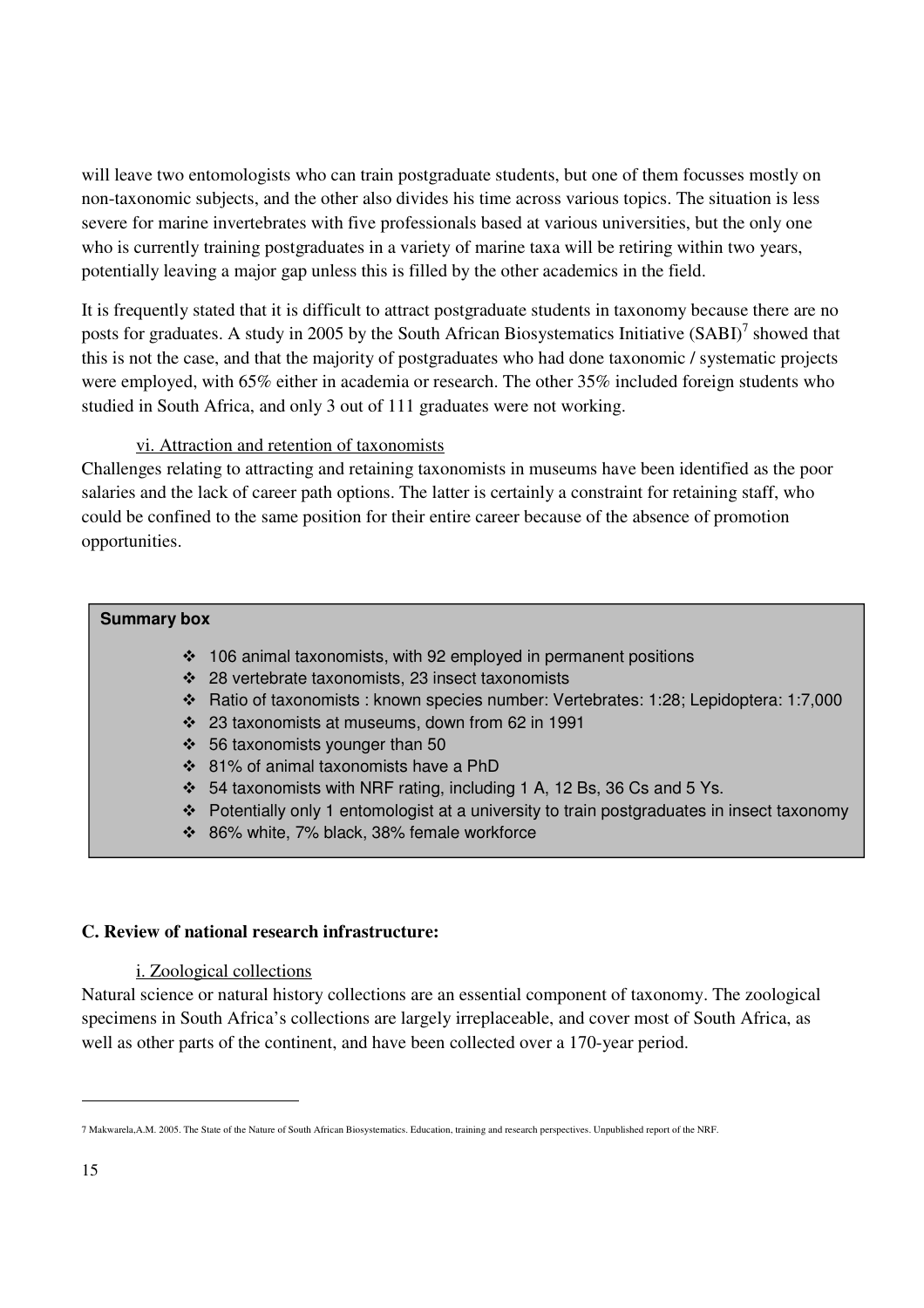will leave two entomologists who can train postgraduate students, but one of them focusses mostly on non-taxonomic subjects, and the other also divides his time across various topics. The situation is less severe for marine invertebrates with five professionals based at various universities, but the only one who is currently training postgraduates in a variety of marine taxa will be retiring within two years, potentially leaving a major gap unless this is filled by the other academics in the field.

It is frequently stated that it is difficult to attract postgraduate students in taxonomy because there are no posts for graduates. A study in 2005 by the South African Biosystematics Initiative  $(SABI)^7$  showed that this is not the case, and that the majority of postgraduates who had done taxonomic / systematic projects were employed, with 65% either in academia or research. The other 35% included foreign students who studied in South Africa, and only 3 out of 111 graduates were not working.

## vi. Attraction and retention of taxonomists

Challenges relating to attracting and retaining taxonomists in museums have been identified as the poor salaries and the lack of career path options. The latter is certainly a constraint for retaining staff, who could be confined to the same position for their entire career because of the absence of promotion opportunities.

## **Summary box**

- 106 animal taxonomists, with 92 employed in permanent positions
- 28 vertebrate taxonomists, 23 insect taxonomists
- Ratio of taxonomists : known species number: Vertebrates: 1:28; Lepidoptera: 1:7,000
- 23 taxonomists at museums, down from 62 in 1991
- 56 taxonomists younger than 50
- 81% of animal taxonomists have a PhD
- 54 taxonomists with NRF rating, including 1 A, 12 Bs, 36 Cs and 5 Ys.
- Potentially only 1 entomologist at a university to train postgraduates in insect taxonomy
- 86% white, 7% black, 38% female workforce

## **C. Review of national research infrastructure:**

## i. Zoological collections

Natural science or natural history collections are an essential component of taxonomy. The zoological specimens in South Africa's collections are largely irreplaceable, and cover most of South Africa, as well as other parts of the continent, and have been collected over a 170-year period.

<sup>7</sup> Makwarela,A.M. 2005. The State of the Nature of South African Biosystematics. Education, training and research perspectives. Unpublished report of the NRF.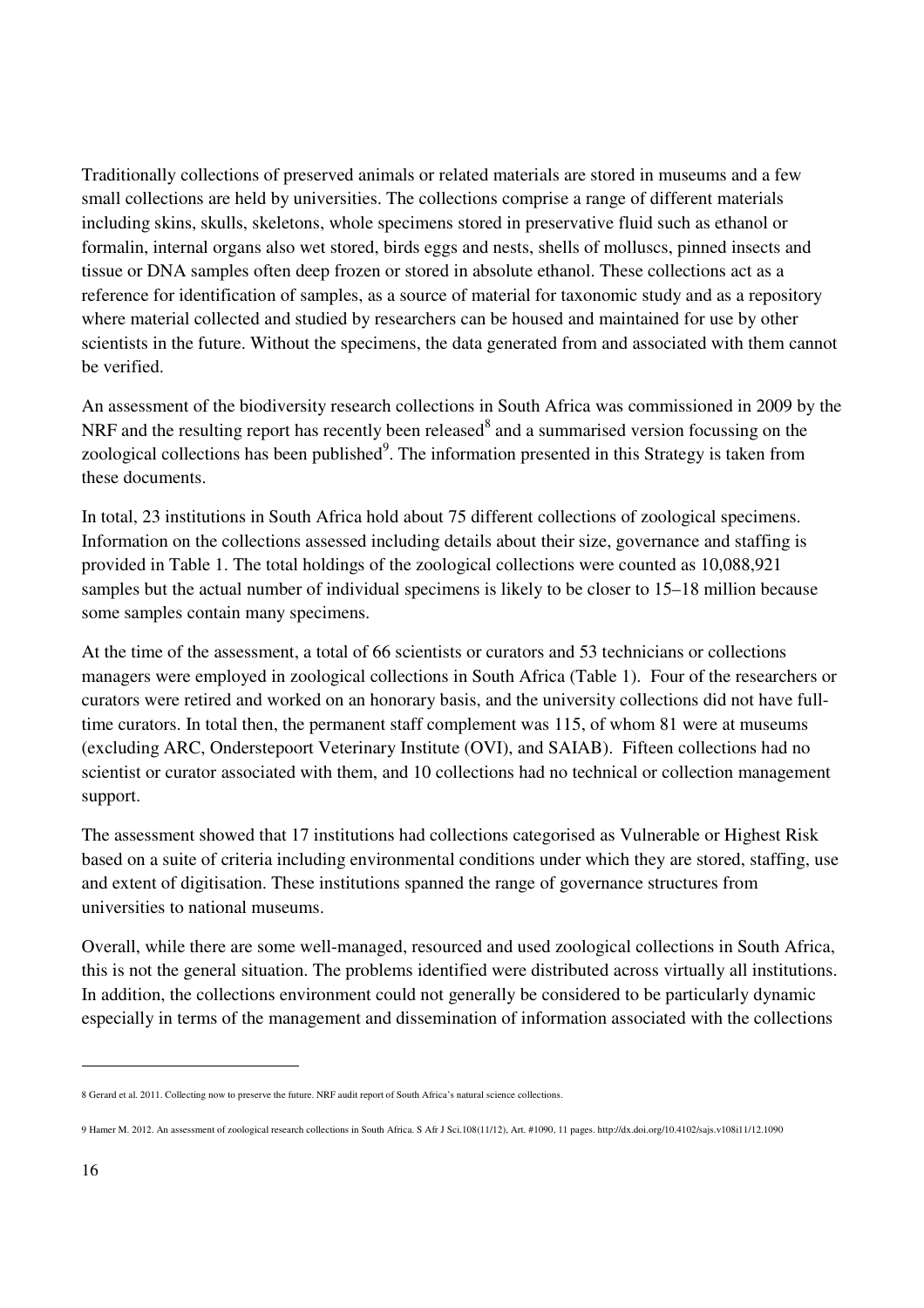Traditionally collections of preserved animals or related materials are stored in museums and a few small collections are held by universities. The collections comprise a range of different materials including skins, skulls, skeletons, whole specimens stored in preservative fluid such as ethanol or formalin, internal organs also wet stored, birds eggs and nests, shells of molluscs, pinned insects and tissue or DNA samples often deep frozen or stored in absolute ethanol. These collections act as a reference for identification of samples, as a source of material for taxonomic study and as a repository where material collected and studied by researchers can be housed and maintained for use by other scientists in the future. Without the specimens, the data generated from and associated with them cannot be verified.

An assessment of the biodiversity research collections in South Africa was commissioned in 2009 by the NRF and the resulting report has recently been released  $8$  and a summarised version focussing on the zoological collections has been published<sup>9</sup>. The information presented in this Strategy is taken from these documents.

In total, 23 institutions in South Africa hold about 75 different collections of zoological specimens. Information on the collections assessed including details about their size, governance and staffing is provided in Table 1. The total holdings of the zoological collections were counted as 10,088,921 samples but the actual number of individual specimens is likely to be closer to 15–18 million because some samples contain many specimens.

At the time of the assessment, a total of 66 scientists or curators and 53 technicians or collections managers were employed in zoological collections in South Africa (Table 1). Four of the researchers or curators were retired and worked on an honorary basis, and the university collections did not have fulltime curators. In total then, the permanent staff complement was 115, of whom 81 were at museums (excluding ARC, Onderstepoort Veterinary Institute (OVI), and SAIAB). Fifteen collections had no scientist or curator associated with them, and 10 collections had no technical or collection management support.

The assessment showed that 17 institutions had collections categorised as Vulnerable or Highest Risk based on a suite of criteria including environmental conditions under which they are stored, staffing, use and extent of digitisation. These institutions spanned the range of governance structures from universities to national museums.

Overall, while there are some well-managed, resourced and used zoological collections in South Africa, this is not the general situation. The problems identified were distributed across virtually all institutions. In addition, the collections environment could not generally be considered to be particularly dynamic especially in terms of the management and dissemination of information associated with the collections

<sup>8</sup> Gerard et al. 2011. Collecting now to preserve the future. NRF audit report of South Africa's natural science collections.

<sup>9</sup> Hamer M. 2012. An assessment of zoological research collections in South Africa. S Afr J Sci.108(11/12), Art. #1090, 11 pages. http://dx.doi.org/10.4102/sajs.v108i11/12.1090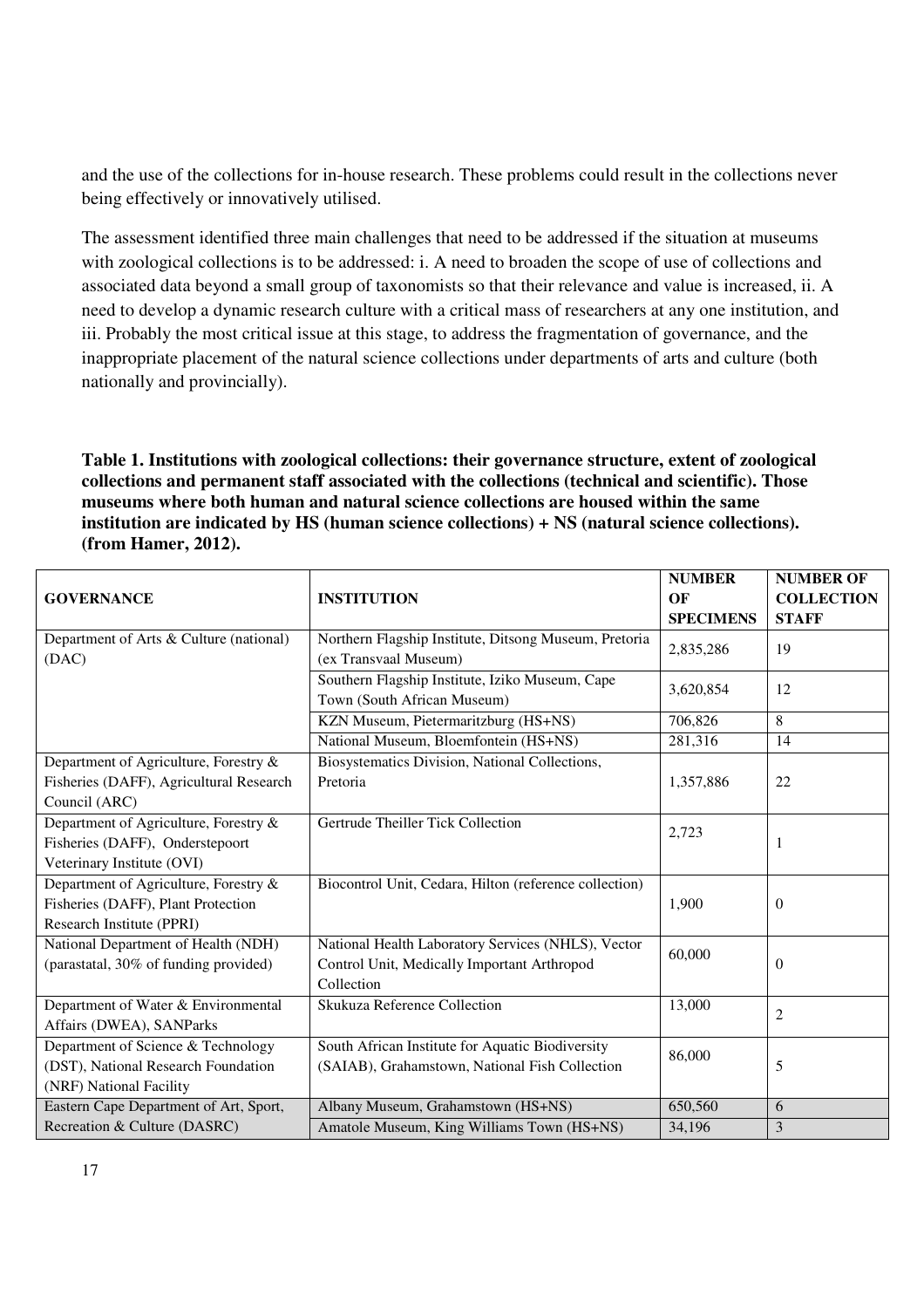and the use of the collections for in-house research. These problems could result in the collections never being effectively or innovatively utilised.

The assessment identified three main challenges that need to be addressed if the situation at museums with zoological collections is to be addressed: i. A need to broaden the scope of use of collections and associated data beyond a small group of taxonomists so that their relevance and value is increased, ii. A need to develop a dynamic research culture with a critical mass of researchers at any one institution, and iii. Probably the most critical issue at this stage, to address the fragmentation of governance, and the inappropriate placement of the natural science collections under departments of arts and culture (both nationally and provincially).

### **Table 1. Institutions with zoological collections: their governance structure, extent of zoological collections and permanent staff associated with the collections (technical and scientific). Those museums where both human and natural science collections are housed within the same institution are indicated by HS (human science collections) + NS (natural science collections). (from Hamer, 2012).**

|                                         |                                                        | <b>NUMBER</b>    | <b>NUMBER OF</b>  |
|-----------------------------------------|--------------------------------------------------------|------------------|-------------------|
| <b>GOVERNANCE</b>                       | <b>INSTITUTION</b>                                     | OF               | <b>COLLECTION</b> |
|                                         |                                                        | <b>SPECIMENS</b> | <b>STAFF</b>      |
| Department of Arts & Culture (national) | Northern Flagship Institute, Ditsong Museum, Pretoria  |                  | 19                |
| (DAC)                                   | (ex Transvaal Museum)                                  | 2,835,286        |                   |
|                                         | Southern Flagship Institute, Iziko Museum, Cape        | 3,620,854        | 12                |
|                                         | Town (South African Museum)                            |                  |                   |
|                                         | KZN Museum, Pietermaritzburg (HS+NS)                   | 706,826          | 8                 |
|                                         | National Museum, Bloemfontein (HS+NS)                  | 281,316          | 14                |
| Department of Agriculture, Forestry &   | Biosystematics Division, National Collections,         |                  |                   |
| Fisheries (DAFF), Agricultural Research | Pretoria                                               | 1,357,886        | 22                |
| Council (ARC)                           |                                                        |                  |                   |
| Department of Agriculture, Forestry &   | Gertrude Theiller Tick Collection                      | 2,723            |                   |
| Fisheries (DAFF), Onderstepoort         |                                                        |                  | 1                 |
| Veterinary Institute (OVI)              |                                                        |                  |                   |
| Department of Agriculture, Forestry &   | Biocontrol Unit, Cedara, Hilton (reference collection) |                  |                   |
| Fisheries (DAFF), Plant Protection      |                                                        | 1,900            | $\theta$          |
| Research Institute (PPRI)               |                                                        |                  |                   |
| National Department of Health (NDH)     | National Health Laboratory Services (NHLS), Vector     | 60,000           |                   |
| (parastatal, 30% of funding provided)   | Control Unit, Medically Important Arthropod            |                  | $\theta$          |
|                                         | Collection                                             |                  |                   |
| Department of Water & Environmental     | Skukuza Reference Collection                           | 13,000           | 2                 |
| Affairs (DWEA), SANParks                |                                                        |                  |                   |
| Department of Science & Technology      | South African Institute for Aquatic Biodiversity       | 86,000           |                   |
| (DST), National Research Foundation     | (SAIAB), Grahamstown, National Fish Collection         |                  | 5                 |
| (NRF) National Facility                 |                                                        |                  |                   |
| Eastern Cape Department of Art, Sport,  | Albany Museum, Grahamstown (HS+NS)                     | 650,560          | 6                 |
| Recreation & Culture (DASRC)            | Amatole Museum, King Williams Town (HS+NS)             | 34,196           | 3                 |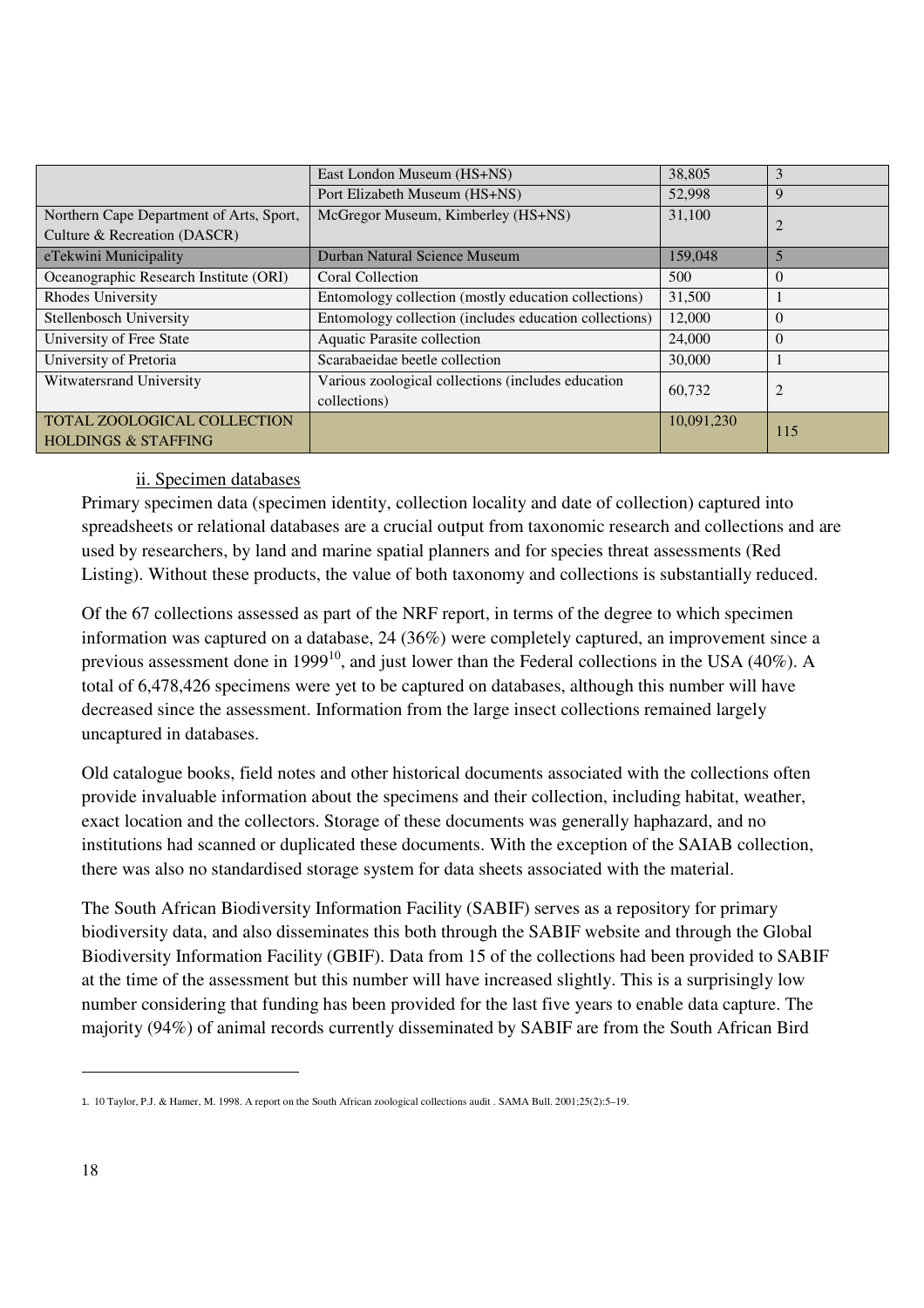|                                          | East London Museum (HS+NS)                             | 38,805     | 3              |
|------------------------------------------|--------------------------------------------------------|------------|----------------|
|                                          | Port Elizabeth Museum (HS+NS)                          | 52,998     | 9              |
| Northern Cape Department of Arts, Sport, | McGregor Museum, Kimberley (HS+NS)                     | 31,100     | 2              |
| Culture & Recreation (DASCR)             |                                                        |            |                |
| eTekwini Municipality                    | Durban Natural Science Museum                          | 159,048    | $\overline{5}$ |
| Oceanographic Research Institute (ORI)   | Coral Collection                                       | 500        | $\Omega$       |
| <b>Rhodes University</b>                 | Entomology collection (mostly education collections)   | 31,500     |                |
| Stellenbosch University                  | Entomology collection (includes education collections) | 12,000     | $\Omega$       |
| University of Free State                 | Aquatic Parasite collection                            | 24,000     | $\theta$       |
| University of Pretoria                   | Scarabaeidae beetle collection                         | 30,000     |                |
| Witwatersrand University                 | Various zoological collections (includes education     | 60,732     | $\overline{2}$ |
|                                          | collections)                                           |            |                |
| TOTAL ZOOLOGICAL COLLECTION              |                                                        | 10,091,230 | 115            |
| <b>HOLDINGS &amp; STAFFING</b>           |                                                        |            |                |

### ii. Specimen databases

Primary specimen data (specimen identity, collection locality and date of collection) captured into spreadsheets or relational databases are a crucial output from taxonomic research and collections and are used by researchers, by land and marine spatial planners and for species threat assessments (Red Listing). Without these products, the value of both taxonomy and collections is substantially reduced.

Of the 67 collections assessed as part of the NRF report, in terms of the degree to which specimen information was captured on a database, 24 (36%) were completely captured, an improvement since a previous assessment done in 1999<sup>10</sup>, and just lower than the Federal collections in the USA (40%). A total of 6,478,426 specimens were yet to be captured on databases, although this number will have decreased since the assessment. Information from the large insect collections remained largely uncaptured in databases.

Old catalogue books, field notes and other historical documents associated with the collections often provide invaluable information about the specimens and their collection, including habitat, weather, exact location and the collectors. Storage of these documents was generally haphazard, and no institutions had scanned or duplicated these documents. With the exception of the SAIAB collection, there was also no standardised storage system for data sheets associated with the material.

The South African Biodiversity Information Facility (SABIF) serves as a repository for primary biodiversity data, and also disseminates this both through the SABIF website and through the Global Biodiversity Information Facility (GBIF). Data from 15 of the collections had been provided to SABIF at the time of the assessment but this number will have increased slightly. This is a surprisingly low number considering that funding has been provided for the last five years to enable data capture. The majority (94%) of animal records currently disseminated by SABIF are from the South African Bird

<sup>1.</sup> 10 Taylor, P.J. & Hamer, M. 1998. A report on the South African zoological collections audit . SAMA Bull. 2001;25(2):5–19.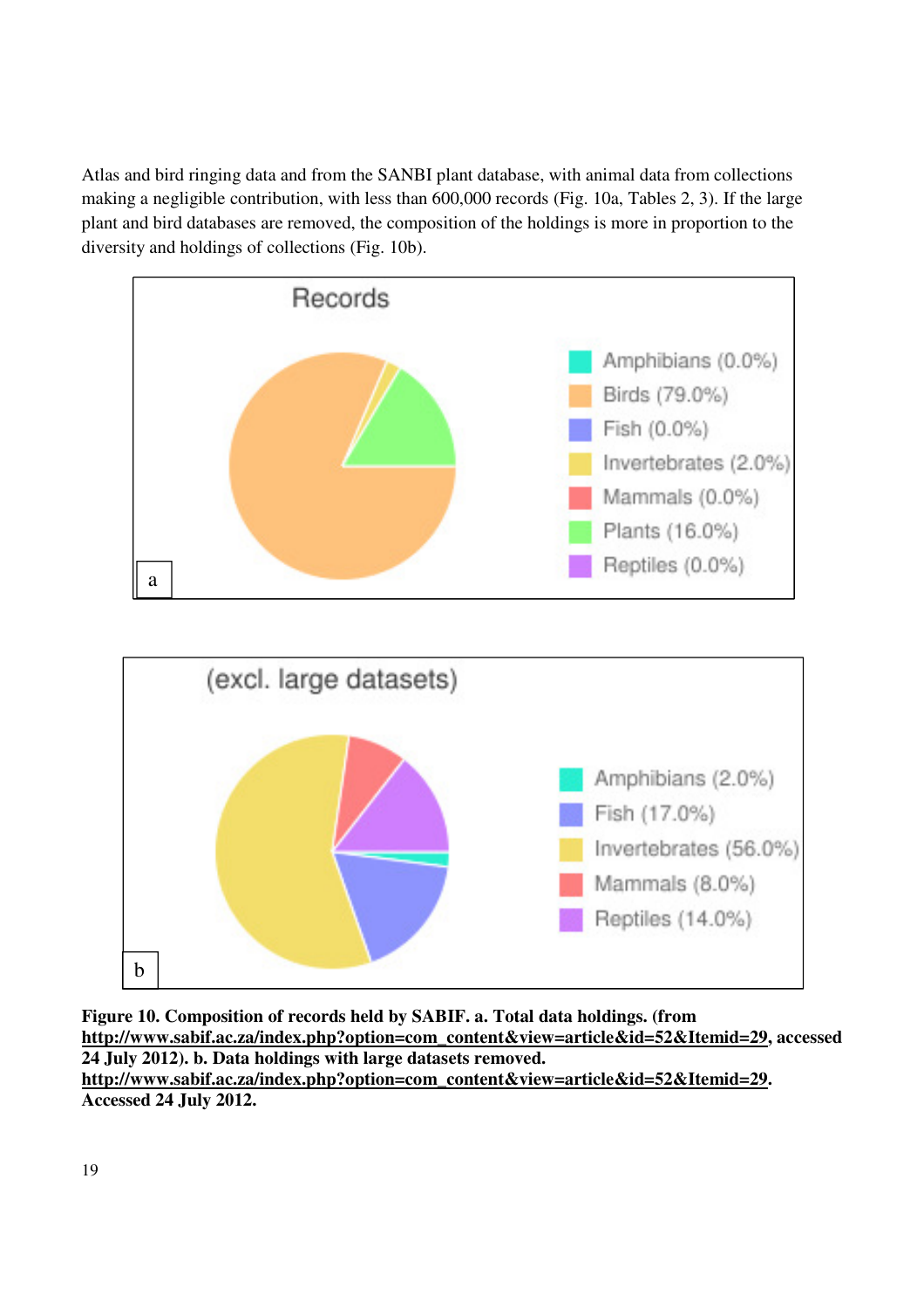Atlas and bird ringing data and from the SANBI plant database, with animal data from collections making a negligible contribution, with less than 600,000 records (Fig. 10a, Tables 2, 3). If the large plant and bird databases are removed, the composition of the holdings is more in proportion to the diversity and holdings of collections (Fig. 10b).





**Figure 10. Composition of records held by SABIF. a. Total data holdings. (from http://www.sabif.ac.za/index.php?option=com\_content&view=article&id=52&Itemid=29, accessed 24 July 2012). b. Data holdings with large datasets removed. http://www.sabif.ac.za/index.php?option=com\_content&view=article&id=52&Itemid=29. Accessed 24 July 2012.**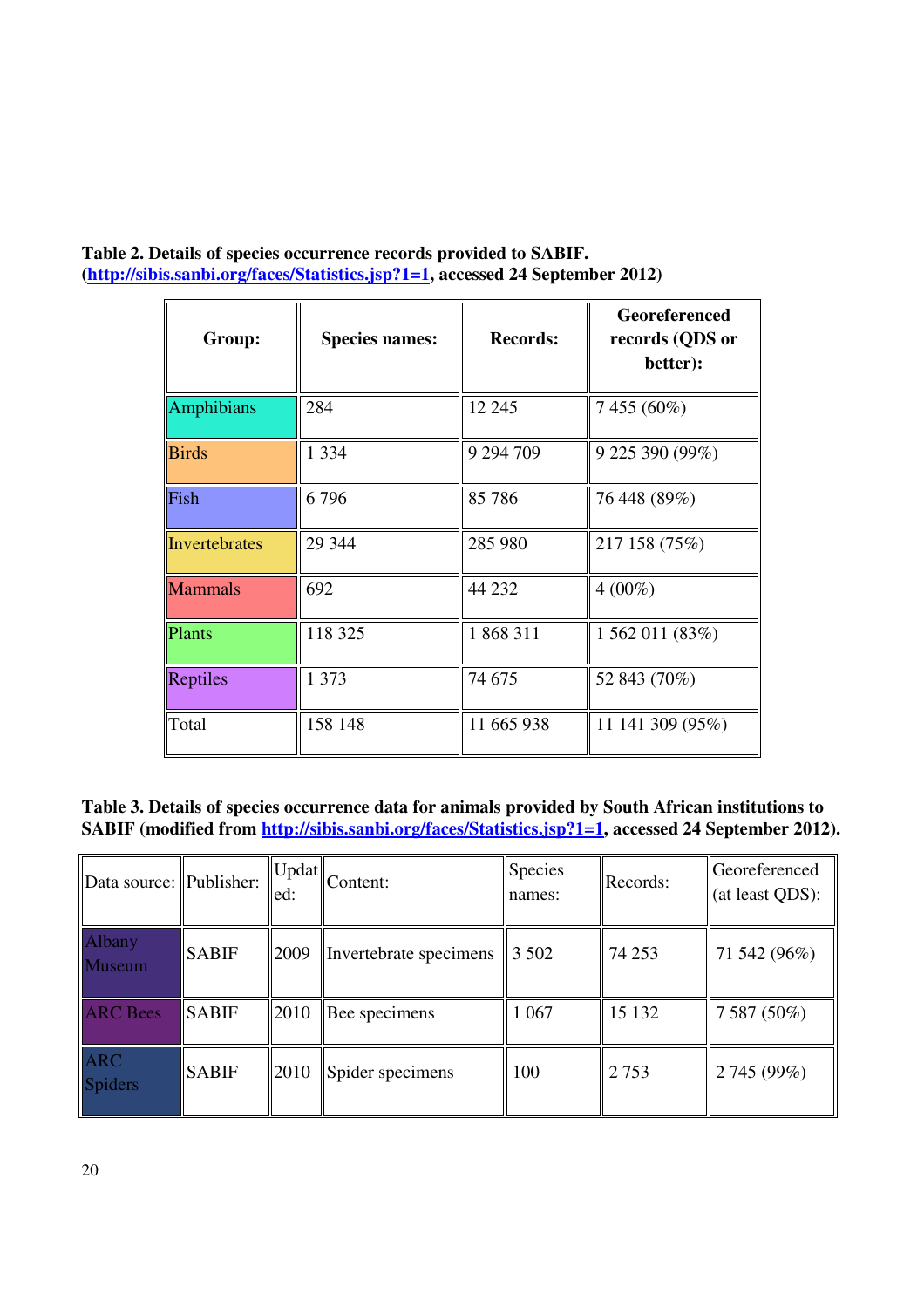| Group:         | <b>Species names:</b> | <b>Records:</b> | <b>Georeferenced</b><br>records (QDS or<br>better): |
|----------------|-----------------------|-----------------|-----------------------------------------------------|
| Amphibians     | 284                   | 12 2 45         | 7 455 (60%)                                         |
| <b>Birds</b>   | 1 3 3 4               | 9 294 709       | 9 225 390 (99%)                                     |
| Fish           | 6796                  | 85786           | 76 448 (89%)                                        |
| Invertebrates  | 29 344                | 285 980         | 217 158 (75%)                                       |
| <b>Mammals</b> | 692                   | 44 232          | $4(00\%)$                                           |
| Plants         | 118 325               | 1868311         | 1 562 011 (83%)                                     |
| Reptiles       | 1 373                 | 74 675          | 52 843 (70%)                                        |
| Total          | 158 148               | 11 665 938      | 11 141 309 (95%)                                    |

## **Table 2. Details of species occurrence records provided to SABIF. (http://sibis.sanbi.org/faces/Statistics.jsp?1=1, accessed 24 September 2012)**

**Table 3. Details of species occurrence data for animals provided by South African institutions to SABIF (modified from http://sibis.sanbi.org/faces/Statistics.jsp?1=1, accessed 24 September 2012).** 

| Data source: Publisher: |              | Updat<br>ed: | Content:               | Species<br>Inames: | Records: | Georeferenced<br>(at least QDS): |
|-------------------------|--------------|--------------|------------------------|--------------------|----------|----------------------------------|
| Albany<br>Museum        | <b>SABIF</b> | 2009         | Invertebrate specimens | 3 5 0 2            | 74 253   | 71 542 (96%)                     |
| <b>ARC</b> Bees         | <b>SABIF</b> | 2010         | Bee specimens          | 1 0 67             | 15 132   | 7 587 (50%)                      |
| <b>ARC</b><br>Spiders   | <b>SABIF</b> | 2010         | Spider specimens       | 100                | 2 7 5 3  | 2 745 (99%)                      |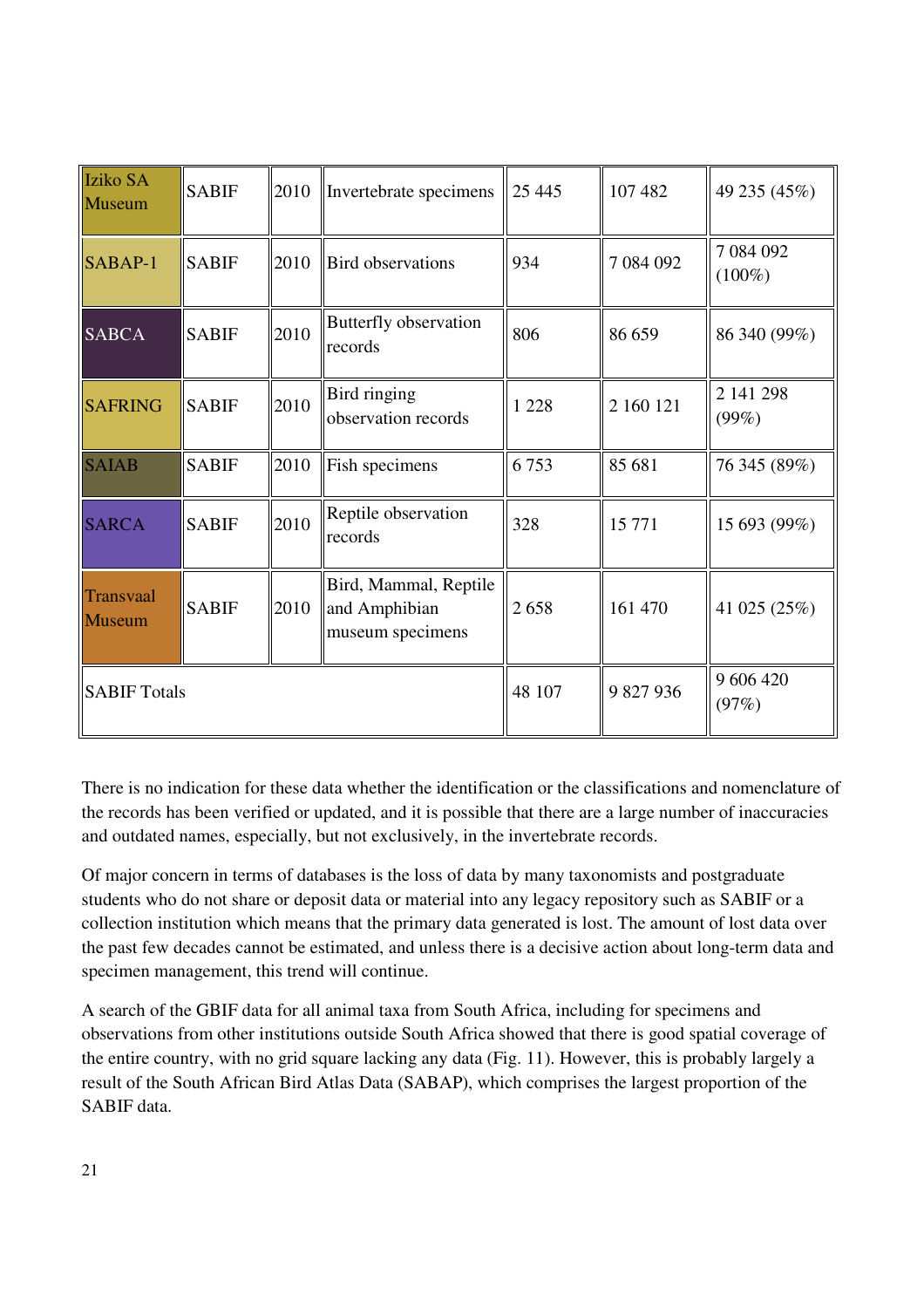| Iziko SA<br>Museum         | <b>SABIF</b> | 2010 | Invertebrate specimens                                     | 25 4 45 | 107 482   | 49 235 (45%)           |
|----------------------------|--------------|------|------------------------------------------------------------|---------|-----------|------------------------|
| SABAP-1                    | <b>SABIF</b> | 2010 | <b>Bird observations</b>                                   | 934     | 7 084 092 | 7 084 092<br>$(100\%)$ |
| <b>SABCA</b>               | <b>SABIF</b> | 2010 | Butterfly observation<br>records                           | 806     | 86 659    | 86 340 (99%)           |
| <b>SAFRING</b>             | <b>SABIF</b> | 2010 | Bird ringing<br>observation records                        | 1 2 2 8 | 2 160 121 | 2 141 298<br>(99%)     |
| <b>SAIAB</b>               | <b>SABIF</b> | 2010 | Fish specimens                                             | 6753    | 85 681    | 76 345 (89%)           |
| <b>SARCA</b>               | <b>SABIF</b> | 2010 | Reptile observation<br>records                             | 328     | 15 771    | 15 693 (99%)           |
| Transvaal<br><b>Museum</b> | <b>SABIF</b> | 2010 | Bird, Mammal, Reptile<br>and Amphibian<br>museum specimens | 2658    | 161 470   | 41 025 (25%)           |
| <b>SABIF Totals</b>        |              |      |                                                            | 48 107  | 9 827 936 | 9 606 420<br>(97%)     |

There is no indication for these data whether the identification or the classifications and nomenclature of the records has been verified or updated, and it is possible that there are a large number of inaccuracies and outdated names, especially, but not exclusively, in the invertebrate records.

Of major concern in terms of databases is the loss of data by many taxonomists and postgraduate students who do not share or deposit data or material into any legacy repository such as SABIF or a collection institution which means that the primary data generated is lost. The amount of lost data over the past few decades cannot be estimated, and unless there is a decisive action about long-term data and specimen management, this trend will continue.

A search of the GBIF data for all animal taxa from South Africa, including for specimens and observations from other institutions outside South Africa showed that there is good spatial coverage of the entire country, with no grid square lacking any data (Fig. 11). However, this is probably largely a result of the South African Bird Atlas Data (SABAP), which comprises the largest proportion of the SABIF data.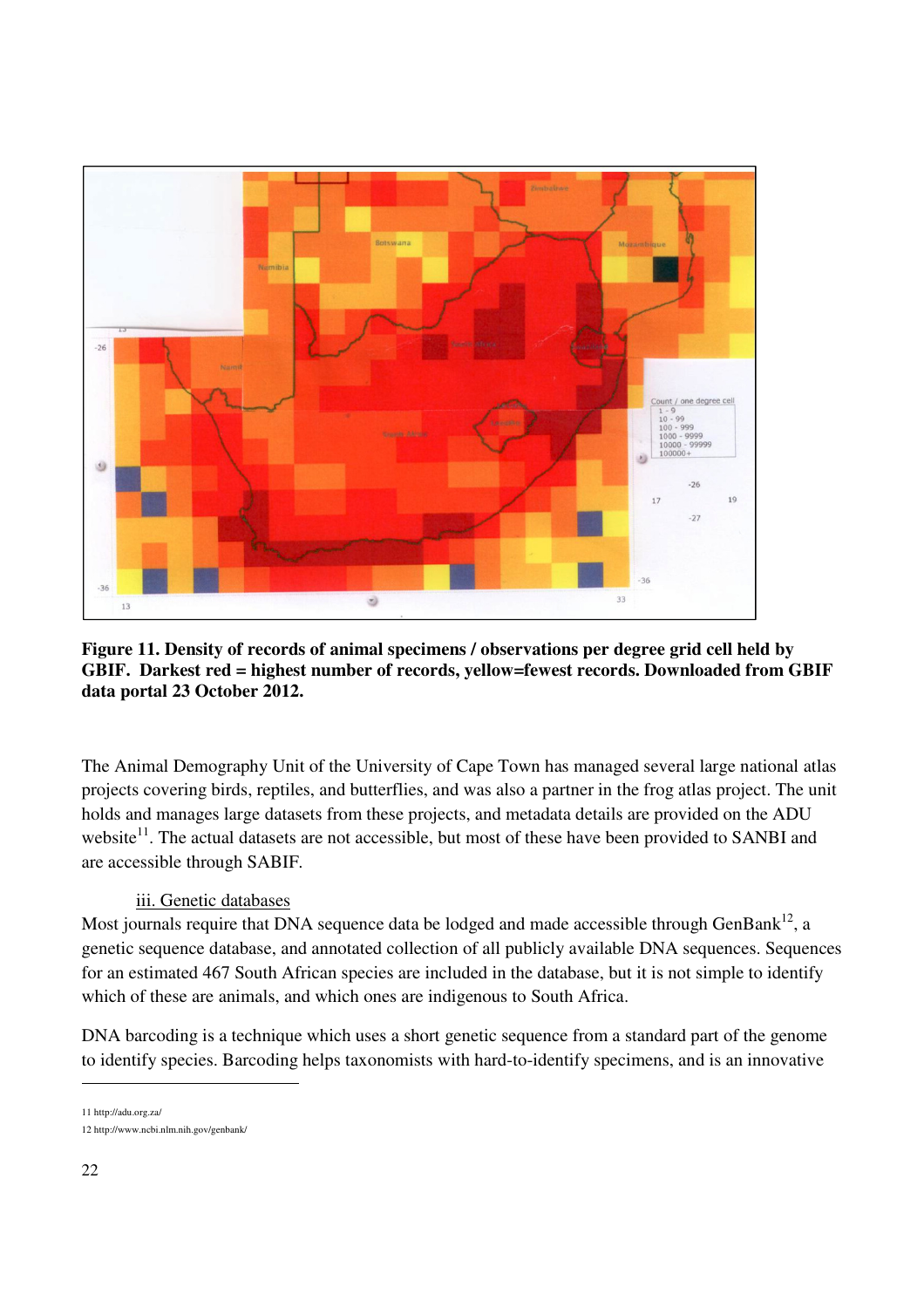

**Figure 11. Density of records of animal specimens / observations per degree grid cell held by GBIF. Darkest red = highest number of records, yellow=fewest records. Downloaded from GBIF data portal 23 October 2012.** 

The Animal Demography Unit of the University of Cape Town has managed several large national atlas projects covering birds, reptiles, and butterflies, and was also a partner in the frog atlas project. The unit holds and manages large datasets from these projects, and metadata details are provided on the ADU website<sup>11</sup>. The actual datasets are not accessible, but most of these have been provided to SANBI and are accessible through SABIF.

## iii. Genetic databases

Most journals require that DNA sequence data be lodged and made accessible through GenBank<sup>12</sup>, a genetic sequence database, and annotated collection of all publicly available DNA sequences. Sequences for an estimated 467 South African species are included in the database, but it is not simple to identify which of these are animals, and which ones are indigenous to South Africa.

DNA barcoding is a technique which uses a short genetic sequence from a standard part of the genome to identify species. Barcoding helps taxonomists with hard-to-identify specimens, and is an innovative

<sup>11</sup> http://adu.org.za/

<sup>12</sup> http://www.ncbi.nlm.nih.gov/genbank/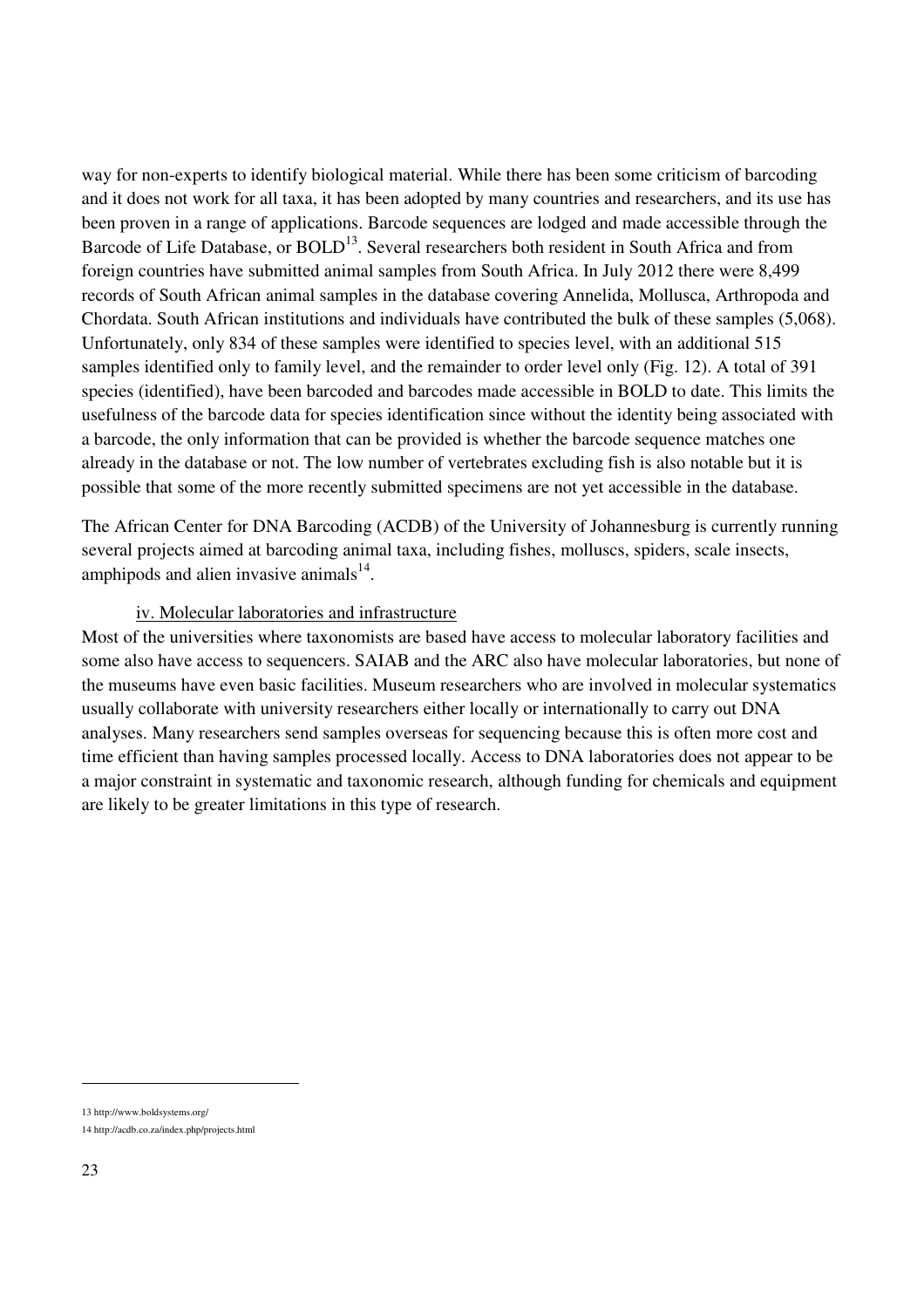way for non-experts to identify biological material. While there has been some criticism of barcoding and it does not work for all taxa, it has been adopted by many countries and researchers, and its use has been proven in a range of applications. Barcode sequences are lodged and made accessible through the Barcode of Life Database, or BOLD<sup>13</sup>. Several researchers both resident in South Africa and from foreign countries have submitted animal samples from South Africa. In July 2012 there were 8,499 records of South African animal samples in the database covering Annelida, Mollusca, Arthropoda and Chordata. South African institutions and individuals have contributed the bulk of these samples (5,068). Unfortunately, only 834 of these samples were identified to species level, with an additional 515 samples identified only to family level, and the remainder to order level only (Fig. 12). A total of 391 species (identified), have been barcoded and barcodes made accessible in BOLD to date. This limits the usefulness of the barcode data for species identification since without the identity being associated with a barcode, the only information that can be provided is whether the barcode sequence matches one already in the database or not. The low number of vertebrates excluding fish is also notable but it is possible that some of the more recently submitted specimens are not yet accessible in the database.

The African Center for DNA Barcoding (ACDB) of the University of Johannesburg is currently running several projects aimed at barcoding animal taxa, including fishes, molluscs, spiders, scale insects, amphipods and alien invasive animals $^{14}$ .

### iv. Molecular laboratories and infrastructure

Most of the universities where taxonomists are based have access to molecular laboratory facilities and some also have access to sequencers. SAIAB and the ARC also have molecular laboratories, but none of the museums have even basic facilities. Museum researchers who are involved in molecular systematics usually collaborate with university researchers either locally or internationally to carry out DNA analyses. Many researchers send samples overseas for sequencing because this is often more cost and time efficient than having samples processed locally. Access to DNA laboratories does not appear to be a major constraint in systematic and taxonomic research, although funding for chemicals and equipment are likely to be greater limitations in this type of research.

<sup>13</sup> http://www.boldsystems.org/

<sup>14</sup> http://acdb.co.za/index.php/projects.html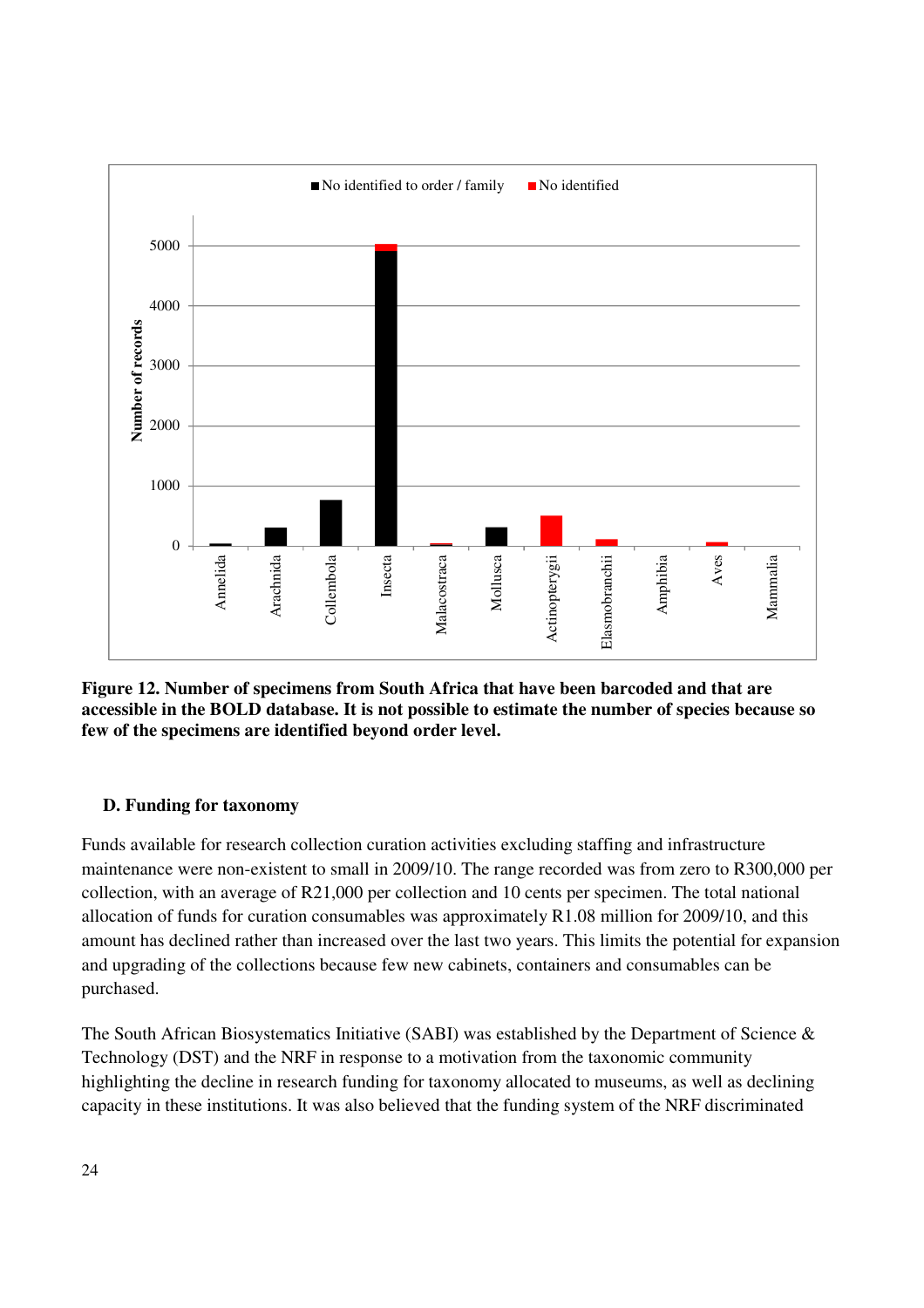



### **D. Funding for taxonomy**

Funds available for research collection curation activities excluding staffing and infrastructure maintenance were non-existent to small in 2009/10. The range recorded was from zero to R300,000 per collection, with an average of R21,000 per collection and 10 cents per specimen. The total national allocation of funds for curation consumables was approximately R1.08 million for 2009/10, and this amount has declined rather than increased over the last two years. This limits the potential for expansion and upgrading of the collections because few new cabinets, containers and consumables can be purchased.

The South African Biosystematics Initiative (SABI) was established by the Department of Science & Technology (DST) and the NRF in response to a motivation from the taxonomic community highlighting the decline in research funding for taxonomy allocated to museums, as well as declining capacity in these institutions. It was also believed that the funding system of the NRF discriminated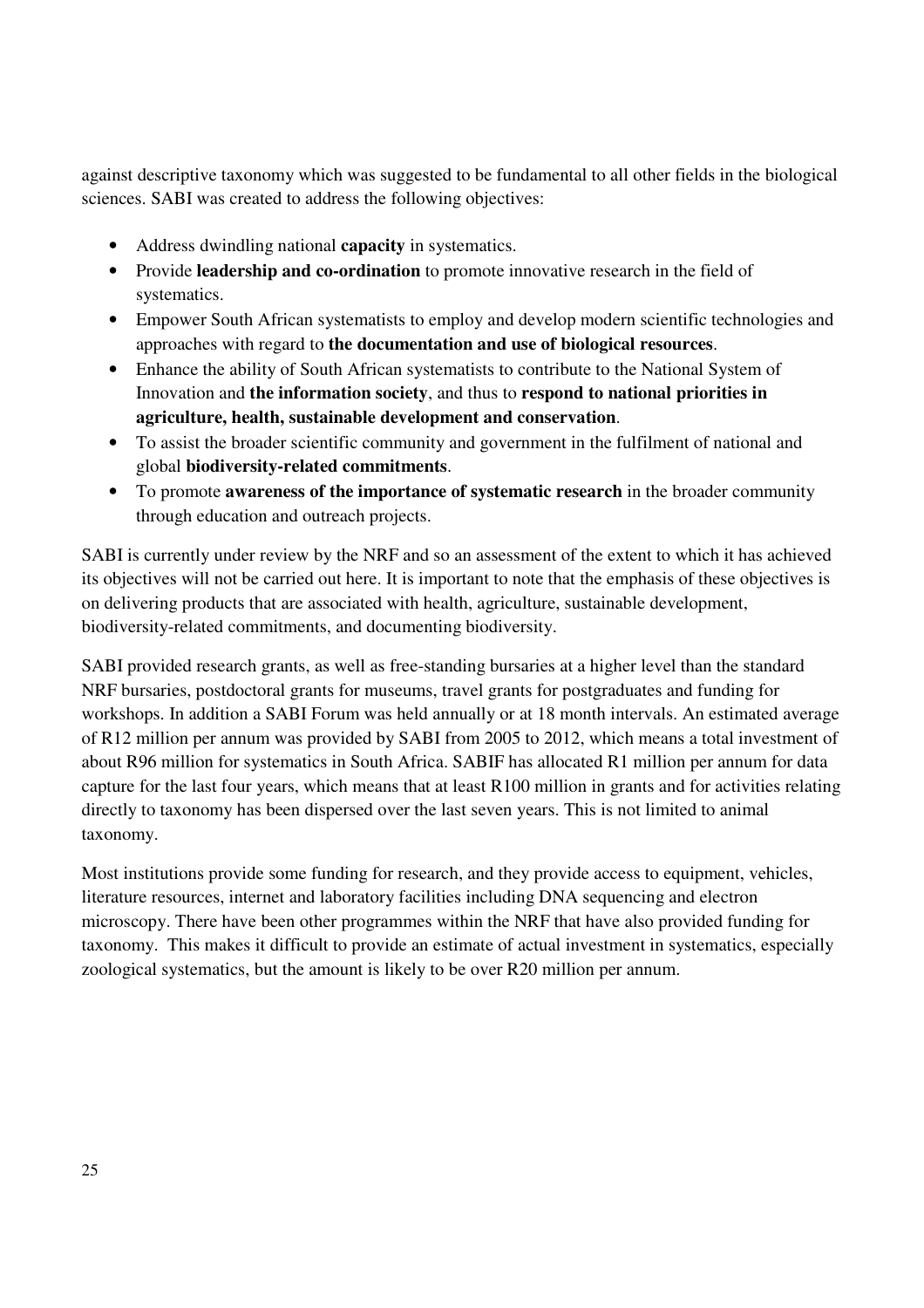against descriptive taxonomy which was suggested to be fundamental to all other fields in the biological sciences. SABI was created to address the following objectives:

- Address dwindling national **capacity** in systematics.
- Provide **leadership and co-ordination** to promote innovative research in the field of systematics.
- Empower South African systematists to employ and develop modern scientific technologies and approaches with regard to **the documentation and use of biological resources**.
- Enhance the ability of South African systematists to contribute to the National System of Innovation and **the information society**, and thus to **respond to national priorities in agriculture, health, sustainable development and conservation**.
- To assist the broader scientific community and government in the fulfilment of national and global **biodiversity-related commitments**.
- To promote **awareness of the importance of systematic research** in the broader community through education and outreach projects.

SABI is currently under review by the NRF and so an assessment of the extent to which it has achieved its objectives will not be carried out here. It is important to note that the emphasis of these objectives is on delivering products that are associated with health, agriculture, sustainable development, biodiversity-related commitments, and documenting biodiversity.

SABI provided research grants, as well as free-standing bursaries at a higher level than the standard NRF bursaries, postdoctoral grants for museums, travel grants for postgraduates and funding for workshops. In addition a SABI Forum was held annually or at 18 month intervals. An estimated average of R12 million per annum was provided by SABI from 2005 to 2012, which means a total investment of about R96 million for systematics in South Africa. SABIF has allocated R1 million per annum for data capture for the last four years, which means that at least R100 million in grants and for activities relating directly to taxonomy has been dispersed over the last seven years. This is not limited to animal taxonomy.

Most institutions provide some funding for research, and they provide access to equipment, vehicles, literature resources, internet and laboratory facilities including DNA sequencing and electron microscopy. There have been other programmes within the NRF that have also provided funding for taxonomy. This makes it difficult to provide an estimate of actual investment in systematics, especially zoological systematics, but the amount is likely to be over R20 million per annum.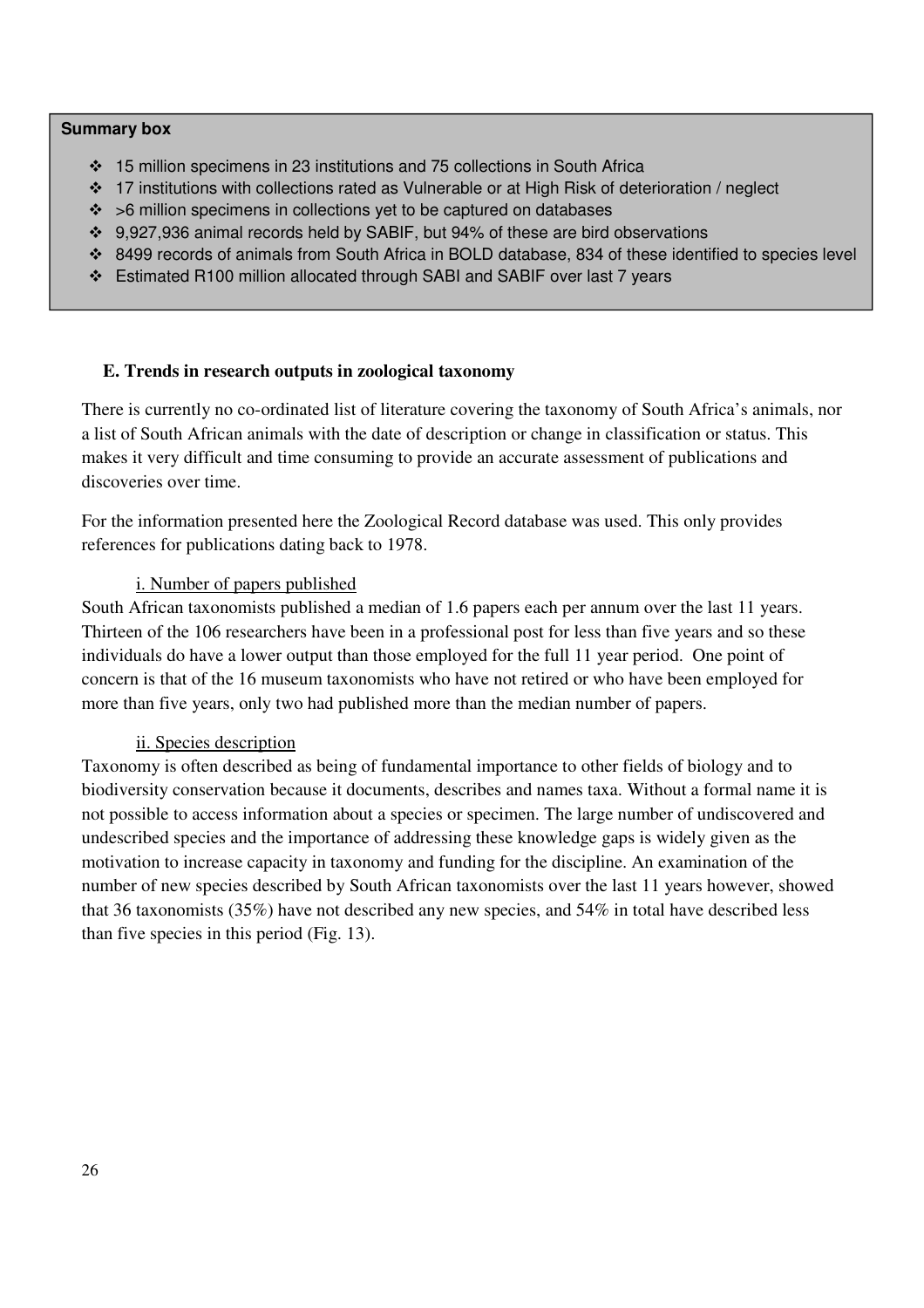### **Summary box**

- 15 million specimens in 23 institutions and 75 collections in South Africa
- 17 institutions with collections rated as Vulnerable or at High Risk of deterioration / neglect
- $\div$  >6 million specimens in collections yet to be captured on databases
- 9,927,936 animal records held by SABIF, but 94% of these are bird observations
- 8499 records of animals from South Africa in BOLD database, 834 of these identified to species level
- Estimated R100 million allocated through SABI and SABIF over last 7 years

### **E. Trends in research outputs in zoological taxonomy**

There is currently no co-ordinated list of literature covering the taxonomy of South Africa's animals, nor a list of South African animals with the date of description or change in classification or status. This makes it very difficult and time consuming to provide an accurate assessment of publications and discoveries over time.

For the information presented here the Zoological Record database was used. This only provides references for publications dating back to 1978.

### i. Number of papers published

South African taxonomists published a median of 1.6 papers each per annum over the last 11 years. Thirteen of the 106 researchers have been in a professional post for less than five years and so these individuals do have a lower output than those employed for the full 11 year period. One point of concern is that of the 16 museum taxonomists who have not retired or who have been employed for more than five years, only two had published more than the median number of papers.

### ii. Species description

Taxonomy is often described as being of fundamental importance to other fields of biology and to biodiversity conservation because it documents, describes and names taxa. Without a formal name it is not possible to access information about a species or specimen. The large number of undiscovered and undescribed species and the importance of addressing these knowledge gaps is widely given as the motivation to increase capacity in taxonomy and funding for the discipline. An examination of the number of new species described by South African taxonomists over the last 11 years however, showed that 36 taxonomists (35%) have not described any new species, and 54% in total have described less than five species in this period (Fig. 13).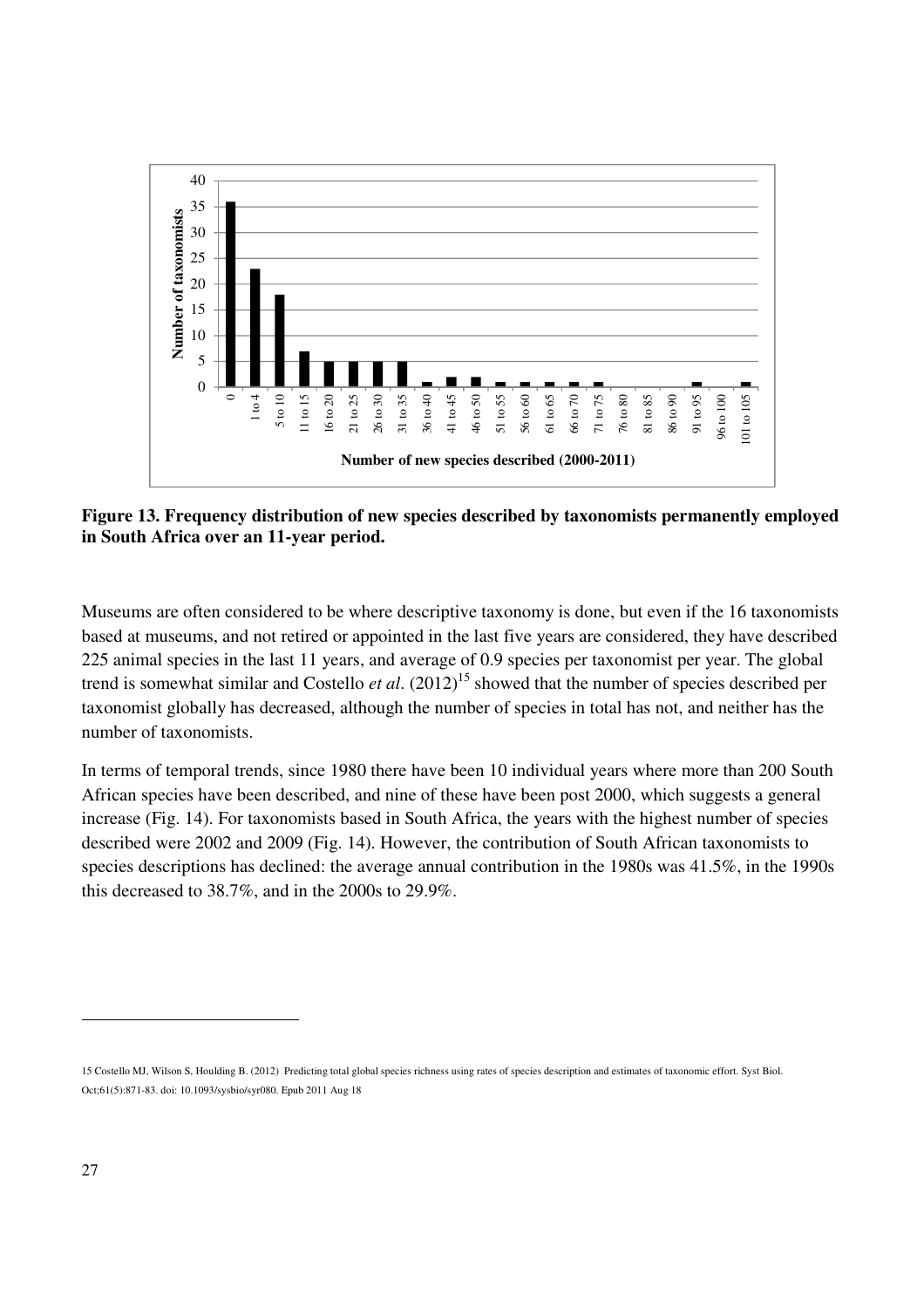

**Figure 13. Frequency distribution of new species described by taxonomists permanently employed in South Africa over an 11-year period.** 

Museums are often considered to be where descriptive taxonomy is done, but even if the 16 taxonomists based at museums, and not retired or appointed in the last five years are considered, they have described 225 animal species in the last 11 years, and average of 0.9 species per taxonomist per year. The global trend is somewhat similar and Costello *et al.* (2012)<sup>15</sup> showed that the number of species described per taxonomist globally has decreased, although the number of species in total has not, and neither has the number of taxonomists.

In terms of temporal trends, since 1980 there have been 10 individual years where more than 200 South African species have been described, and nine of these have been post 2000, which suggests a general increase (Fig. 14). For taxonomists based in South Africa, the years with the highest number of species described were 2002 and 2009 (Fig. 14). However, the contribution of South African taxonomists to species descriptions has declined: the average annual contribution in the 1980s was 41.5%, in the 1990s this decreased to 38.7%, and in the 2000s to 29.9%.

1

<sup>15</sup> Costello MJ, Wilson S, Houlding B. (2012) Predicting total global species richness using rates of species description and estimates of taxonomic effort. Syst Biol. Oct;61(5):871-83. doi: 10.1093/sysbio/syr080. Epub 2011 Aug 18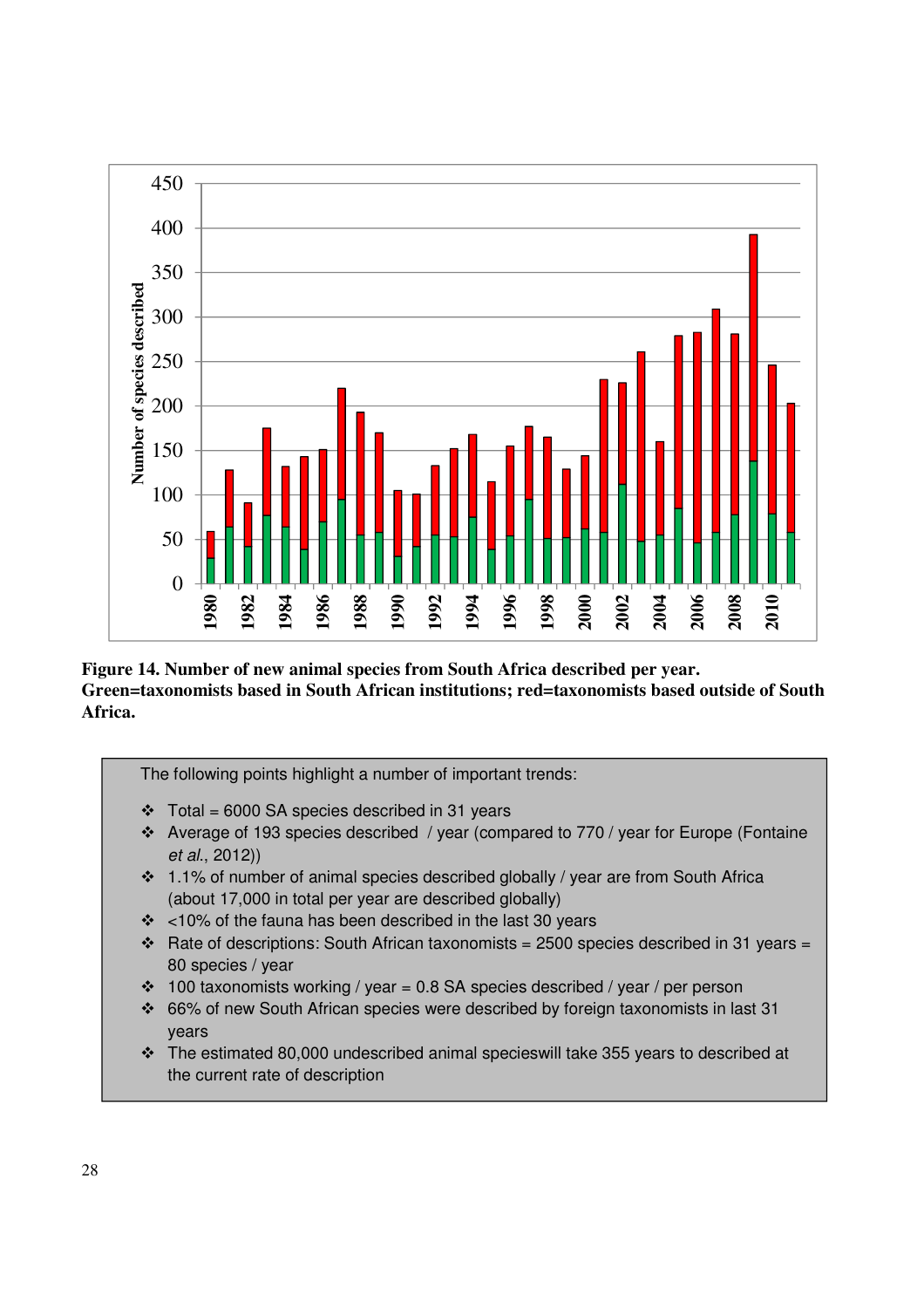

**Figure 14. Number of new animal species from South Africa described per year. Green=taxonomists based in South African institutions; red=taxonomists based outside of South Africa.** 

The following points highlight a number of important trends:

- $\div$  Total = 6000 SA species described in 31 years
- Average of 193 species described / year (compared to 770 / year for Europe (Fontaine et al., 2012))
- $\div$  1.1% of number of animal species described globally / year are from South Africa (about 17,000 in total per year are described globally)
- $\div$  <10% of the fauna has been described in the last 30 years
- Rate of descriptions: South African taxonomists = 2500 species described in 31 years = 80 species / year
- $\div$  100 taxonomists working / year = 0.8 SA species described / year / per person
- 66% of new South African species were described by foreign taxonomists in last 31 years
- The estimated 80,000 undescribed animal specieswill take 355 years to described at the current rate of description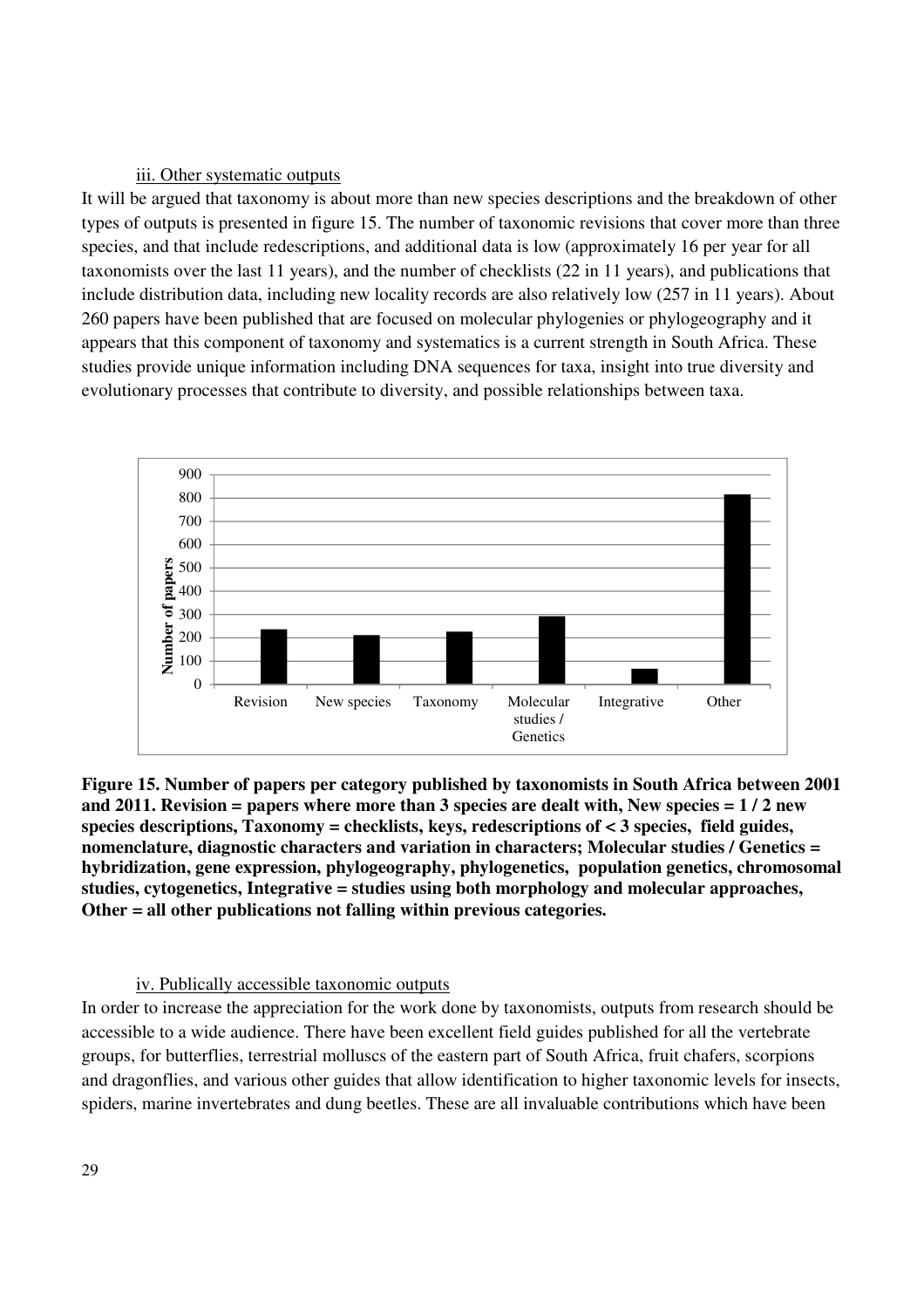#### iii. Other systematic outputs

It will be argued that taxonomy is about more than new species descriptions and the breakdown of other types of outputs is presented in figure 15. The number of taxonomic revisions that cover more than three species, and that include redescriptions, and additional data is low (approximately 16 per year for all taxonomists over the last 11 years), and the number of checklists (22 in 11 years), and publications that include distribution data, including new locality records are also relatively low (257 in 11 years). About 260 papers have been published that are focused on molecular phylogenies or phylogeography and it appears that this component of taxonomy and systematics is a current strength in South Africa. These studies provide unique information including DNA sequences for taxa, insight into true diversity and evolutionary processes that contribute to diversity, and possible relationships between taxa.



**Figure 15. Number of papers per category published by taxonomists in South Africa between 2001 and 2011. Revision = papers where more than 3 species are dealt with, New species = 1 / 2 new species descriptions, Taxonomy = checklists, keys, redescriptions of < 3 species, field guides, nomenclature, diagnostic characters and variation in characters; Molecular studies / Genetics = hybridization, gene expression, phylogeography, phylogenetics, population genetics, chromosomal studies, cytogenetics, Integrative = studies using both morphology and molecular approaches, Other = all other publications not falling within previous categories.** 

#### iv. Publically accessible taxonomic outputs

In order to increase the appreciation for the work done by taxonomists, outputs from research should be accessible to a wide audience. There have been excellent field guides published for all the vertebrate groups, for butterflies, terrestrial molluscs of the eastern part of South Africa, fruit chafers, scorpions and dragonflies, and various other guides that allow identification to higher taxonomic levels for insects, spiders, marine invertebrates and dung beetles. These are all invaluable contributions which have been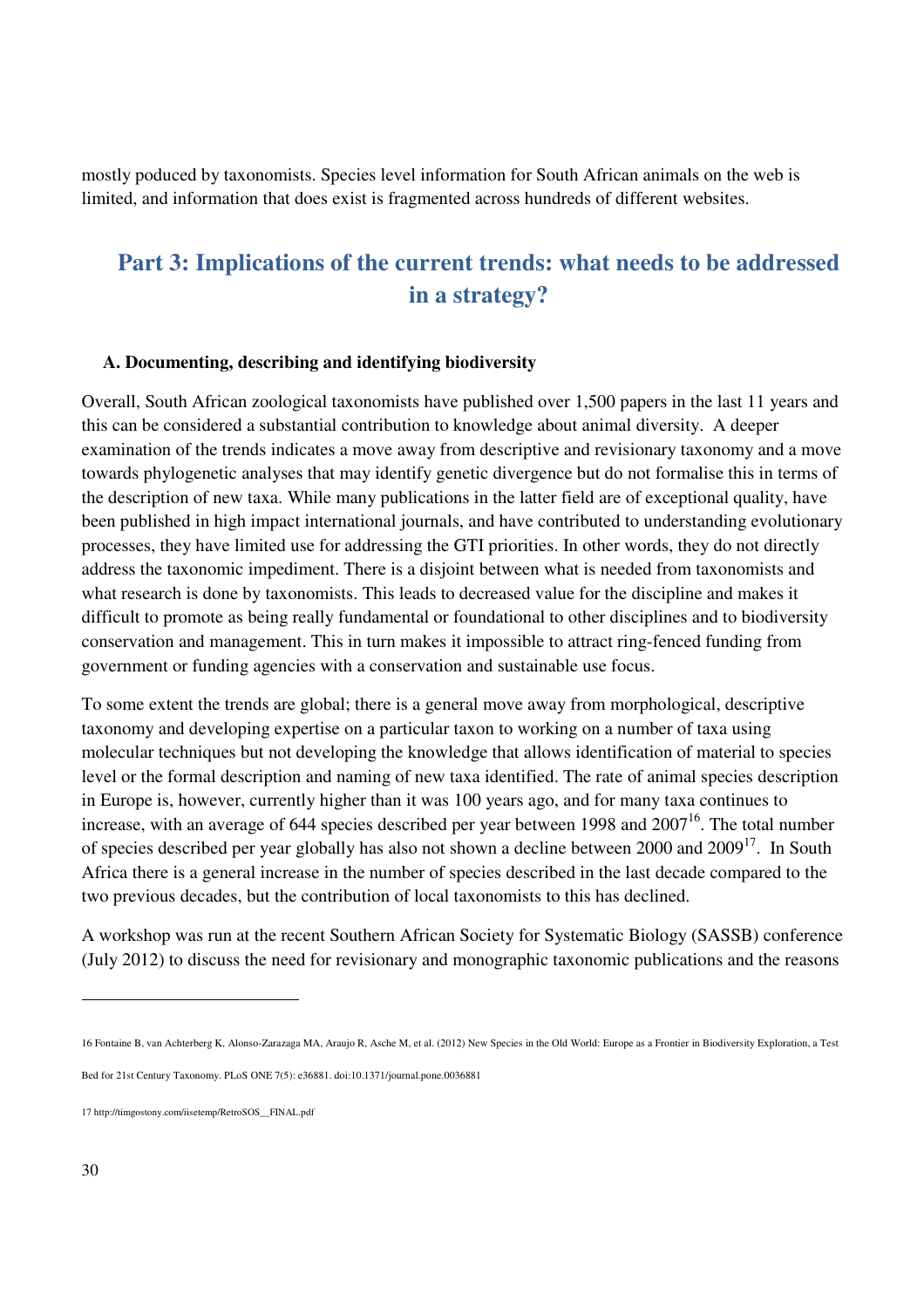mostly poduced by taxonomists. Species level information for South African animals on the web is limited, and information that does exist is fragmented across hundreds of different websites.

## **Part 3: Implications of the current trends: what needs to be addressed in a strategy?**

### **A. Documenting, describing and identifying biodiversity**

Overall, South African zoological taxonomists have published over 1,500 papers in the last 11 years and this can be considered a substantial contribution to knowledge about animal diversity. A deeper examination of the trends indicates a move away from descriptive and revisionary taxonomy and a move towards phylogenetic analyses that may identify genetic divergence but do not formalise this in terms of the description of new taxa. While many publications in the latter field are of exceptional quality, have been published in high impact international journals, and have contributed to understanding evolutionary processes, they have limited use for addressing the GTI priorities. In other words, they do not directly address the taxonomic impediment. There is a disjoint between what is needed from taxonomists and what research is done by taxonomists. This leads to decreased value for the discipline and makes it difficult to promote as being really fundamental or foundational to other disciplines and to biodiversity conservation and management. This in turn makes it impossible to attract ring-fenced funding from government or funding agencies with a conservation and sustainable use focus.

To some extent the trends are global; there is a general move away from morphological, descriptive taxonomy and developing expertise on a particular taxon to working on a number of taxa using molecular techniques but not developing the knowledge that allows identification of material to species level or the formal description and naming of new taxa identified. The rate of animal species description in Europe is, however, currently higher than it was 100 years ago, and for many taxa continues to increase, with an average of 644 species described per year between 1998 and 2007<sup>16</sup>. The total number of species described per year globally has also not shown a decline between 2000 and 2009<sup>17</sup>. In South Africa there is a general increase in the number of species described in the last decade compared to the two previous decades, but the contribution of local taxonomists to this has declined.

A workshop was run at the recent Southern African Society for Systematic Biology (SASSB) conference (July 2012) to discuss the need for revisionary and monographic taxonomic publications and the reasons

 $\overline{a}$ 

<sup>16</sup> Fontaine B, van Achterberg K, Alonso-Zarazaga MA, Araujo R, Asche M, et al. (2012) New Species in the Old World: Europe as a Frontier in Biodiversity Exploration, a Test

Bed for 21st Century Taxonomy. PLoS ONE 7(5): e36881. doi:10.1371/journal.pone.0036881

<sup>17</sup> http://timgostony.com/iisetemp/RetroSOS\_\_FINAL.pdf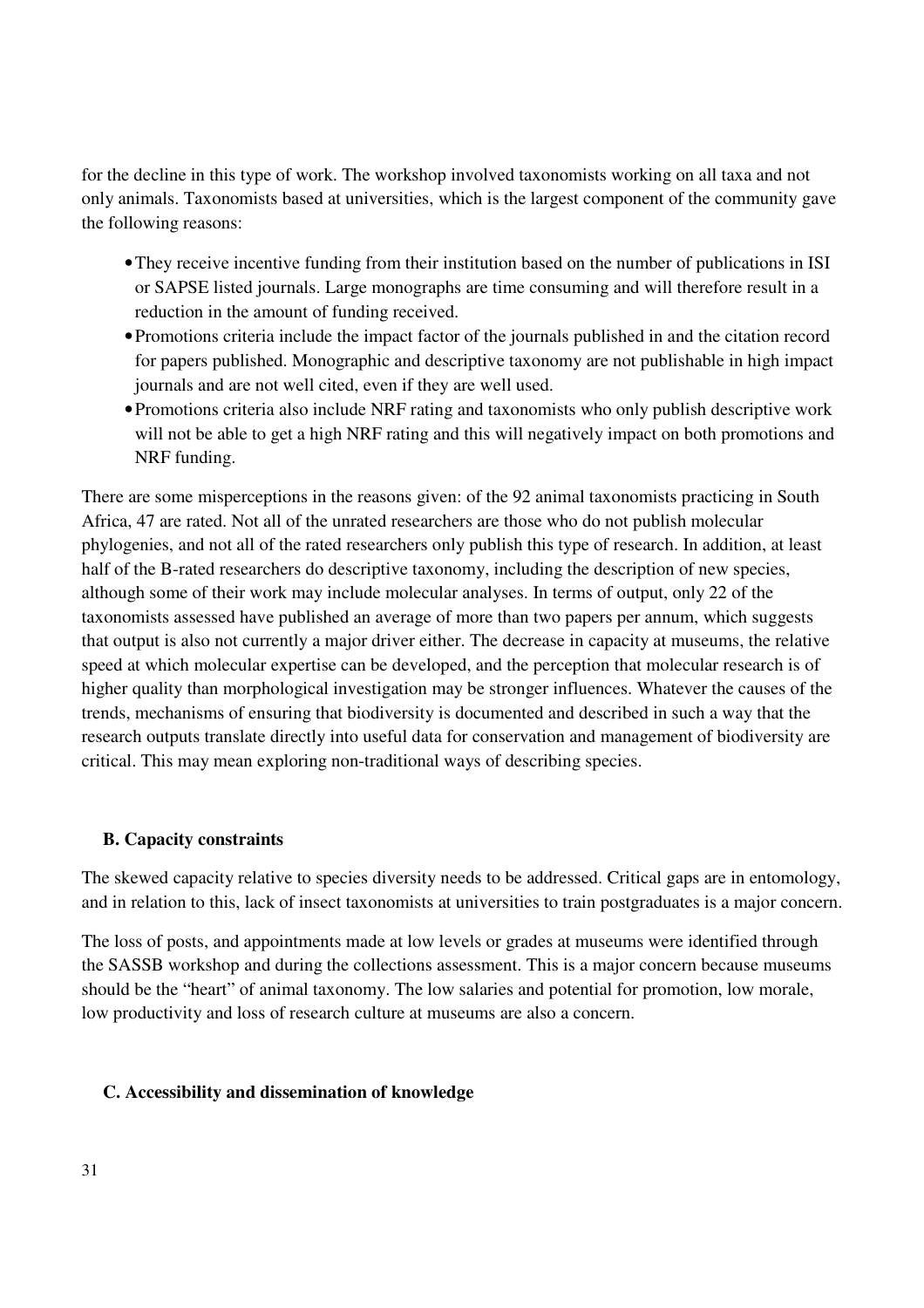for the decline in this type of work. The workshop involved taxonomists working on all taxa and not only animals. Taxonomists based at universities, which is the largest component of the community gave the following reasons:

- They receive incentive funding from their institution based on the number of publications in ISI or SAPSE listed journals. Large monographs are time consuming and will therefore result in a reduction in the amount of funding received.
- •Promotions criteria include the impact factor of the journals published in and the citation record for papers published. Monographic and descriptive taxonomy are not publishable in high impact journals and are not well cited, even if they are well used.
- •Promotions criteria also include NRF rating and taxonomists who only publish descriptive work will not be able to get a high NRF rating and this will negatively impact on both promotions and NRF funding.

There are some misperceptions in the reasons given: of the 92 animal taxonomists practicing in South Africa, 47 are rated. Not all of the unrated researchers are those who do not publish molecular phylogenies, and not all of the rated researchers only publish this type of research. In addition, at least half of the B-rated researchers do descriptive taxonomy, including the description of new species, although some of their work may include molecular analyses. In terms of output, only 22 of the taxonomists assessed have published an average of more than two papers per annum, which suggests that output is also not currently a major driver either. The decrease in capacity at museums, the relative speed at which molecular expertise can be developed, and the perception that molecular research is of higher quality than morphological investigation may be stronger influences. Whatever the causes of the trends, mechanisms of ensuring that biodiversity is documented and described in such a way that the research outputs translate directly into useful data for conservation and management of biodiversity are critical. This may mean exploring non-traditional ways of describing species.

### **B. Capacity constraints**

The skewed capacity relative to species diversity needs to be addressed. Critical gaps are in entomology, and in relation to this, lack of insect taxonomists at universities to train postgraduates is a major concern.

The loss of posts, and appointments made at low levels or grades at museums were identified through the SASSB workshop and during the collections assessment. This is a major concern because museums should be the "heart" of animal taxonomy. The low salaries and potential for promotion, low morale, low productivity and loss of research culture at museums are also a concern.

### **C. Accessibility and dissemination of knowledge**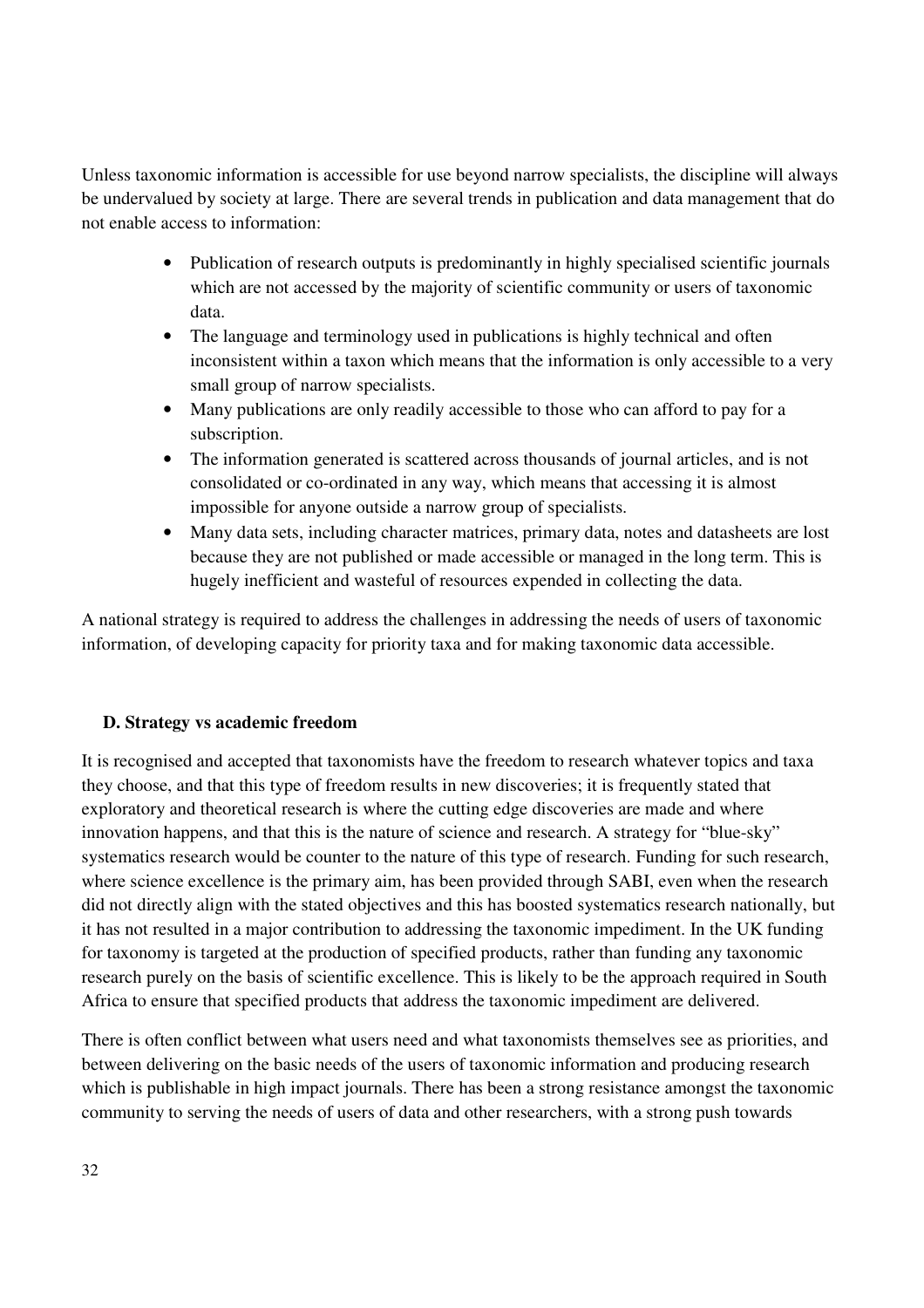Unless taxonomic information is accessible for use beyond narrow specialists, the discipline will always be undervalued by society at large. There are several trends in publication and data management that do not enable access to information:

- Publication of research outputs is predominantly in highly specialised scientific journals which are not accessed by the majority of scientific community or users of taxonomic data.
- The language and terminology used in publications is highly technical and often inconsistent within a taxon which means that the information is only accessible to a very small group of narrow specialists.
- Many publications are only readily accessible to those who can afford to pay for a subscription.
- The information generated is scattered across thousands of journal articles, and is not consolidated or co-ordinated in any way, which means that accessing it is almost impossible for anyone outside a narrow group of specialists.
- Many data sets, including character matrices, primary data, notes and datasheets are lost because they are not published or made accessible or managed in the long term. This is hugely inefficient and wasteful of resources expended in collecting the data.

A national strategy is required to address the challenges in addressing the needs of users of taxonomic information, of developing capacity for priority taxa and for making taxonomic data accessible.

## **D. Strategy vs academic freedom**

It is recognised and accepted that taxonomists have the freedom to research whatever topics and taxa they choose, and that this type of freedom results in new discoveries; it is frequently stated that exploratory and theoretical research is where the cutting edge discoveries are made and where innovation happens, and that this is the nature of science and research. A strategy for "blue-sky" systematics research would be counter to the nature of this type of research. Funding for such research, where science excellence is the primary aim, has been provided through SABI, even when the research did not directly align with the stated objectives and this has boosted systematics research nationally, but it has not resulted in a major contribution to addressing the taxonomic impediment. In the UK funding for taxonomy is targeted at the production of specified products, rather than funding any taxonomic research purely on the basis of scientific excellence. This is likely to be the approach required in South Africa to ensure that specified products that address the taxonomic impediment are delivered.

There is often conflict between what users need and what taxonomists themselves see as priorities, and between delivering on the basic needs of the users of taxonomic information and producing research which is publishable in high impact journals. There has been a strong resistance amongst the taxonomic community to serving the needs of users of data and other researchers, with a strong push towards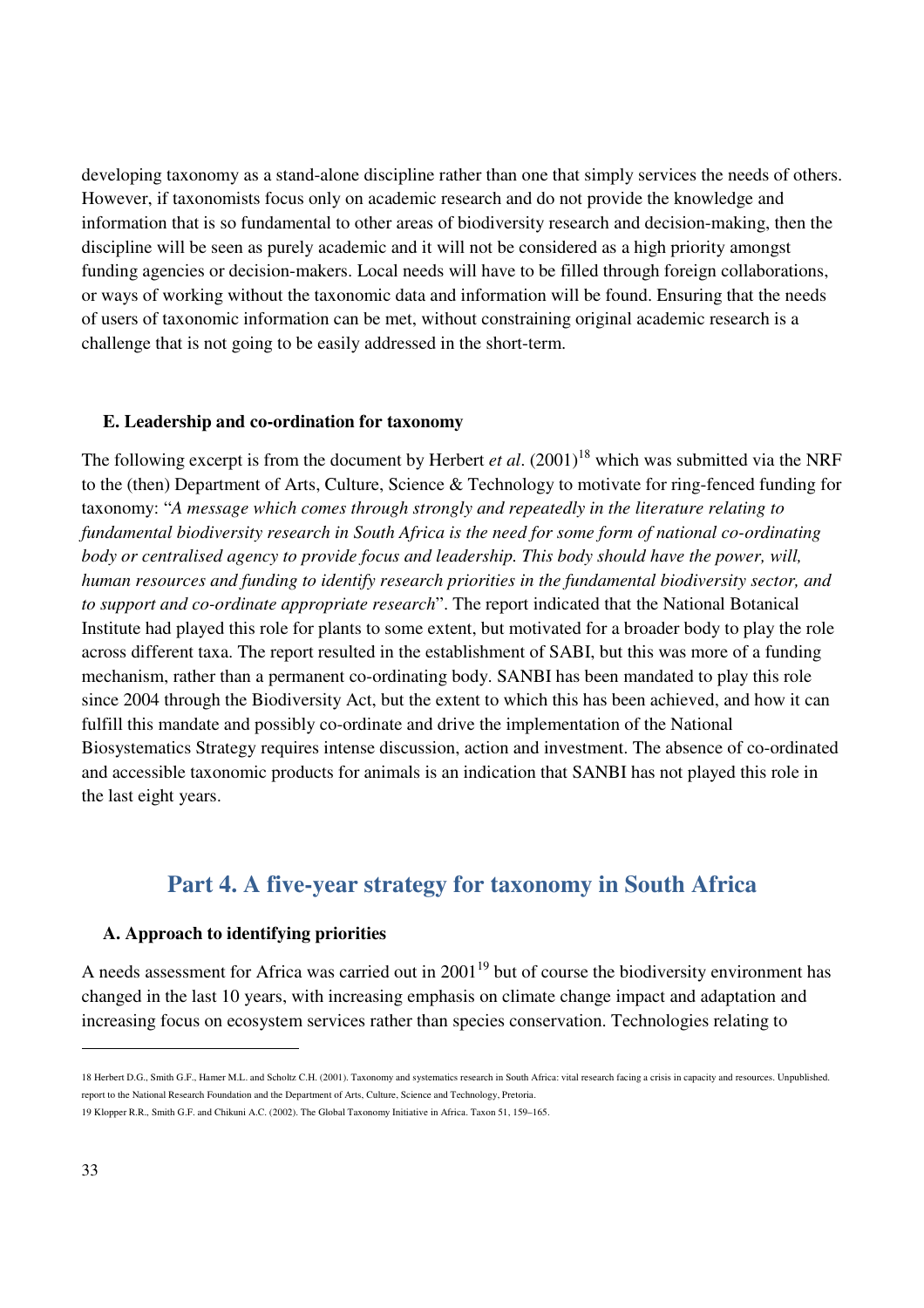developing taxonomy as a stand-alone discipline rather than one that simply services the needs of others. However, if taxonomists focus only on academic research and do not provide the knowledge and information that is so fundamental to other areas of biodiversity research and decision-making, then the discipline will be seen as purely academic and it will not be considered as a high priority amongst funding agencies or decision-makers. Local needs will have to be filled through foreign collaborations, or ways of working without the taxonomic data and information will be found. Ensuring that the needs of users of taxonomic information can be met, without constraining original academic research is a challenge that is not going to be easily addressed in the short-term.

### **E. Leadership and co-ordination for taxonomy**

The following excerpt is from the document by Herbert *et al.*  $(2001)^{18}$  which was submitted via the NRF to the (then) Department of Arts, Culture, Science & Technology to motivate for ring-fenced funding for taxonomy: "*A message which comes through strongly and repeatedly in the literature relating to fundamental biodiversity research in South Africa is the need for some form of national co-ordinating body or centralised agency to provide focus and leadership. This body should have the power, will, human resources and funding to identify research priorities in the fundamental biodiversity sector, and to support and co-ordinate appropriate research*". The report indicated that the National Botanical Institute had played this role for plants to some extent, but motivated for a broader body to play the role across different taxa. The report resulted in the establishment of SABI, but this was more of a funding mechanism, rather than a permanent co-ordinating body. SANBI has been mandated to play this role since 2004 through the Biodiversity Act, but the extent to which this has been achieved, and how it can fulfill this mandate and possibly co-ordinate and drive the implementation of the National Biosystematics Strategy requires intense discussion, action and investment. The absence of co-ordinated and accessible taxonomic products for animals is an indication that SANBI has not played this role in the last eight years.

## **Part 4. A five-year strategy for taxonomy in South Africa**

### **A. Approach to identifying priorities**

A needs assessment for Africa was carried out in  $2001^{19}$  but of course the biodiversity environment has changed in the last 10 years, with increasing emphasis on climate change impact and adaptation and increasing focus on ecosystem services rather than species conservation. Technologies relating to

1

<sup>18</sup> Herbert D.G., Smith G.F., Hamer M.L. and Scholtz C.H. (2001). Taxonomy and systematics research in South Africa: vital research facing a crisis in capacity and resources. Unpublished. report to the National Research Foundation and the Department of Arts, Culture, Science and Technology, Pretoria.

<sup>19</sup> Klopper R.R., Smith G.F. and Chikuni A.C. (2002). The Global Taxonomy Initiative in Africa. Taxon 51, 159–165.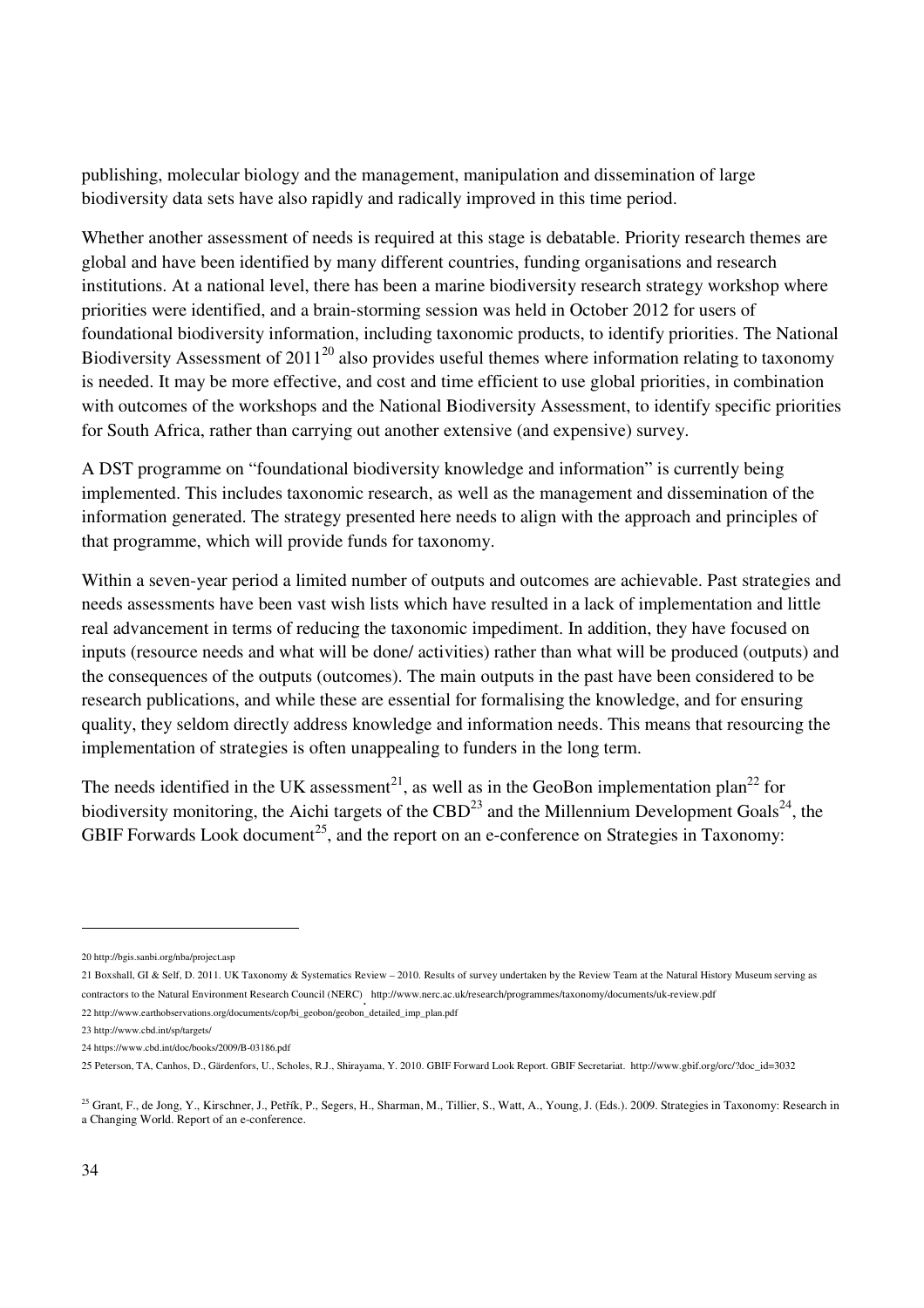publishing, molecular biology and the management, manipulation and dissemination of large biodiversity data sets have also rapidly and radically improved in this time period.

Whether another assessment of needs is required at this stage is debatable. Priority research themes are global and have been identified by many different countries, funding organisations and research institutions. At a national level, there has been a marine biodiversity research strategy workshop where priorities were identified, and a brain-storming session was held in October 2012 for users of foundational biodiversity information, including taxonomic products, to identify priorities. The National Biodiversity Assessment of  $2011^{20}$  also provides useful themes where information relating to taxonomy is needed. It may be more effective, and cost and time efficient to use global priorities, in combination with outcomes of the workshops and the National Biodiversity Assessment, to identify specific priorities for South Africa, rather than carrying out another extensive (and expensive) survey.

A DST programme on "foundational biodiversity knowledge and information" is currently being implemented. This includes taxonomic research, as well as the management and dissemination of the information generated. The strategy presented here needs to align with the approach and principles of that programme, which will provide funds for taxonomy.

Within a seven-year period a limited number of outputs and outcomes are achievable. Past strategies and needs assessments have been vast wish lists which have resulted in a lack of implementation and little real advancement in terms of reducing the taxonomic impediment. In addition, they have focused on inputs (resource needs and what will be done/ activities) rather than what will be produced (outputs) and the consequences of the outputs (outcomes). The main outputs in the past have been considered to be research publications, and while these are essential for formalising the knowledge, and for ensuring quality, they seldom directly address knowledge and information needs. This means that resourcing the implementation of strategies is often unappealing to funders in the long term.

The needs identified in the UK assessment<sup>21</sup>, as well as in the GeoBon implementation plan<sup>22</sup> for biodiversity monitoring, the Aichi targets of the  $CBD^{23}$  and the Millennium Development Goals<sup>24</sup>, the GBIF Forwards Look document<sup>25</sup>, and the report on an e-conference on Strategies in Taxonomy:

 $\overline{a}$ 

<sup>20</sup> http://bgis.sanbi.org/nba/project.asp

<sup>21</sup> Boxshall, GI & Self, D. 2011. UK Taxonomy & Systematics Review – 2010. Results of survey undertaken by the Review Team at the Natural History Museum serving as contractors to the Natural Environment Research Council (NERC) . http://www.nerc.ac.uk/research/programmes/taxonomy/documents/uk-review.pdf

<sup>22</sup> http://www.earthobservations.org/documents/cop/bi\_geobon/geobon\_detailed\_imp\_plan.pdf

<sup>23</sup> http://www.cbd.int/sp/targets/

<sup>24</sup> https://www.cbd.int/doc/books/2009/B-03186.pdf

<sup>25</sup> Peterson, TA, Canhos, D., Gärdenfors, U., Scholes, R.J., Shirayama, Y. 2010. GBIF Forward Look Report. GBIF Secretariat. http://www.gbif.org/orc/?doc\_id=3032

<sup>&</sup>lt;sup>25</sup> Grant, F., de Jong, Y., Kirschner, J., Petřík, P., Segers, H., Sharman, M., Tillier, S., Watt, A., Young, J. (Eds.). 2009. Strategies in Taxonomy: Research in a Changing World. Report of an e-conference.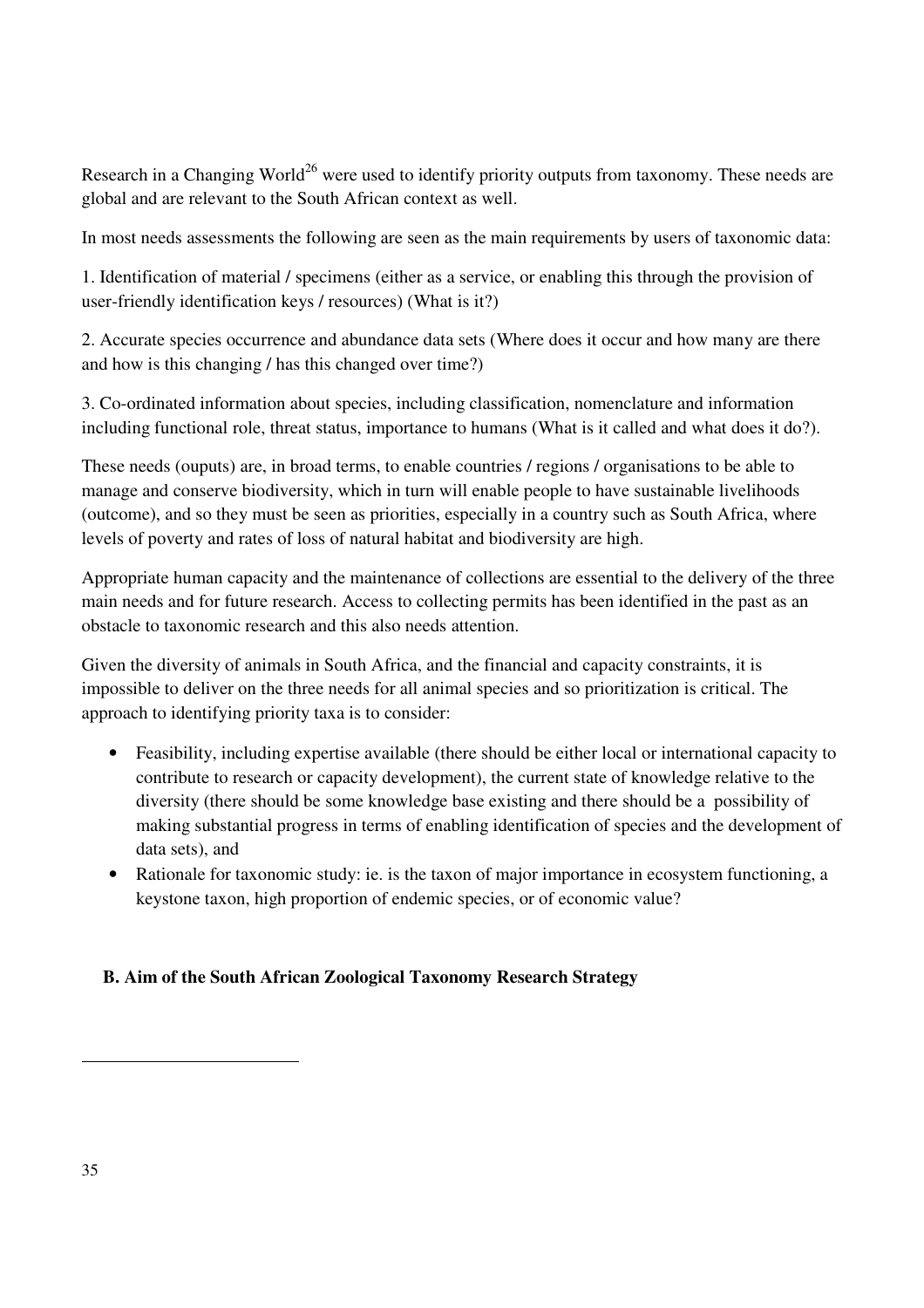Research in a Changing World<sup>26</sup> were used to identify priority outputs from taxonomy. These needs are global and are relevant to the South African context as well.

In most needs assessments the following are seen as the main requirements by users of taxonomic data:

1. Identification of material / specimens (either as a service, or enabling this through the provision of user-friendly identification keys / resources) (What is it?)

2. Accurate species occurrence and abundance data sets (Where does it occur and how many are there and how is this changing / has this changed over time?)

3. Co-ordinated information about species, including classification, nomenclature and information including functional role, threat status, importance to humans (What is it called and what does it do?).

These needs (ouputs) are, in broad terms, to enable countries / regions / organisations to be able to manage and conserve biodiversity, which in turn will enable people to have sustainable livelihoods (outcome), and so they must be seen as priorities, especially in a country such as South Africa, where levels of poverty and rates of loss of natural habitat and biodiversity are high.

Appropriate human capacity and the maintenance of collections are essential to the delivery of the three main needs and for future research. Access to collecting permits has been identified in the past as an obstacle to taxonomic research and this also needs attention.

Given the diversity of animals in South Africa, and the financial and capacity constraints, it is impossible to deliver on the three needs for all animal species and so prioritization is critical. The approach to identifying priority taxa is to consider:

- Feasibility, including expertise available (there should be either local or international capacity to contribute to research or capacity development), the current state of knowledge relative to the diversity (there should be some knowledge base existing and there should be a possibility of making substantial progress in terms of enabling identification of species and the development of data sets), and
- Rationale for taxonomic study: ie. is the taxon of major importance in ecosystem functioning, a keystone taxon, high proportion of endemic species, or of economic value?

## **B. Aim of the South African Zoological Taxonomy Research Strategy**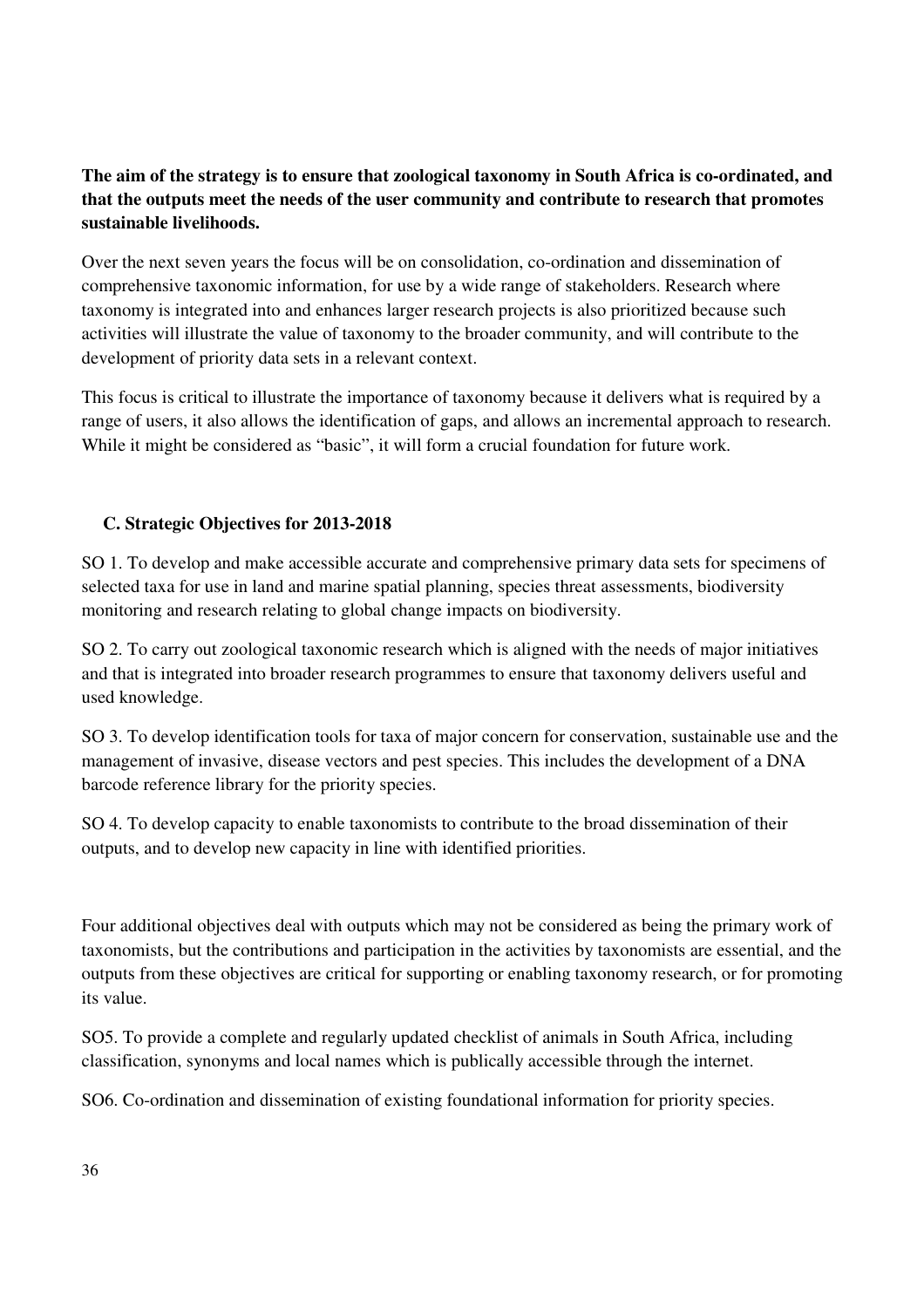## **The aim of the strategy is to ensure that zoological taxonomy in South Africa is co-ordinated, and that the outputs meet the needs of the user community and contribute to research that promotes sustainable livelihoods.**

Over the next seven years the focus will be on consolidation, co-ordination and dissemination of comprehensive taxonomic information, for use by a wide range of stakeholders. Research where taxonomy is integrated into and enhances larger research projects is also prioritized because such activities will illustrate the value of taxonomy to the broader community, and will contribute to the development of priority data sets in a relevant context.

This focus is critical to illustrate the importance of taxonomy because it delivers what is required by a range of users, it also allows the identification of gaps, and allows an incremental approach to research. While it might be considered as "basic", it will form a crucial foundation for future work.

## **C. Strategic Objectives for 2013-2018**

SO 1. To develop and make accessible accurate and comprehensive primary data sets for specimens of selected taxa for use in land and marine spatial planning, species threat assessments, biodiversity monitoring and research relating to global change impacts on biodiversity.

SO 2. To carry out zoological taxonomic research which is aligned with the needs of major initiatives and that is integrated into broader research programmes to ensure that taxonomy delivers useful and used knowledge.

SO 3. To develop identification tools for taxa of major concern for conservation, sustainable use and the management of invasive, disease vectors and pest species. This includes the development of a DNA barcode reference library for the priority species.

SO 4. To develop capacity to enable taxonomists to contribute to the broad dissemination of their outputs, and to develop new capacity in line with identified priorities.

Four additional objectives deal with outputs which may not be considered as being the primary work of taxonomists, but the contributions and participation in the activities by taxonomists are essential, and the outputs from these objectives are critical for supporting or enabling taxonomy research, or for promoting its value.

SO5. To provide a complete and regularly updated checklist of animals in South Africa, including classification, synonyms and local names which is publically accessible through the internet.

SO6. Co-ordination and dissemination of existing foundational information for priority species.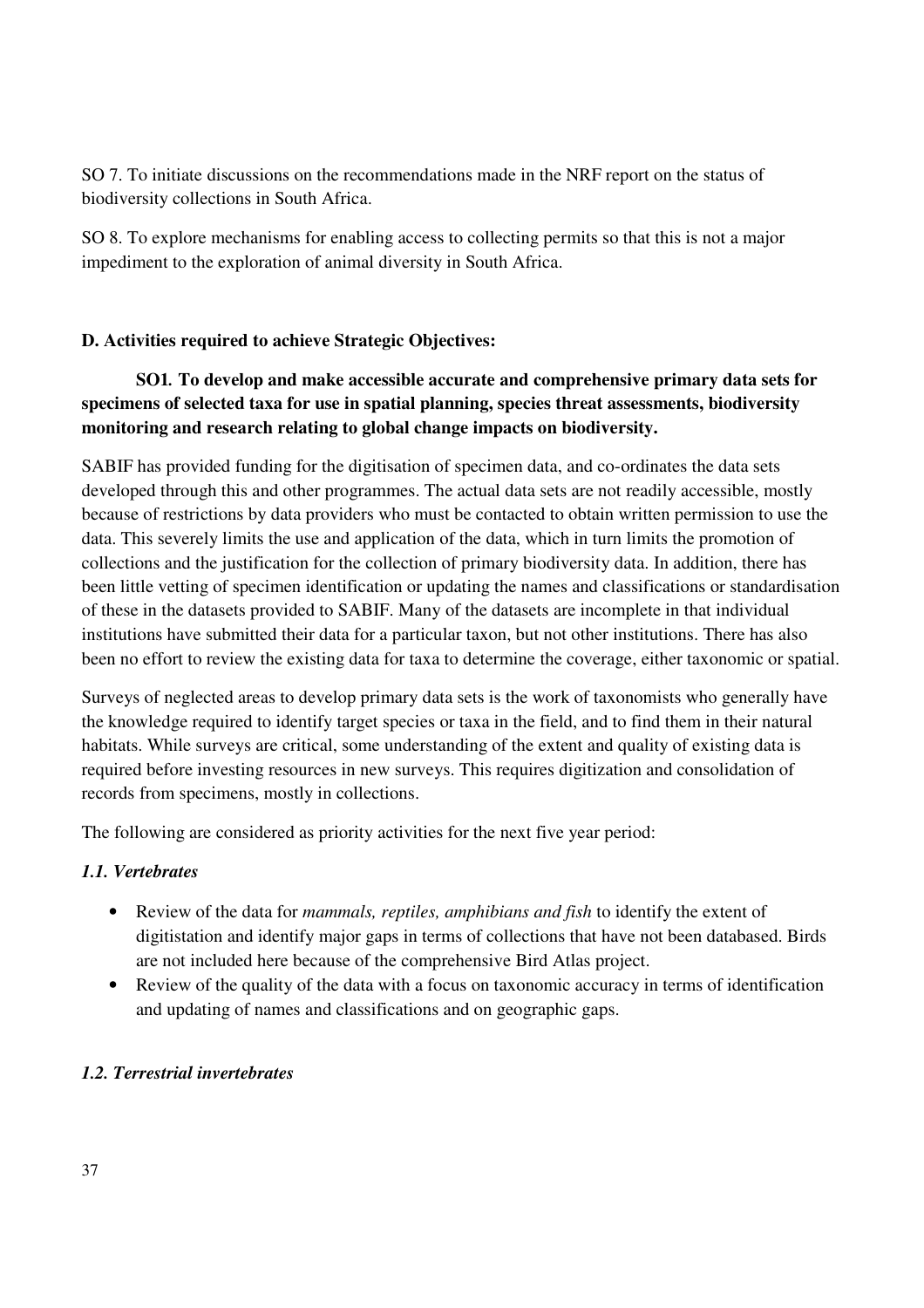SO 7. To initiate discussions on the recommendations made in the NRF report on the status of biodiversity collections in South Africa.

SO 8. To explore mechanisms for enabling access to collecting permits so that this is not a major impediment to the exploration of animal diversity in South Africa.

## **D. Activities required to achieve Strategic Objectives:**

## **SO1***.* **To develop and make accessible accurate and comprehensive primary data sets for specimens of selected taxa for use in spatial planning, species threat assessments, biodiversity monitoring and research relating to global change impacts on biodiversity.**

SABIF has provided funding for the digitisation of specimen data, and co-ordinates the data sets developed through this and other programmes. The actual data sets are not readily accessible, mostly because of restrictions by data providers who must be contacted to obtain written permission to use the data. This severely limits the use and application of the data, which in turn limits the promotion of collections and the justification for the collection of primary biodiversity data. In addition, there has been little vetting of specimen identification or updating the names and classifications or standardisation of these in the datasets provided to SABIF. Many of the datasets are incomplete in that individual institutions have submitted their data for a particular taxon, but not other institutions. There has also been no effort to review the existing data for taxa to determine the coverage, either taxonomic or spatial.

Surveys of neglected areas to develop primary data sets is the work of taxonomists who generally have the knowledge required to identify target species or taxa in the field, and to find them in their natural habitats. While surveys are critical, some understanding of the extent and quality of existing data is required before investing resources in new surveys. This requires digitization and consolidation of records from specimens, mostly in collections.

The following are considered as priority activities for the next five year period:

## *1.1. Vertebrates*

- Review of the data for *mammals, reptiles, amphibians and fish* to identify the extent of digitistation and identify major gaps in terms of collections that have not been databased. Birds are not included here because of the comprehensive Bird Atlas project.
- Review of the quality of the data with a focus on taxonomic accuracy in terms of identification and updating of names and classifications and on geographic gaps.

## *1.2. Terrestrial invertebrates*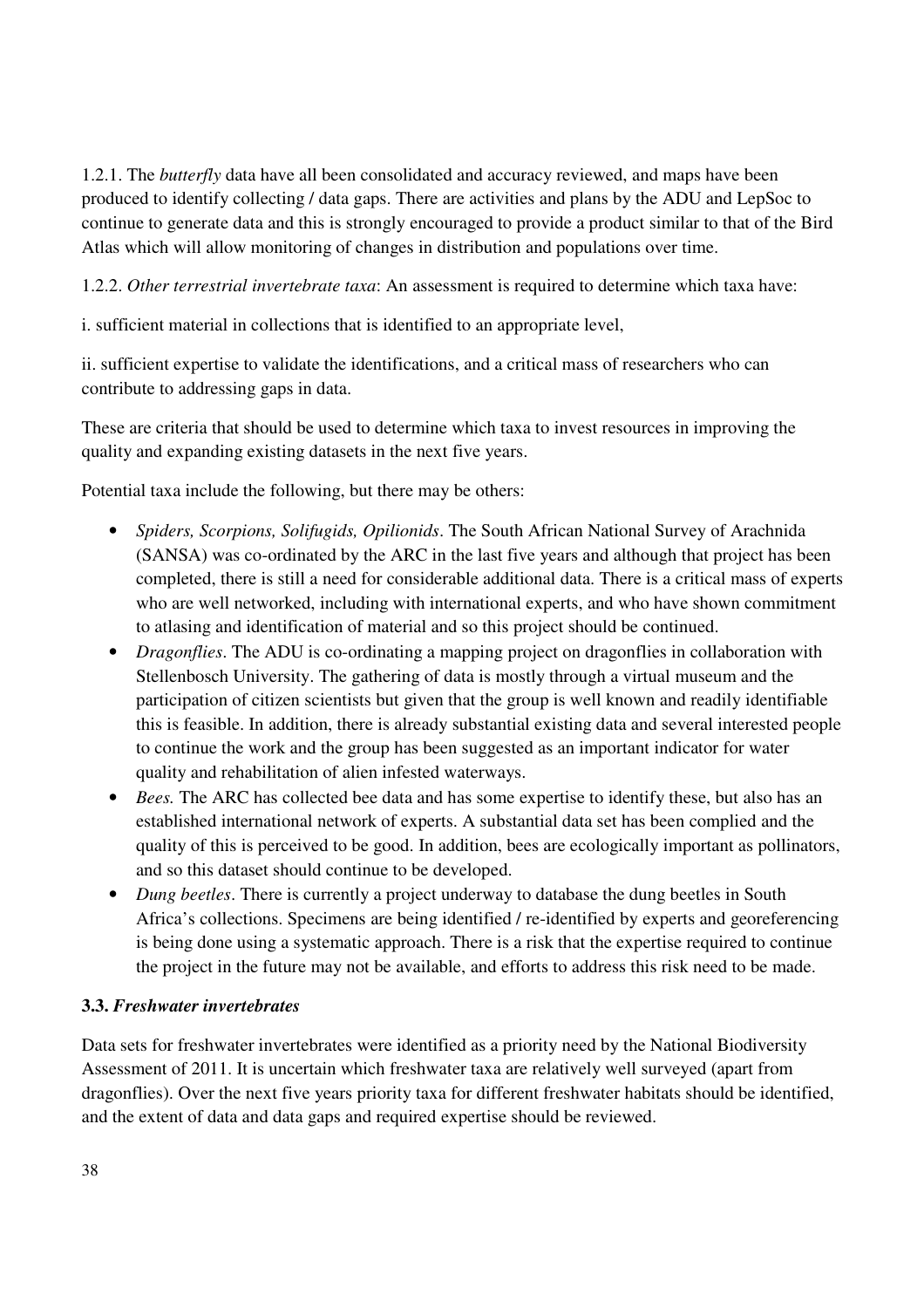1.2.1. The *butterfly* data have all been consolidated and accuracy reviewed, and maps have been produced to identify collecting / data gaps. There are activities and plans by the ADU and LepSoc to continue to generate data and this is strongly encouraged to provide a product similar to that of the Bird Atlas which will allow monitoring of changes in distribution and populations over time.

1.2.2. *Other terrestrial invertebrate taxa*: An assessment is required to determine which taxa have:

i. sufficient material in collections that is identified to an appropriate level,

ii. sufficient expertise to validate the identifications, and a critical mass of researchers who can contribute to addressing gaps in data.

These are criteria that should be used to determine which taxa to invest resources in improving the quality and expanding existing datasets in the next five years.

Potential taxa include the following, but there may be others:

- *Spiders, Scorpions, Solifugids, Opilionids*. The South African National Survey of Arachnida (SANSA) was co-ordinated by the ARC in the last five years and although that project has been completed, there is still a need for considerable additional data. There is a critical mass of experts who are well networked, including with international experts, and who have shown commitment to atlasing and identification of material and so this project should be continued.
- *Dragonflies*. The ADU is co-ordinating a mapping project on dragonflies in collaboration with Stellenbosch University. The gathering of data is mostly through a virtual museum and the participation of citizen scientists but given that the group is well known and readily identifiable this is feasible. In addition, there is already substantial existing data and several interested people to continue the work and the group has been suggested as an important indicator for water quality and rehabilitation of alien infested waterways.
- *Bees.* The ARC has collected bee data and has some expertise to identify these, but also has an established international network of experts. A substantial data set has been complied and the quality of this is perceived to be good. In addition, bees are ecologically important as pollinators, and so this dataset should continue to be developed.
- *Dung beetles*. There is currently a project underway to database the dung beetles in South Africa's collections. Specimens are being identified / re-identified by experts and georeferencing is being done using a systematic approach. There is a risk that the expertise required to continue the project in the future may not be available, and efforts to address this risk need to be made.

## **3.3.** *Freshwater invertebrates*

Data sets for freshwater invertebrates were identified as a priority need by the National Biodiversity Assessment of 2011. It is uncertain which freshwater taxa are relatively well surveyed (apart from dragonflies). Over the next five years priority taxa for different freshwater habitats should be identified, and the extent of data and data gaps and required expertise should be reviewed.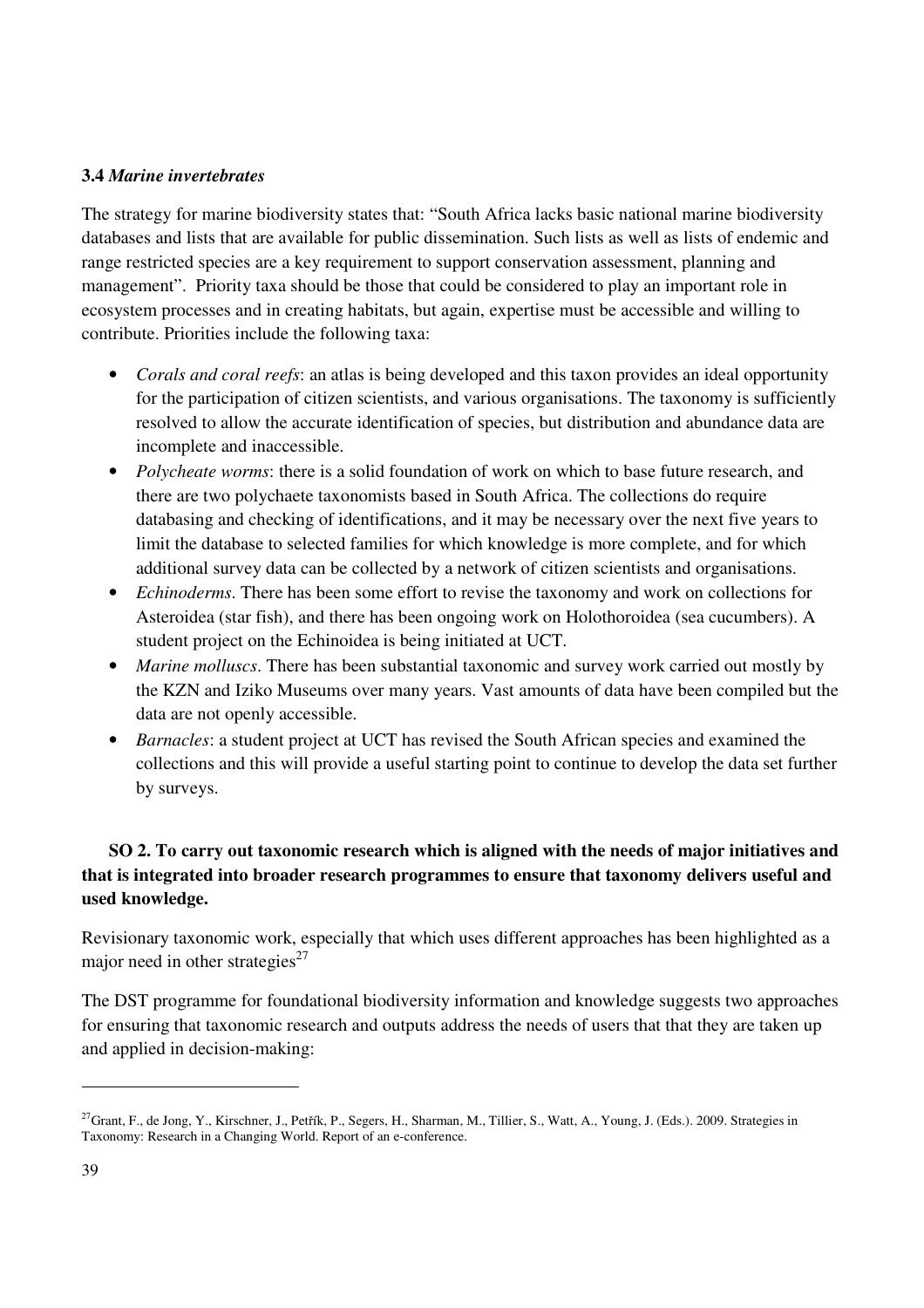### **3.4** *Marine invertebrates*

The strategy for marine biodiversity states that: "South Africa lacks basic national marine biodiversity databases and lists that are available for public dissemination. Such lists as well as lists of endemic and range restricted species are a key requirement to support conservation assessment, planning and management". Priority taxa should be those that could be considered to play an important role in ecosystem processes and in creating habitats, but again, expertise must be accessible and willing to contribute. Priorities include the following taxa:

- *Corals and coral reefs*: an atlas is being developed and this taxon provides an ideal opportunity for the participation of citizen scientists, and various organisations. The taxonomy is sufficiently resolved to allow the accurate identification of species, but distribution and abundance data are incomplete and inaccessible.
- *Polycheate worms*: there is a solid foundation of work on which to base future research, and there are two polychaete taxonomists based in South Africa. The collections do require databasing and checking of identifications, and it may be necessary over the next five years to limit the database to selected families for which knowledge is more complete, and for which additional survey data can be collected by a network of citizen scientists and organisations.
- *Echinoderms*. There has been some effort to revise the taxonomy and work on collections for Asteroidea (star fish), and there has been ongoing work on Holothoroidea (sea cucumbers). A student project on the Echinoidea is being initiated at UCT.
- *Marine molluscs*. There has been substantial taxonomic and survey work carried out mostly by the KZN and Iziko Museums over many years. Vast amounts of data have been compiled but the data are not openly accessible.
- *Barnacles*: a student project at UCT has revised the South African species and examined the collections and this will provide a useful starting point to continue to develop the data set further by surveys.

## **SO 2. To carry out taxonomic research which is aligned with the needs of major initiatives and that is integrated into broader research programmes to ensure that taxonomy delivers useful and used knowledge.**

Revisionary taxonomic work, especially that which uses different approaches has been highlighted as a major need in other strategies $^{27}$ 

The DST programme for foundational biodiversity information and knowledge suggests two approaches for ensuring that taxonomic research and outputs address the needs of users that that they are taken up and applied in decision-making:

<sup>&</sup>lt;sup>27</sup>Grant, F., de Jong, Y., Kirschner, J., Petřík, P., Segers, H., Sharman, M., Tillier, S., Watt, A., Young, J. (Eds.). 2009. Strategies in Taxonomy: Research in a Changing World. Report of an e-conference.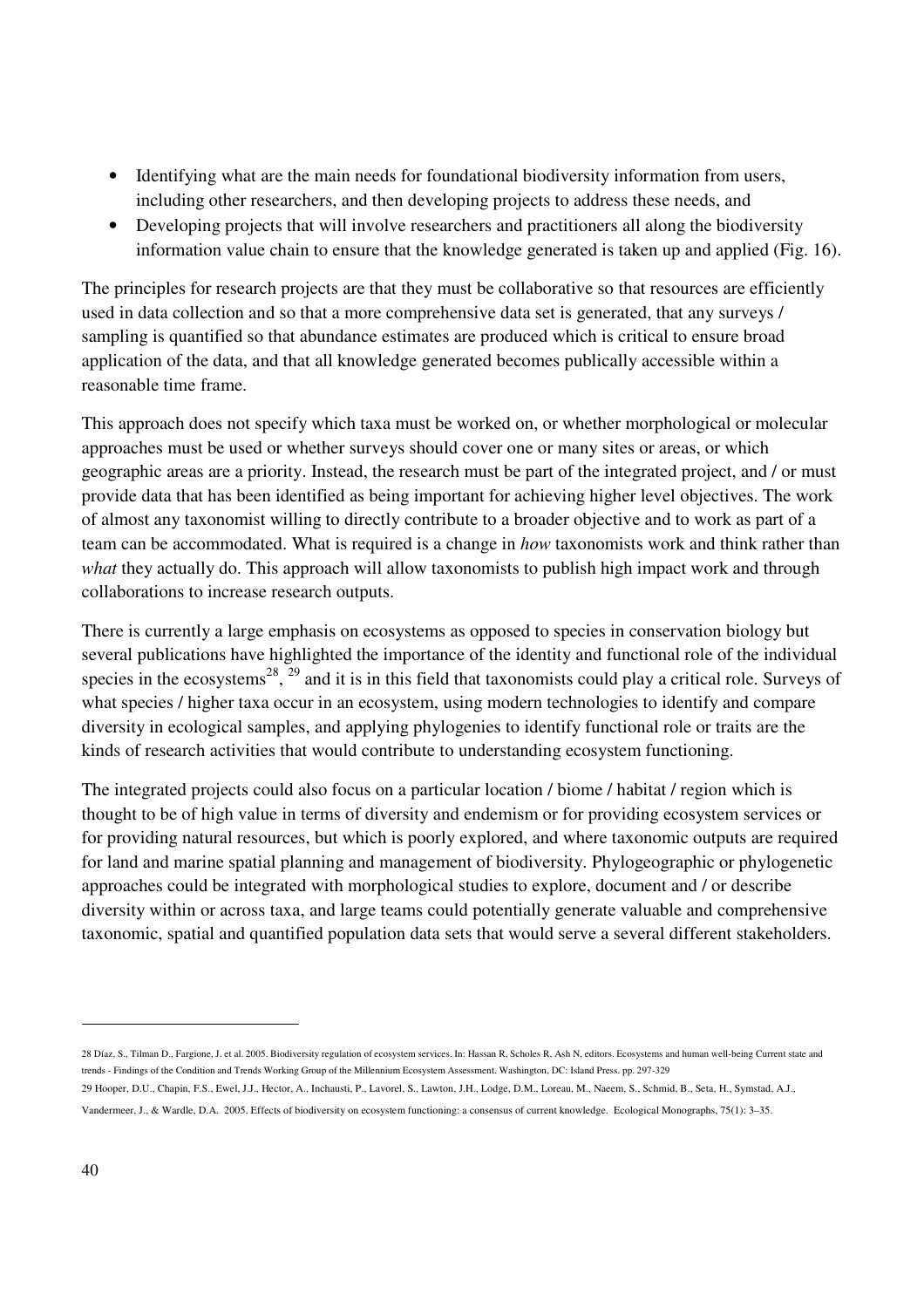- Identifying what are the main needs for foundational biodiversity information from users, including other researchers, and then developing projects to address these needs, and
- Developing projects that will involve researchers and practitioners all along the biodiversity information value chain to ensure that the knowledge generated is taken up and applied (Fig. 16).

The principles for research projects are that they must be collaborative so that resources are efficiently used in data collection and so that a more comprehensive data set is generated, that any surveys / sampling is quantified so that abundance estimates are produced which is critical to ensure broad application of the data, and that all knowledge generated becomes publically accessible within a reasonable time frame.

This approach does not specify which taxa must be worked on, or whether morphological or molecular approaches must be used or whether surveys should cover one or many sites or areas, or which geographic areas are a priority. Instead, the research must be part of the integrated project, and / or must provide data that has been identified as being important for achieving higher level objectives. The work of almost any taxonomist willing to directly contribute to a broader objective and to work as part of a team can be accommodated. What is required is a change in *how* taxonomists work and think rather than *what* they actually do. This approach will allow taxonomists to publish high impact work and through collaborations to increase research outputs.

There is currently a large emphasis on ecosystems as opposed to species in conservation biology but several publications have highlighted the importance of the identity and functional role of the individual species in the ecosystems<sup>28</sup>,  $^{29}$  and it is in this field that taxonomists could play a critical role. Surveys of what species / higher taxa occur in an ecosystem, using modern technologies to identify and compare diversity in ecological samples, and applying phylogenies to identify functional role or traits are the kinds of research activities that would contribute to understanding ecosystem functioning.

The integrated projects could also focus on a particular location / biome / habitat / region which is thought to be of high value in terms of diversity and endemism or for providing ecosystem services or for providing natural resources, but which is poorly explored, and where taxonomic outputs are required for land and marine spatial planning and management of biodiversity. Phylogeographic or phylogenetic approaches could be integrated with morphological studies to explore, document and / or describe diversity within or across taxa, and large teams could potentially generate valuable and comprehensive taxonomic, spatial and quantified population data sets that would serve a several different stakeholders.

 $\overline{a}$ 

<sup>28</sup> Díaz, S., Tilman D., Fargione, J. et al. 2005. Biodiversity regulation of ecosystem services. In: Hassan R, Scholes R, Ash N, editors. Ecosystems and human well-being Current state and trends - Findings of the Condition and Trends Working Group of the Millennium Ecosystem Assessment. Washington, DC: Island Press. pp. 297-329

<sup>29</sup> Hooper, D.U., Chapin, F.S., Ewel, J.J., Hector, A., Inchausti, P., Lavorel, S., Lawton, J.H., Lodge, D.M., Loreau, M., Naeem, S., Schmid, B., Seta, H., Symstad, A.J.,

Vandermeer, J., & Wardle, D.A. 2005. Effects of biodiversity on ecosystem functioning: a consensus of current knowledge. Ecological Monographs, 75(1): 3–35.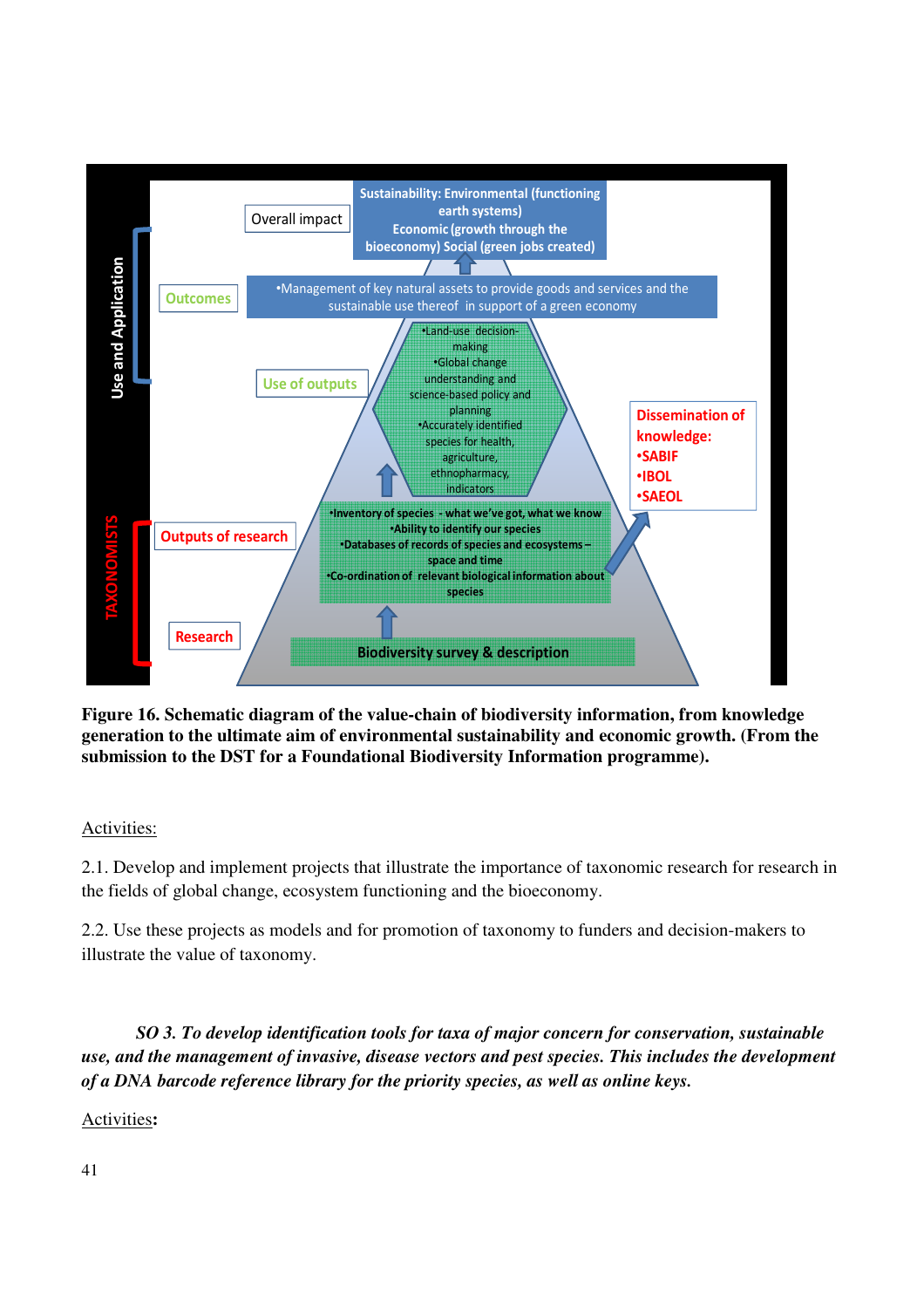

**Figure 16. Schematic diagram of the value-chain of biodiversity information, from knowledge generation to the ultimate aim of environmental sustainability and economic growth. (From the submission to the DST for a Foundational Biodiversity Information programme).** 

## Activities:

2.1. Develop and implement projects that illustrate the importance of taxonomic research for research in the fields of global change, ecosystem functioning and the bioeconomy.

2.2. Use these projects as models and for promotion of taxonomy to funders and decision-makers to illustrate the value of taxonomy.

*SO 3. To develop identification tools for taxa of major concern for conservation, sustainable use, and the management of invasive, disease vectors and pest species. This includes the development of a DNA barcode reference library for the priority species, as well as online keys.* 

## Activities**:**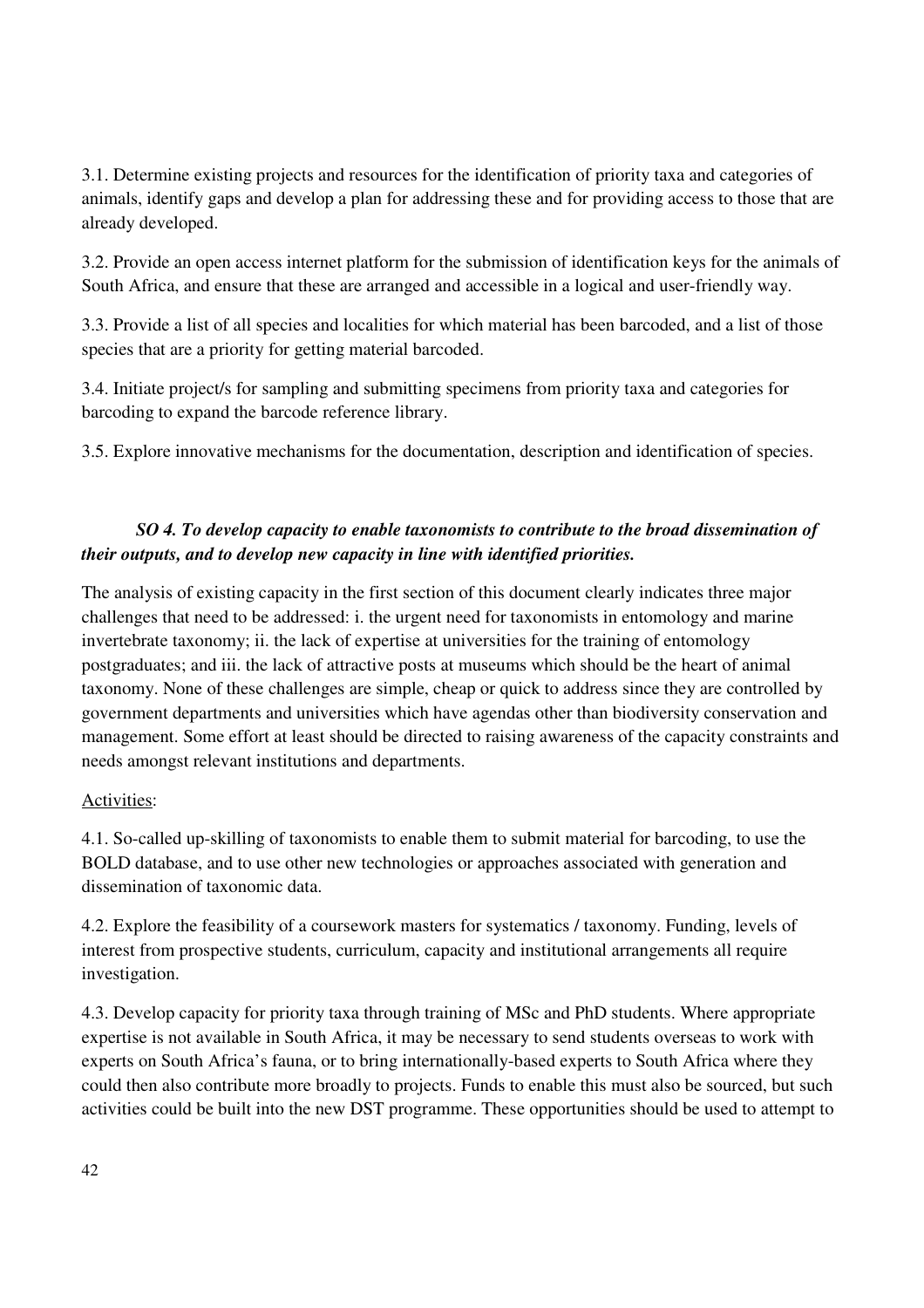3.1. Determine existing projects and resources for the identification of priority taxa and categories of animals, identify gaps and develop a plan for addressing these and for providing access to those that are already developed.

3.2. Provide an open access internet platform for the submission of identification keys for the animals of South Africa, and ensure that these are arranged and accessible in a logical and user-friendly way.

3.3. Provide a list of all species and localities for which material has been barcoded, and a list of those species that are a priority for getting material barcoded.

3.4. Initiate project/s for sampling and submitting specimens from priority taxa and categories for barcoding to expand the barcode reference library.

3.5. Explore innovative mechanisms for the documentation, description and identification of species.

## *SO 4. To develop capacity to enable taxonomists to contribute to the broad dissemination of their outputs, and to develop new capacity in line with identified priorities.*

The analysis of existing capacity in the first section of this document clearly indicates three major challenges that need to be addressed: i. the urgent need for taxonomists in entomology and marine invertebrate taxonomy; ii. the lack of expertise at universities for the training of entomology postgraduates; and iii. the lack of attractive posts at museums which should be the heart of animal taxonomy. None of these challenges are simple, cheap or quick to address since they are controlled by government departments and universities which have agendas other than biodiversity conservation and management. Some effort at least should be directed to raising awareness of the capacity constraints and needs amongst relevant institutions and departments.

## Activities:

4.1. So-called up-skilling of taxonomists to enable them to submit material for barcoding, to use the BOLD database, and to use other new technologies or approaches associated with generation and dissemination of taxonomic data.

4.2. Explore the feasibility of a coursework masters for systematics / taxonomy. Funding, levels of interest from prospective students, curriculum, capacity and institutional arrangements all require investigation.

4.3. Develop capacity for priority taxa through training of MSc and PhD students. Where appropriate expertise is not available in South Africa, it may be necessary to send students overseas to work with experts on South Africa's fauna, or to bring internationally-based experts to South Africa where they could then also contribute more broadly to projects. Funds to enable this must also be sourced, but such activities could be built into the new DST programme. These opportunities should be used to attempt to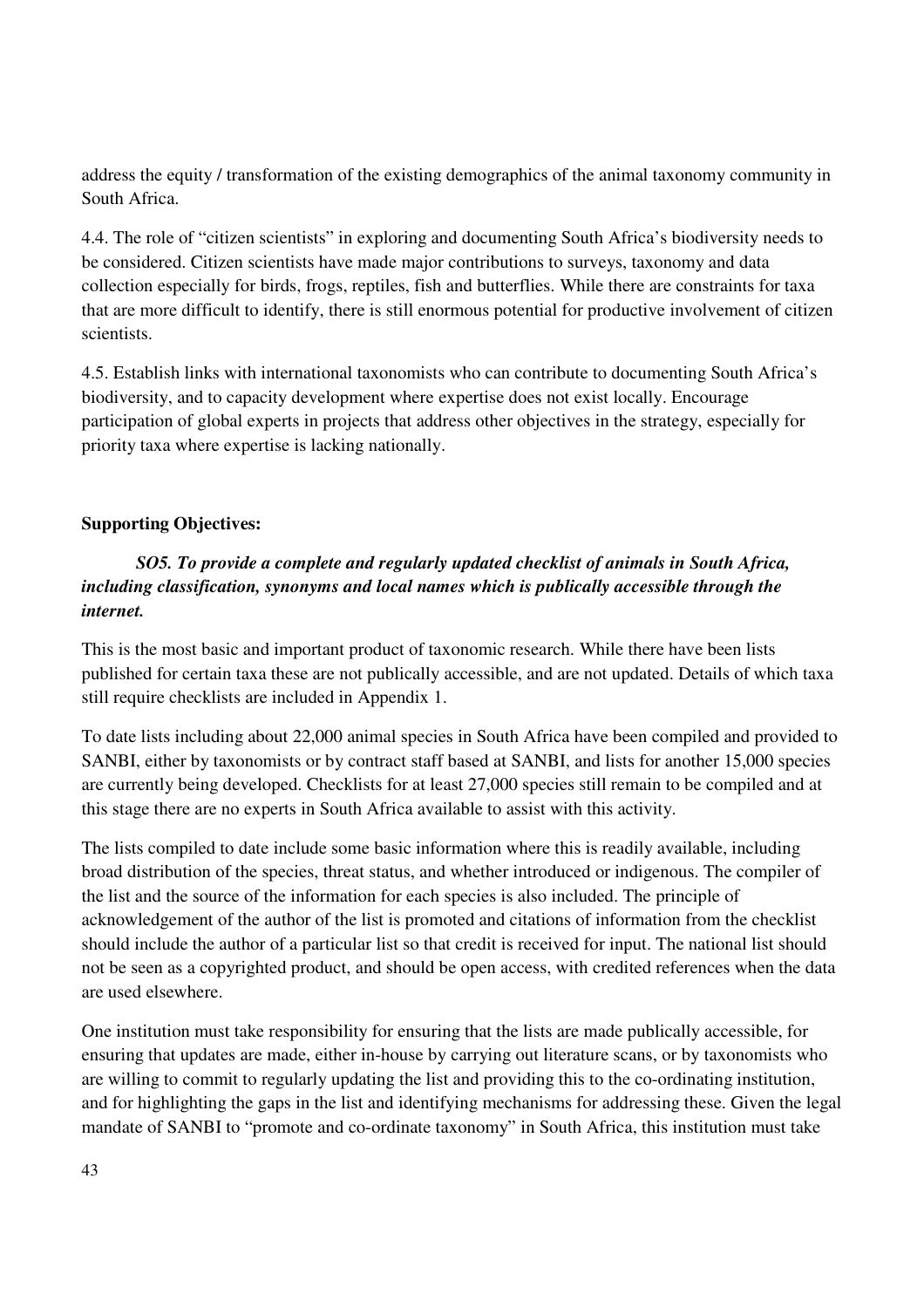address the equity / transformation of the existing demographics of the animal taxonomy community in South Africa.

4.4. The role of "citizen scientists" in exploring and documenting South Africa's biodiversity needs to be considered. Citizen scientists have made major contributions to surveys, taxonomy and data collection especially for birds, frogs, reptiles, fish and butterflies. While there are constraints for taxa that are more difficult to identify, there is still enormous potential for productive involvement of citizen scientists.

4.5. Establish links with international taxonomists who can contribute to documenting South Africa's biodiversity, and to capacity development where expertise does not exist locally. Encourage participation of global experts in projects that address other objectives in the strategy, especially for priority taxa where expertise is lacking nationally.

## **Supporting Objectives:**

## *SO5. To provide a complete and regularly updated checklist of animals in South Africa, including classification, synonyms and local names which is publically accessible through the internet.*

This is the most basic and important product of taxonomic research. While there have been lists published for certain taxa these are not publically accessible, and are not updated. Details of which taxa still require checklists are included in Appendix 1.

To date lists including about 22,000 animal species in South Africa have been compiled and provided to SANBI, either by taxonomists or by contract staff based at SANBI, and lists for another 15,000 species are currently being developed. Checklists for at least 27,000 species still remain to be compiled and at this stage there are no experts in South Africa available to assist with this activity.

The lists compiled to date include some basic information where this is readily available, including broad distribution of the species, threat status, and whether introduced or indigenous. The compiler of the list and the source of the information for each species is also included. The principle of acknowledgement of the author of the list is promoted and citations of information from the checklist should include the author of a particular list so that credit is received for input. The national list should not be seen as a copyrighted product, and should be open access, with credited references when the data are used elsewhere.

One institution must take responsibility for ensuring that the lists are made publically accessible, for ensuring that updates are made, either in-house by carrying out literature scans, or by taxonomists who are willing to commit to regularly updating the list and providing this to the co-ordinating institution, and for highlighting the gaps in the list and identifying mechanisms for addressing these. Given the legal mandate of SANBI to "promote and co-ordinate taxonomy" in South Africa, this institution must take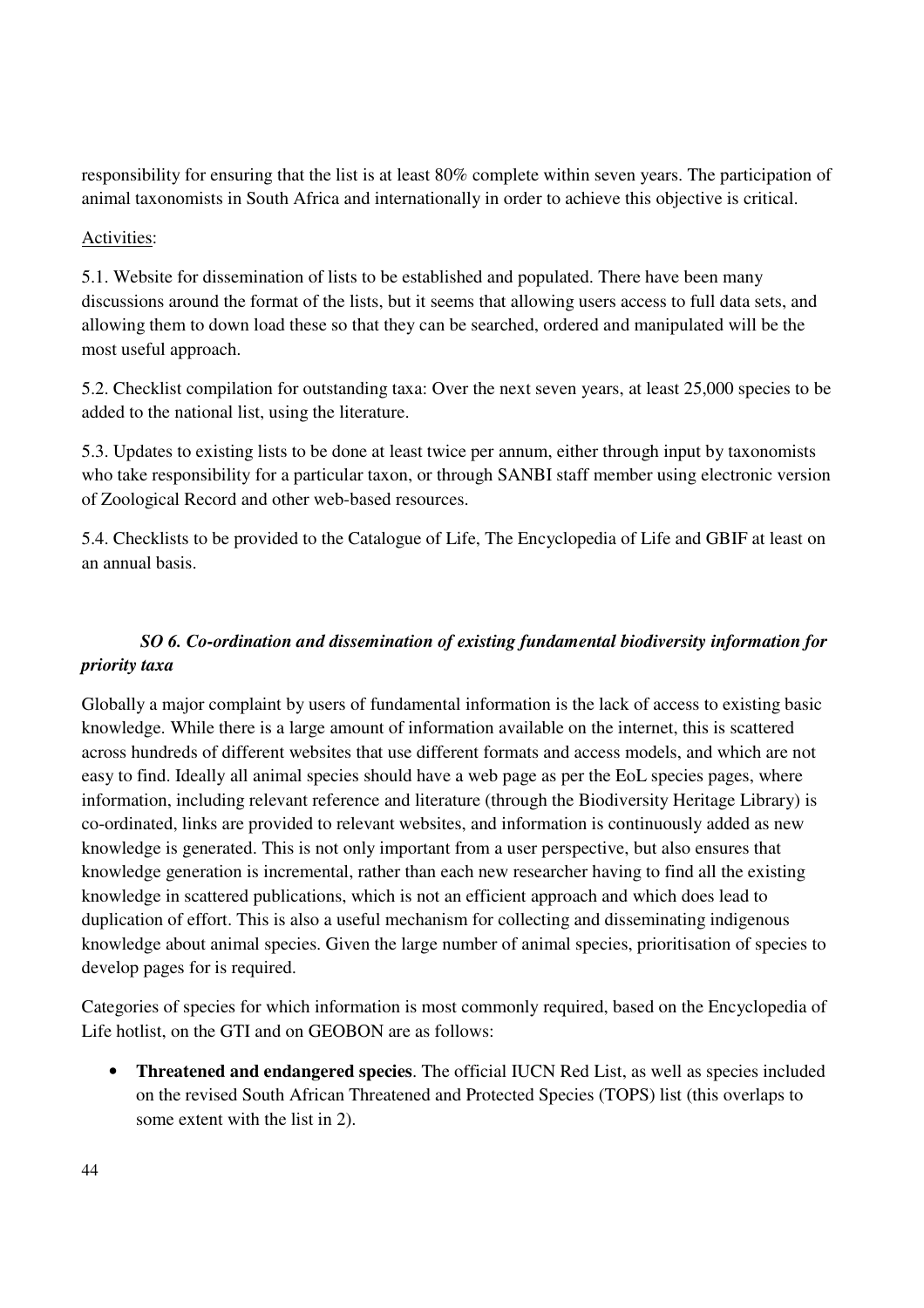responsibility for ensuring that the list is at least 80% complete within seven years. The participation of animal taxonomists in South Africa and internationally in order to achieve this objective is critical.

## Activities:

5.1. Website for dissemination of lists to be established and populated. There have been many discussions around the format of the lists, but it seems that allowing users access to full data sets, and allowing them to down load these so that they can be searched, ordered and manipulated will be the most useful approach.

5.2. Checklist compilation for outstanding taxa: Over the next seven years, at least 25,000 species to be added to the national list, using the literature.

5.3. Updates to existing lists to be done at least twice per annum, either through input by taxonomists who take responsibility for a particular taxon, or through SANBI staff member using electronic version of Zoological Record and other web-based resources.

5.4. Checklists to be provided to the Catalogue of Life, The Encyclopedia of Life and GBIF at least on an annual basis.

## *SO 6. Co-ordination and dissemination of existing fundamental biodiversity information for priority taxa*

Globally a major complaint by users of fundamental information is the lack of access to existing basic knowledge. While there is a large amount of information available on the internet, this is scattered across hundreds of different websites that use different formats and access models, and which are not easy to find. Ideally all animal species should have a web page as per the EoL species pages, where information, including relevant reference and literature (through the Biodiversity Heritage Library) is co-ordinated, links are provided to relevant websites, and information is continuously added as new knowledge is generated. This is not only important from a user perspective, but also ensures that knowledge generation is incremental, rather than each new researcher having to find all the existing knowledge in scattered publications, which is not an efficient approach and which does lead to duplication of effort. This is also a useful mechanism for collecting and disseminating indigenous knowledge about animal species. Given the large number of animal species, prioritisation of species to develop pages for is required.

Categories of species for which information is most commonly required, based on the Encyclopedia of Life hotlist, on the GTI and on GEOBON are as follows:

• **Threatened and endangered species**. The official IUCN Red List, as well as species included on the revised South African Threatened and Protected Species (TOPS) list (this overlaps to some extent with the list in 2).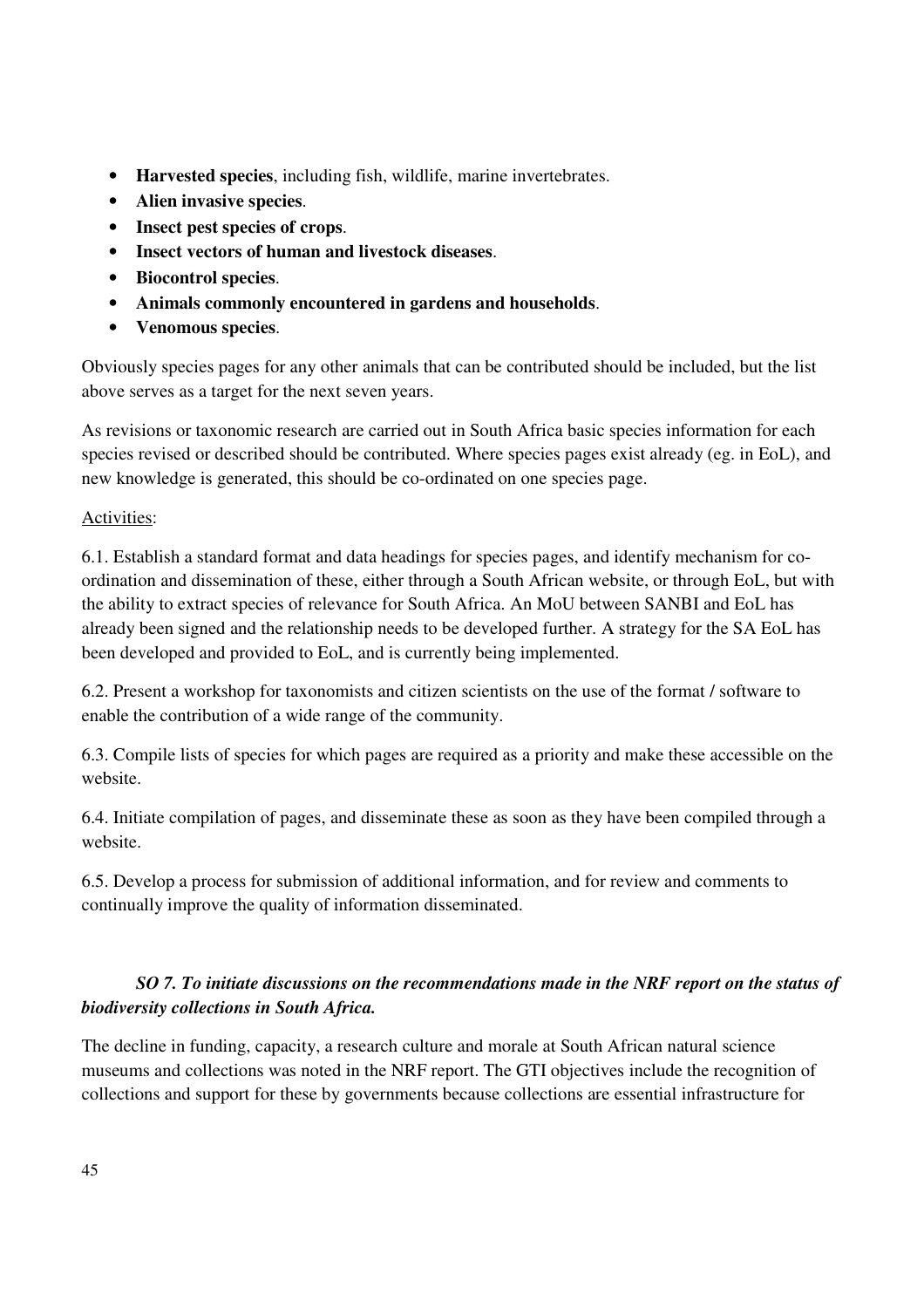- **Harvested species**, including fish, wildlife, marine invertebrates.
- **Alien invasive species**.
- **Insect pest species of crops**.
- **Insect vectors of human and livestock diseases**.
- **Biocontrol species**.
- **Animals commonly encountered in gardens and households**.
- **Venomous species**.

Obviously species pages for any other animals that can be contributed should be included, but the list above serves as a target for the next seven years.

As revisions or taxonomic research are carried out in South Africa basic species information for each species revised or described should be contributed. Where species pages exist already (eg. in EoL), and new knowledge is generated, this should be co-ordinated on one species page.

## Activities:

6.1. Establish a standard format and data headings for species pages, and identify mechanism for coordination and dissemination of these, either through a South African website, or through EoL, but with the ability to extract species of relevance for South Africa. An MoU between SANBI and EoL has already been signed and the relationship needs to be developed further. A strategy for the SA EoL has been developed and provided to EoL, and is currently being implemented.

6.2. Present a workshop for taxonomists and citizen scientists on the use of the format / software to enable the contribution of a wide range of the community.

6.3. Compile lists of species for which pages are required as a priority and make these accessible on the website.

6.4. Initiate compilation of pages, and disseminate these as soon as they have been compiled through a website.

6.5. Develop a process for submission of additional information, and for review and comments to continually improve the quality of information disseminated.

## *SO 7. To initiate discussions on the recommendations made in the NRF report on the status of biodiversity collections in South Africa.*

The decline in funding, capacity, a research culture and morale at South African natural science museums and collections was noted in the NRF report. The GTI objectives include the recognition of collections and support for these by governments because collections are essential infrastructure for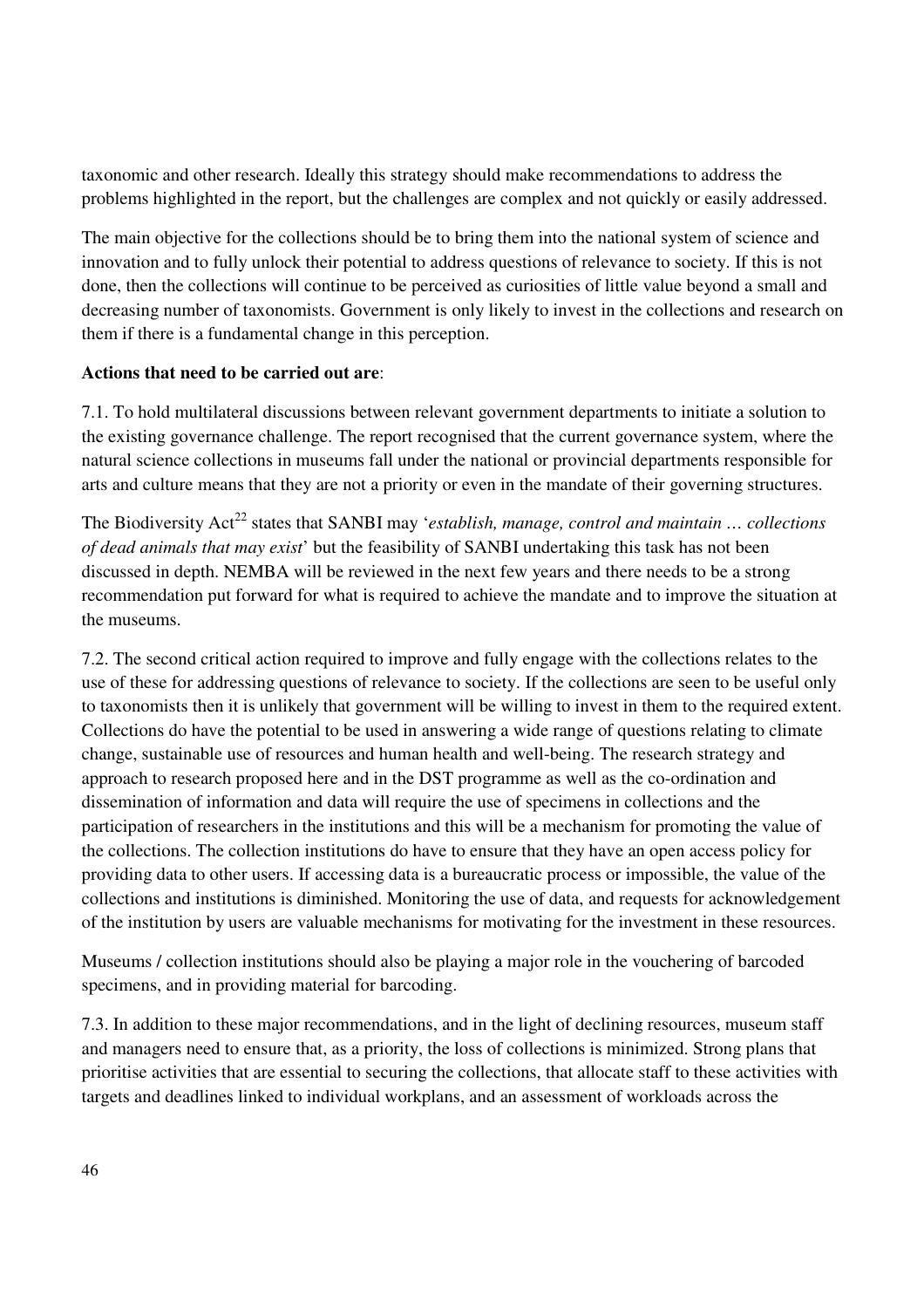taxonomic and other research. Ideally this strategy should make recommendations to address the problems highlighted in the report, but the challenges are complex and not quickly or easily addressed.

The main objective for the collections should be to bring them into the national system of science and innovation and to fully unlock their potential to address questions of relevance to society. If this is not done, then the collections will continue to be perceived as curiosities of little value beyond a small and decreasing number of taxonomists. Government is only likely to invest in the collections and research on them if there is a fundamental change in this perception.

### **Actions that need to be carried out are**:

7.1. To hold multilateral discussions between relevant government departments to initiate a solution to the existing governance challenge. The report recognised that the current governance system, where the natural science collections in museums fall under the national or provincial departments responsible for arts and culture means that they are not a priority or even in the mandate of their governing structures.

The Biodiversity Act<sup>22</sup> states that SANBI may '*establish, manage, control and maintain ... collections of dead animals that may exist*' but the feasibility of SANBI undertaking this task has not been discussed in depth. NEMBA will be reviewed in the next few years and there needs to be a strong recommendation put forward for what is required to achieve the mandate and to improve the situation at the museums.

7.2. The second critical action required to improve and fully engage with the collections relates to the use of these for addressing questions of relevance to society. If the collections are seen to be useful only to taxonomists then it is unlikely that government will be willing to invest in them to the required extent. Collections do have the potential to be used in answering a wide range of questions relating to climate change, sustainable use of resources and human health and well-being. The research strategy and approach to research proposed here and in the DST programme as well as the co-ordination and dissemination of information and data will require the use of specimens in collections and the participation of researchers in the institutions and this will be a mechanism for promoting the value of the collections. The collection institutions do have to ensure that they have an open access policy for providing data to other users. If accessing data is a bureaucratic process or impossible, the value of the collections and institutions is diminished. Monitoring the use of data, and requests for acknowledgement of the institution by users are valuable mechanisms for motivating for the investment in these resources.

Museums / collection institutions should also be playing a major role in the vouchering of barcoded specimens, and in providing material for barcoding.

7.3. In addition to these major recommendations, and in the light of declining resources, museum staff and managers need to ensure that, as a priority, the loss of collections is minimized. Strong plans that prioritise activities that are essential to securing the collections, that allocate staff to these activities with targets and deadlines linked to individual workplans, and an assessment of workloads across the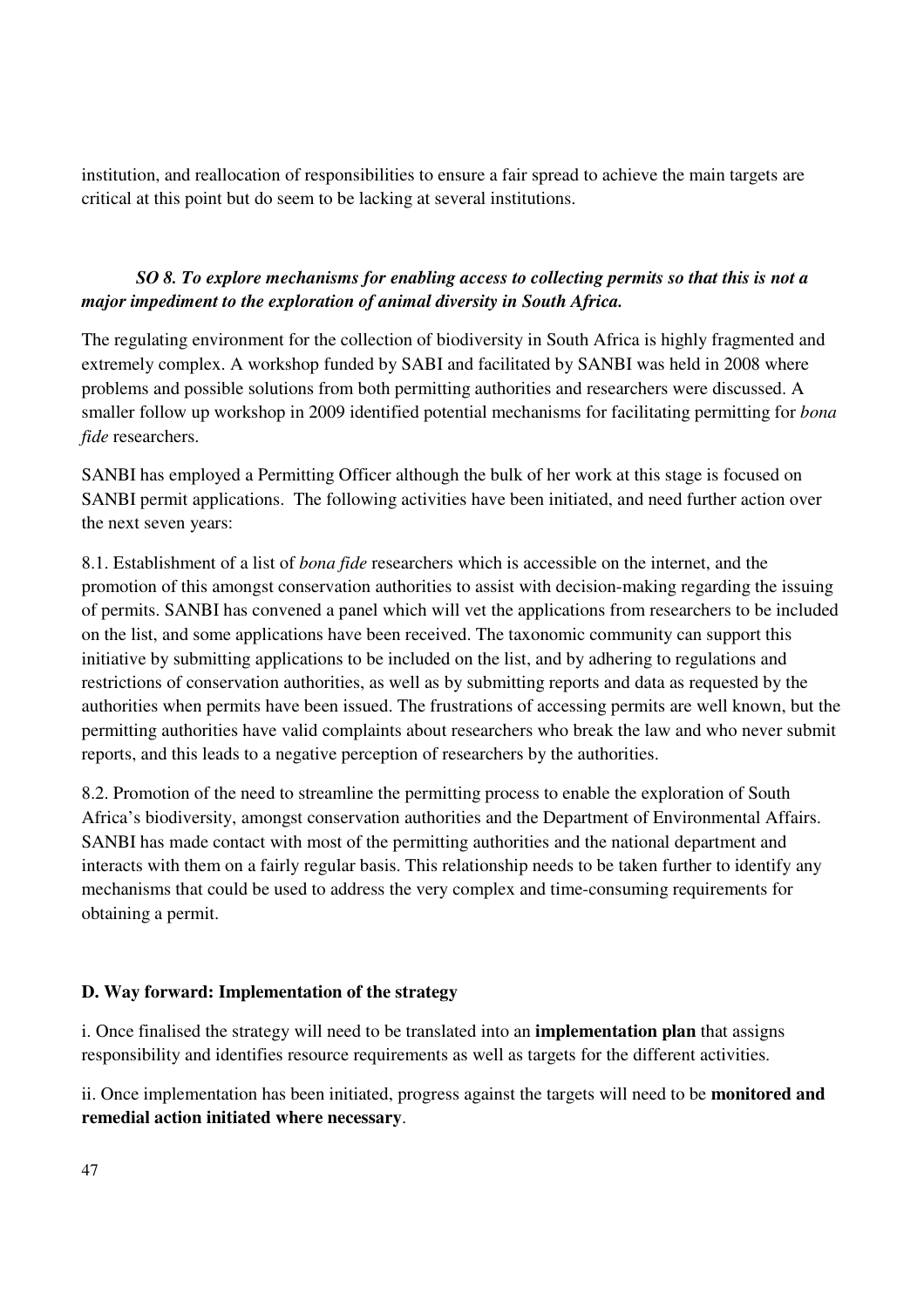institution, and reallocation of responsibilities to ensure a fair spread to achieve the main targets are critical at this point but do seem to be lacking at several institutions.

## *SO 8. To explore mechanisms for enabling access to collecting permits so that this is not a major impediment to the exploration of animal diversity in South Africa.*

The regulating environment for the collection of biodiversity in South Africa is highly fragmented and extremely complex. A workshop funded by SABI and facilitated by SANBI was held in 2008 where problems and possible solutions from both permitting authorities and researchers were discussed. A smaller follow up workshop in 2009 identified potential mechanisms for facilitating permitting for *bona fide* researchers.

SANBI has employed a Permitting Officer although the bulk of her work at this stage is focused on SANBI permit applications. The following activities have been initiated, and need further action over the next seven years:

8.1. Establishment of a list of *bona fide* researchers which is accessible on the internet, and the promotion of this amongst conservation authorities to assist with decision-making regarding the issuing of permits. SANBI has convened a panel which will vet the applications from researchers to be included on the list, and some applications have been received. The taxonomic community can support this initiative by submitting applications to be included on the list, and by adhering to regulations and restrictions of conservation authorities, as well as by submitting reports and data as requested by the authorities when permits have been issued. The frustrations of accessing permits are well known, but the permitting authorities have valid complaints about researchers who break the law and who never submit reports, and this leads to a negative perception of researchers by the authorities.

8.2. Promotion of the need to streamline the permitting process to enable the exploration of South Africa's biodiversity, amongst conservation authorities and the Department of Environmental Affairs. SANBI has made contact with most of the permitting authorities and the national department and interacts with them on a fairly regular basis. This relationship needs to be taken further to identify any mechanisms that could be used to address the very complex and time-consuming requirements for obtaining a permit.

## **D. Way forward: Implementation of the strategy**

i. Once finalised the strategy will need to be translated into an **implementation plan** that assigns responsibility and identifies resource requirements as well as targets for the different activities.

ii. Once implementation has been initiated, progress against the targets will need to be **monitored and remedial action initiated where necessary**.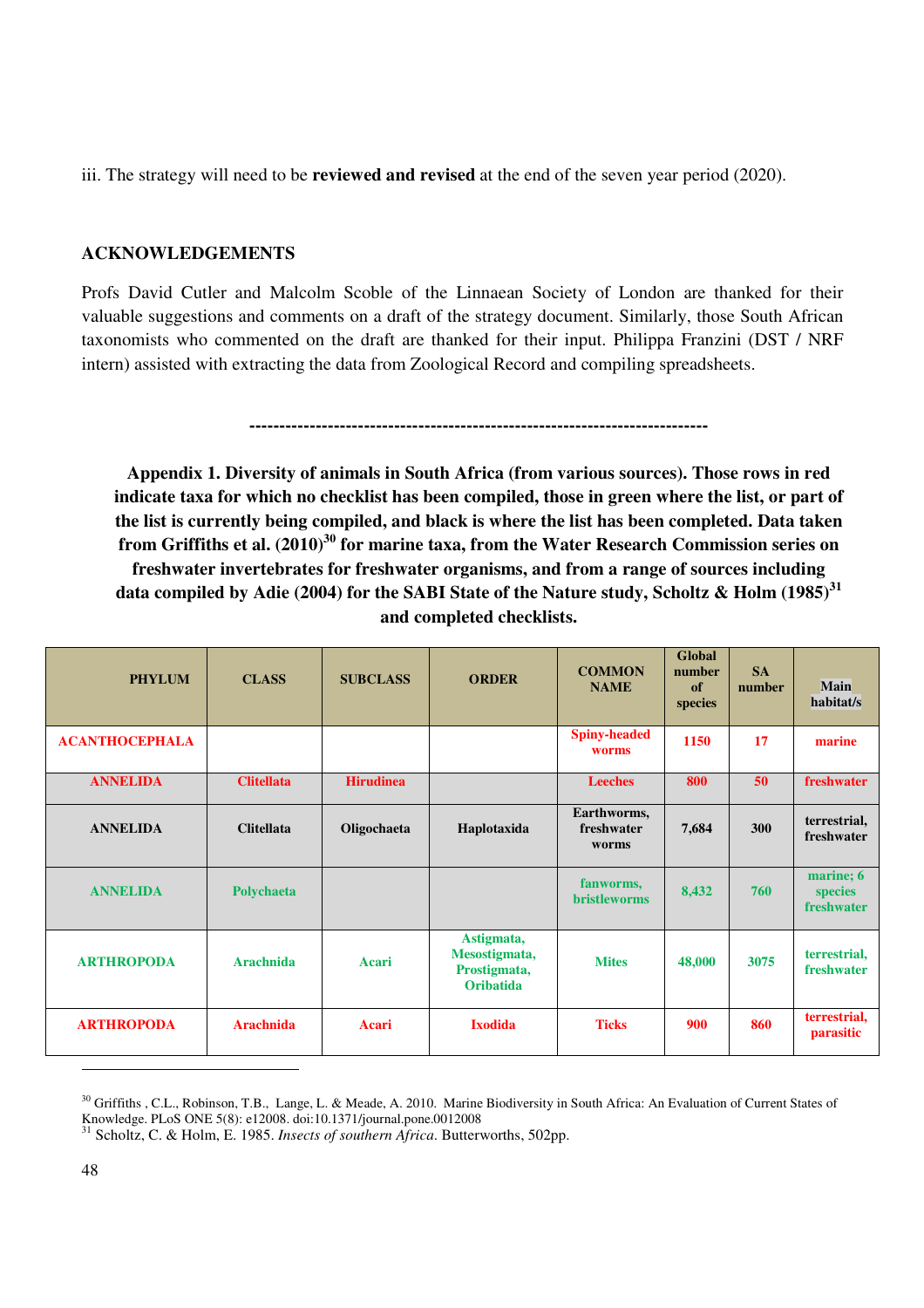iii. The strategy will need to be **reviewed and revised** at the end of the seven year period (2020).

## **ACKNOWLEDGEMENTS**

Profs David Cutler and Malcolm Scoble of the Linnaean Society of London are thanked for their valuable suggestions and comments on a draft of the strategy document. Similarly, those South African taxonomists who commented on the draft are thanked for their input. Philippa Franzini (DST / NRF intern) assisted with extracting the data from Zoological Record and compiling spreadsheets.

**----------------------------------------------------------------------------** 

**Appendix 1. Diversity of animals in South Africa (from various sources). Those rows in red indicate taxa for which no checklist has been compiled, those in green where the list, or part of the list is currently being compiled, and black is where the list has been completed. Data taken from Griffiths et al. (2010)<sup>30</sup> for marine taxa, from the Water Research Commission series on freshwater invertebrates for freshwater organisms, and from a range of sources including data compiled by Adie (2004) for the SABI State of the Nature study, Scholtz & Holm (1985)<sup>31</sup> and completed checklists.** 

| <b>PHYLUM</b>         | <b>CLASS</b>      | <b>SUBCLASS</b>  | <b>ORDER</b>                                                    | <b>COMMON</b><br><b>NAME</b>       | <b>Global</b><br>number<br>of<br>species | <b>SA</b><br>number | <b>Main</b><br>habitat/s                  |
|-----------------------|-------------------|------------------|-----------------------------------------------------------------|------------------------------------|------------------------------------------|---------------------|-------------------------------------------|
| <b>ACANTHOCEPHALA</b> |                   |                  |                                                                 | <b>Spiny-headed</b><br>worms       | 1150                                     | 17                  | marine                                    |
| <b>ANNELIDA</b>       | <b>Clitellata</b> | <b>Hirudinea</b> |                                                                 | <b>Leeches</b>                     | 800                                      | 50                  | freshwater                                |
| <b>ANNELIDA</b>       | <b>Clitellata</b> | Oligochaeta      | Haplotaxida                                                     | Earthworms,<br>freshwater<br>worms | 7,684                                    | 300                 | terrestrial,<br>freshwater                |
| <b>ANNELIDA</b>       | <b>Polychaeta</b> |                  |                                                                 | fanworms,<br><b>bristleworms</b>   | 8,432                                    | 760                 | marine; 6<br><b>species</b><br>freshwater |
| <b>ARTHROPODA</b>     | <b>Arachnida</b>  | Acari            | Astigmata,<br>Mesostigmata,<br>Prostigmata,<br><b>Oribatida</b> | <b>Mites</b>                       | 48,000                                   | 3075                | terrestrial,<br>freshwater                |
| <b>ARTHROPODA</b>     | <b>Arachnida</b>  | <b>Acari</b>     | <b>Ixodida</b>                                                  | <b>Ticks</b>                       | 900                                      | 860                 | terrestrial,<br>parasitic                 |
|                       |                   |                  |                                                                 |                                    |                                          |                     |                                           |

<sup>&</sup>lt;sup>30</sup> Griffiths , C.L., Robinson, T.B., Lange, L. & Meade, A. 2010. Marine Biodiversity in South Africa: An Evaluation of Current States of Knowledge. PLoS ONE 5(8): e12008. doi:10.1371/journal.pone.0012008<br>
<sup>31</sup> Sebelta G. <sup>6</sup> M. 1. F. 1995. Journal.pone.0012008

 $\frac{1}{3}$  Scholtz, C. & Holm, E. 1985. *Insects of southern Africa*. Butterworths, 502pp.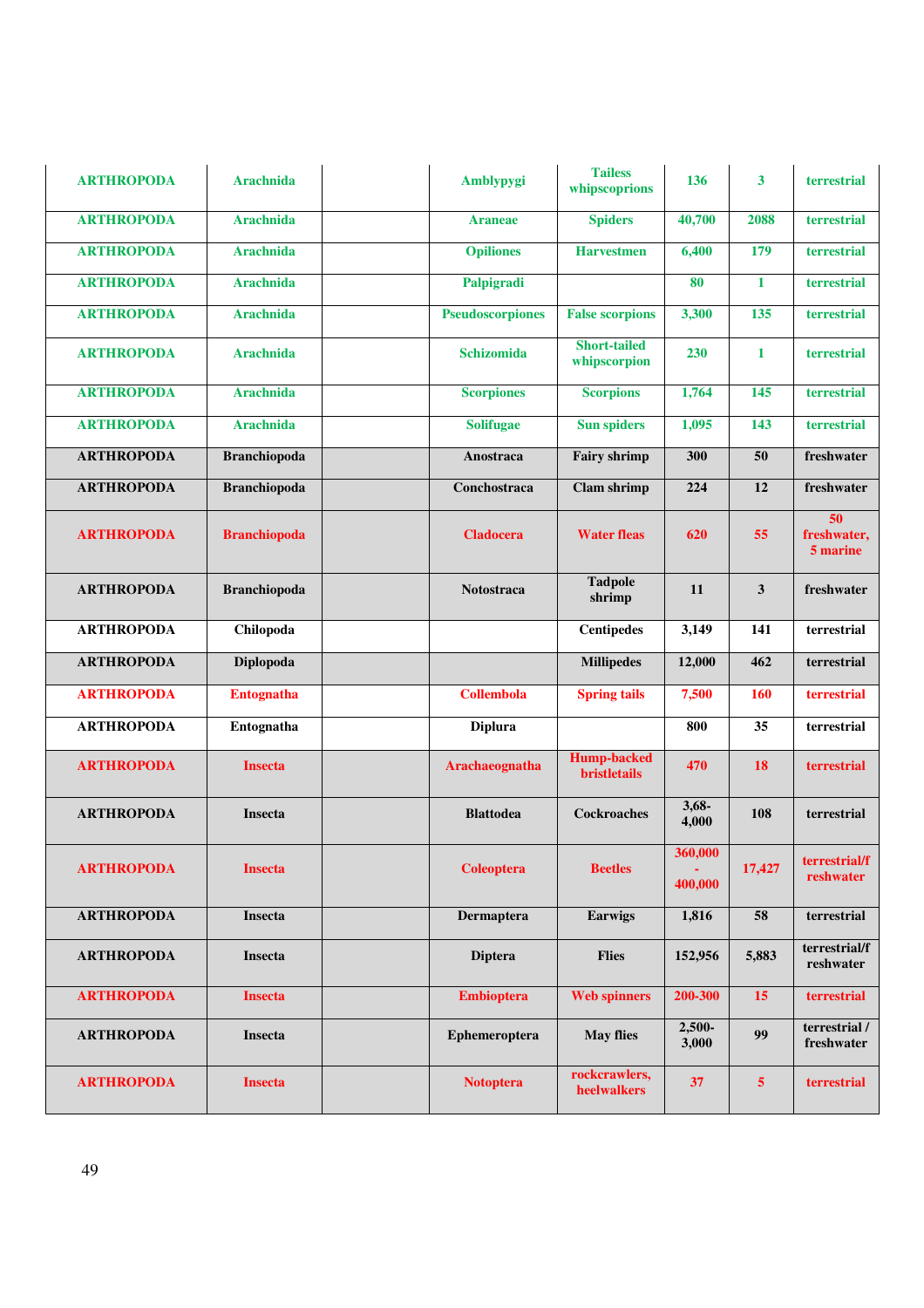| <b>ARTHROPODA</b> | <b>Arachnida</b>    | Amblypygi               | <b>Tailess</b><br>whipscoprions           | 136                | 3            | terrestrial                   |
|-------------------|---------------------|-------------------------|-------------------------------------------|--------------------|--------------|-------------------------------|
| <b>ARTHROPODA</b> | <b>Arachnida</b>    | <b>Araneae</b>          | <b>Spiders</b>                            | 40,700             | 2088         | terrestrial                   |
| <b>ARTHROPODA</b> | <b>Arachnida</b>    | <b>Opiliones</b>        | <b>Harvestmen</b>                         | 6,400              | 179          | terrestrial                   |
| <b>ARTHROPODA</b> | <b>Arachnida</b>    | Palpigradi              |                                           | 80                 | $\mathbf{1}$ | terrestrial                   |
| <b>ARTHROPODA</b> | <b>Arachnida</b>    | <b>Pseudoscorpiones</b> | <b>False scorpions</b>                    | 3,300              | 135          | terrestrial                   |
| <b>ARTHROPODA</b> | <b>Arachnida</b>    | <b>Schizomida</b>       | <b>Short-tailed</b><br>whipscorpion       | 230                | 1            | terrestrial                   |
| <b>ARTHROPODA</b> | <b>Arachnida</b>    | <b>Scorpiones</b>       | <b>Scorpions</b>                          | 1,764              | 145          | terrestrial                   |
| <b>ARTHROPODA</b> | <b>Arachnida</b>    | <b>Solifugae</b>        | <b>Sun spiders</b>                        | 1,095              | 143          | terrestrial                   |
| <b>ARTHROPODA</b> | <b>Branchiopoda</b> | Anostraca               | <b>Fairy shrimp</b>                       | 300                | 50           | freshwater                    |
| <b>ARTHROPODA</b> | <b>Branchiopoda</b> | Conchostraca            | <b>Clam shrimp</b>                        | 224                | 12           | freshwater                    |
| <b>ARTHROPODA</b> | <b>Branchiopoda</b> | <b>Cladocera</b>        | <b>Water fleas</b>                        | 620                | 55           | 50<br>freshwater,<br>5 marine |
| <b>ARTHROPODA</b> | <b>Branchiopoda</b> | <b>Notostraca</b>       | <b>Tadpole</b><br>shrimp                  | 11                 | 3            | freshwater                    |
| <b>ARTHROPODA</b> | Chilopoda           |                         | <b>Centipedes</b>                         | 3,149              | 141          | terrestrial                   |
| <b>ARTHROPODA</b> | <b>Diplopoda</b>    |                         | <b>Millipedes</b>                         | 12,000             | 462          | terrestrial                   |
| <b>ARTHROPODA</b> | <b>Entognatha</b>   | <b>Collembola</b>       | <b>Spring tails</b>                       | 7,500              | 160          | terrestrial                   |
| <b>ARTHROPODA</b> | Entognatha          | <b>Diplura</b>          |                                           | 800                | 35           | terrestrial                   |
| <b>ARTHROPODA</b> | <b>Insecta</b>      | Arachaeognatha          | <b>Hump-backed</b><br><b>bristletails</b> | 470                | 18           | terrestrial                   |
| <b>ARTHROPODA</b> | <b>Insecta</b>      | <b>Blattodea</b>        | <b>Cockroaches</b>                        | $3,68-$<br>4,000   | 108          | terrestrial                   |
| <b>ARTHROPODA</b> | <b>Insecta</b>      | <b>Coleoptera</b>       | <b>Beetles</b>                            | 360,000<br>400,000 | 17,427       | terrestrial/f<br>reshwater    |
| <b>ARTHROPODA</b> | Insecta             | Dermaptera              | <b>Earwigs</b>                            | 1,816              | 58           | terrestrial                   |
| <b>ARTHROPODA</b> | Insecta             | <b>Diptera</b>          | <b>Flies</b>                              | 152,956            | 5,883        | terrestrial/f<br>reshwater    |
| <b>ARTHROPODA</b> | <b>Insecta</b>      | <b>Embioptera</b>       | <b>Web spinners</b>                       | 200-300            | 15           | terrestrial                   |
| <b>ARTHROPODA</b> | Insecta             | Ephemeroptera           | <b>May flies</b>                          | $2,500-$<br>3,000  | 99           | terrestrial /<br>freshwater   |
| <b>ARTHROPODA</b> | <b>Insecta</b>      | <b>Notoptera</b>        | rockcrawlers,<br>heelwalkers              | 37                 | 5            | terrestrial                   |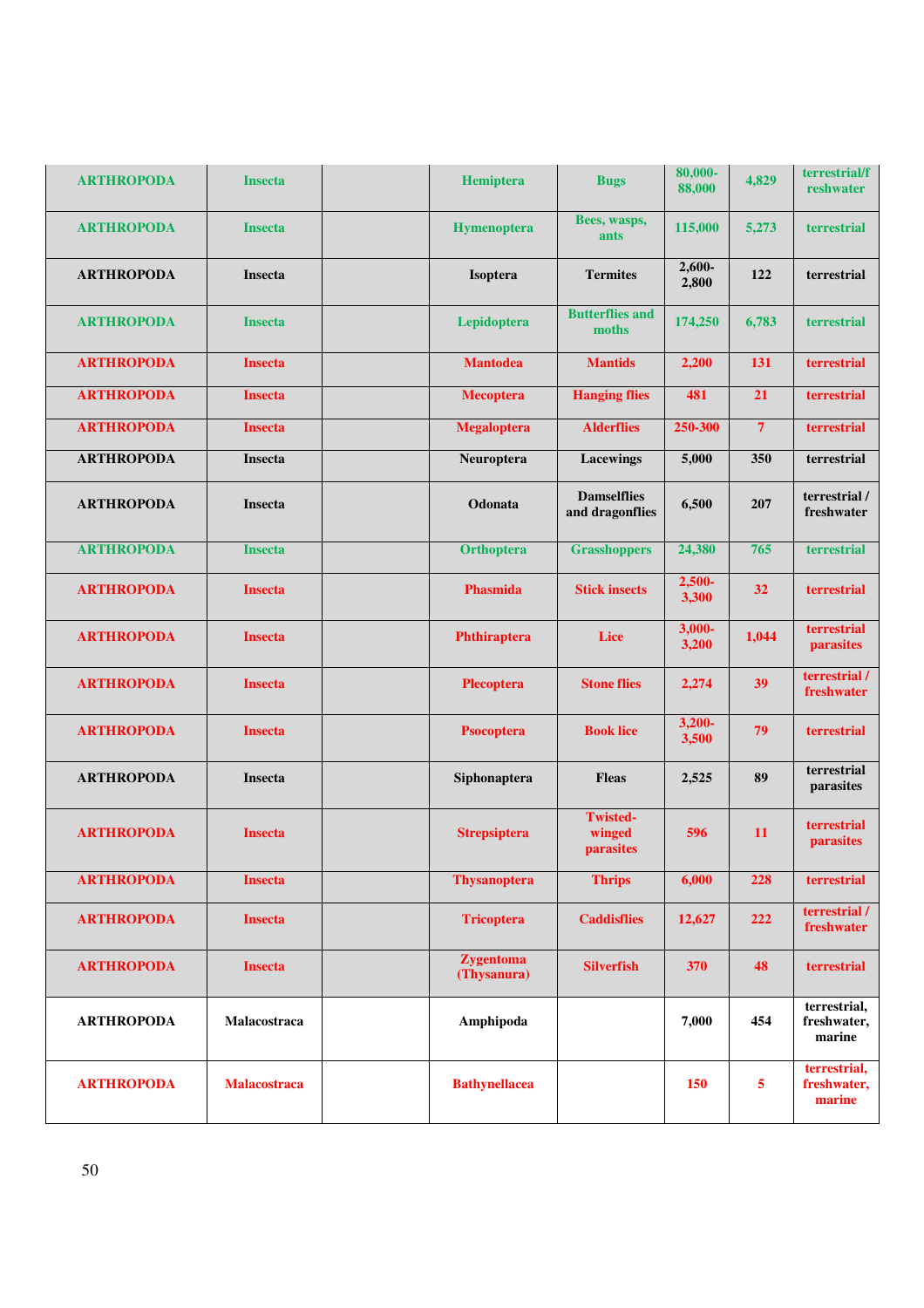| <b>ARTHROPODA</b> | <b>Insecta</b>      | Hemiptera                | <b>Bugs</b>                            | 80,000-<br>88,000  | 4,829          | terrestrial/f<br>reshwater            |
|-------------------|---------------------|--------------------------|----------------------------------------|--------------------|----------------|---------------------------------------|
| <b>ARTHROPODA</b> | <b>Insecta</b>      | <b>Hymenoptera</b>       | Bees, wasps,<br>ants                   | 115,000            | 5,273          | terrestrial                           |
| <b>ARTHROPODA</b> | <b>Insecta</b>      | <b>Isoptera</b>          | <b>Termites</b>                        | $2,600 -$<br>2,800 | 122            | terrestrial                           |
| <b>ARTHROPODA</b> | <b>Insecta</b>      | Lepidoptera              | <b>Butterflies and</b><br>moths        | 174,250            | 6,783          | <b>terrestrial</b>                    |
| <b>ARTHROPODA</b> | <b>Insecta</b>      | <b>Mantodea</b>          | <b>Mantids</b>                         | 2,200              | 131            | terrestrial                           |
| <b>ARTHROPODA</b> | <b>Insecta</b>      | <b>Mecoptera</b>         | <b>Hanging flies</b>                   | 481                | 21             | terrestrial                           |
| <b>ARTHROPODA</b> | <b>Insecta</b>      | <b>Megaloptera</b>       | <b>Alderflies</b>                      | 250-300            | $\overline{7}$ | terrestrial                           |
| <b>ARTHROPODA</b> | Insecta             | Neuroptera               | Lacewings                              | 5,000              | 350            | terrestrial                           |
| <b>ARTHROPODA</b> | <b>Insecta</b>      | Odonata                  | <b>Damselflies</b><br>and dragonflies  | 6,500              | 207            | terrestrial /<br>freshwater           |
| <b>ARTHROPODA</b> | <b>Insecta</b>      | <b>Orthoptera</b>        | <b>Grasshoppers</b>                    | 24,380             | 765            | terrestrial                           |
| <b>ARTHROPODA</b> | <b>Insecta</b>      | <b>Phasmida</b>          | <b>Stick insects</b>                   | $2,500-$<br>3,300  | 32             | terrestrial                           |
| <b>ARTHROPODA</b> | <b>Insecta</b>      | <b>Phthiraptera</b>      | Lice                                   | 3,000-<br>3,200    | 1,044          | terrestrial<br>parasites              |
| <b>ARTHROPODA</b> | <b>Insecta</b>      | Plecoptera               | <b>Stone flies</b>                     | 2,274              | 39             | terrestrial /<br>freshwater           |
| <b>ARTHROPODA</b> | <b>Insecta</b>      | <b>Psocoptera</b>        | <b>Book lice</b>                       | $3,200-$<br>3,500  | 79             | terrestrial                           |
| <b>ARTHROPODA</b> | <b>Insecta</b>      | Siphonaptera             | <b>Fleas</b>                           | 2,525              | 89             | terrestrial<br>parasites              |
| <b>ARTHROPODA</b> | <b>Insecta</b>      | <b>Strepsiptera</b>      | <b>Twisted-</b><br>winged<br>parasites | 596                | 11             | terrestrial<br>parasites              |
| <b>ARTHROPODA</b> | <b>Insecta</b>      | <b>Thysanoptera</b>      | <b>Thrips</b>                          | 6,000              | 228            | terrestrial                           |
| <b>ARTHROPODA</b> | <b>Insecta</b>      | <b>Tricoptera</b>        | <b>Caddisflies</b>                     | 12,627             | 222            | terrestrial/<br>freshwater            |
| <b>ARTHROPODA</b> | <b>Insecta</b>      | Zygentoma<br>(Thysanura) | <b>Silverfish</b>                      | 370                | 48             | terrestrial                           |
| <b>ARTHROPODA</b> | Malacostraca        | Amphipoda                |                                        | 7,000              | 454            | terrestrial,<br>freshwater,<br>marine |
| <b>ARTHROPODA</b> | <b>Malacostraca</b> | <b>Bathynellacea</b>     |                                        | 150                | 5              | terrestrial,<br>freshwater,<br>marine |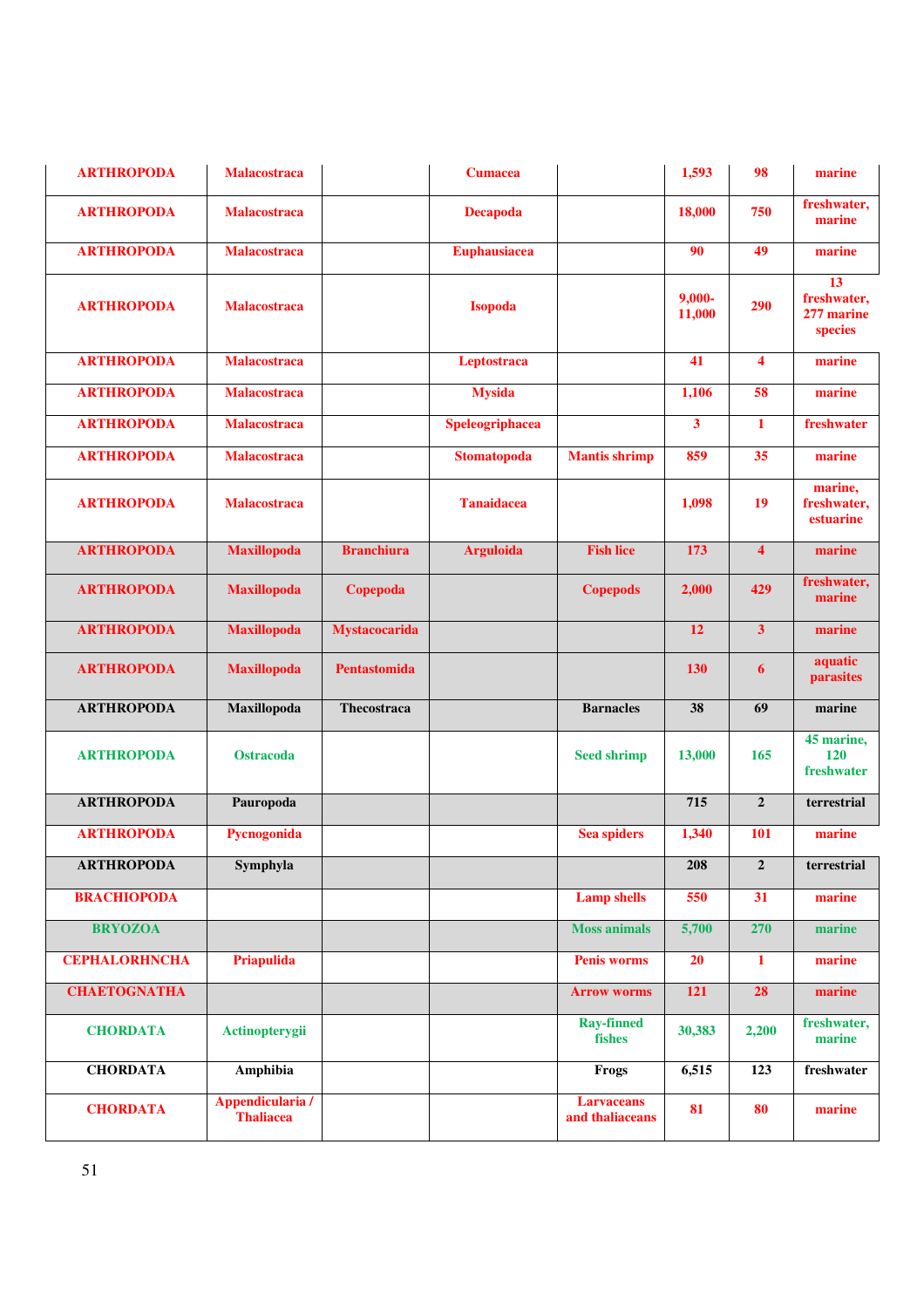| <b>ARTHROPODA</b>    | <b>Malacostraca</b> |                      | <b>Cumacea</b>      |                             | 1,593                   | 98                      | marine                                     |
|----------------------|---------------------|----------------------|---------------------|-----------------------------|-------------------------|-------------------------|--------------------------------------------|
| <b>ARTHROPODA</b>    | <b>Malacostraca</b> |                      | <b>Decapoda</b>     |                             | 18,000                  | 750                     | freshwater,<br>marine                      |
| <b>ARTHROPODA</b>    | <b>Malacostraca</b> |                      | <b>Euphausiacea</b> |                             | 90                      | 49                      | marine                                     |
| <b>ARTHROPODA</b>    | <b>Malacostraca</b> |                      | <b>Isopoda</b>      |                             | $9,000 -$<br>11,000     | 290                     | 13<br>freshwater,<br>277 marine<br>species |
| <b>ARTHROPODA</b>    | <b>Malacostraca</b> |                      | Leptostraca         |                             | 41                      | 4                       | marine                                     |
| <b>ARTHROPODA</b>    | <b>Malacostraca</b> |                      | <b>Mysida</b>       |                             | 1,106                   | 58                      | marine                                     |
| <b>ARTHROPODA</b>    | <b>Malacostraca</b> |                      | Speleogriphacea     |                             | $\overline{\mathbf{3}}$ | 1                       | freshwater                                 |
| <b>ARTHROPODA</b>    | <b>Malacostraca</b> |                      | <b>Stomatopoda</b>  | <b>Mantis shrimp</b>        | 859                     | 35                      | marine                                     |
| <b>ARTHROPODA</b>    | <b>Malacostraca</b> |                      | <b>Tanaidacea</b>   |                             | 1,098                   | 19                      | marine,<br>freshwater,<br>estuarine        |
| <b>ARTHROPODA</b>    | <b>Maxillopoda</b>  | <b>Branchiura</b>    | <b>Arguloida</b>    | <b>Fish lice</b>            | 173                     | $\overline{\mathbf{4}}$ | marine                                     |
| <b>ARTHROPODA</b>    | <b>Maxillopoda</b>  | Copepoda             |                     | <b>Copepods</b>             | 2,000                   | 429                     | freshwater,<br>marine                      |
| <b>ARTHROPODA</b>    | <b>Maxillopoda</b>  | <b>Mystacocarida</b> |                     |                             | 12                      | 3                       | marine                                     |
| <b>ARTHROPODA</b>    | <b>Maxillopoda</b>  | <b>Pentastomida</b>  |                     |                             | 130                     | 6                       | aquatic<br>parasites                       |
| <b>ARTHROPODA</b>    | Maxillopoda         | <b>Thecostraca</b>   |                     | <b>Barnacles</b>            | 38                      | 69                      | marine                                     |
|                      |                     |                      |                     |                             |                         |                         |                                            |
| <b>ARTHROPODA</b>    | <b>Ostracoda</b>    |                      |                     | <b>Seed shrimp</b>          | 13,000                  | 165                     | 45 marine,<br>120<br>freshwater            |
| <b>ARTHROPODA</b>    | Pauropoda           |                      |                     |                             | 715                     | $\overline{2}$          | terrestrial                                |
| <b>ARTHROPODA</b>    | Pycnogonida         |                      |                     | <b>Sea spiders</b>          | 1,340                   | 101                     | marine                                     |
| <b>ARTHROPODA</b>    | Symphyla            |                      |                     |                             | 208                     | $\boldsymbol{2}$        | terrestrial                                |
| <b>BRACHIOPODA</b>   |                     |                      |                     | <b>Lamp</b> shells          | 550                     | 31                      | marine                                     |
| <b>BRYOZOA</b>       |                     |                      |                     | <b>Moss animals</b>         | 5,700                   | 270                     | marine                                     |
| <b>CEPHALORHNCHA</b> | <b>Priapulida</b>   |                      |                     | <b>Penis worms</b>          | 20                      | $\mathbf{1}$            | marine                                     |
| <b>CHAETOGNATHA</b>  |                     |                      |                     | <b>Arrow worms</b>          | 121                     | 28                      | marine                                     |
| <b>CHORDATA</b>      | Actinopterygii      |                      |                     | <b>Ray-finned</b><br>fishes | 30,383                  | 2,200                   | freshwater,<br>marine                      |
| <b>CHORDATA</b>      | Amphibia            |                      |                     | Frogs                       | 6,515                   | 123                     | freshwater                                 |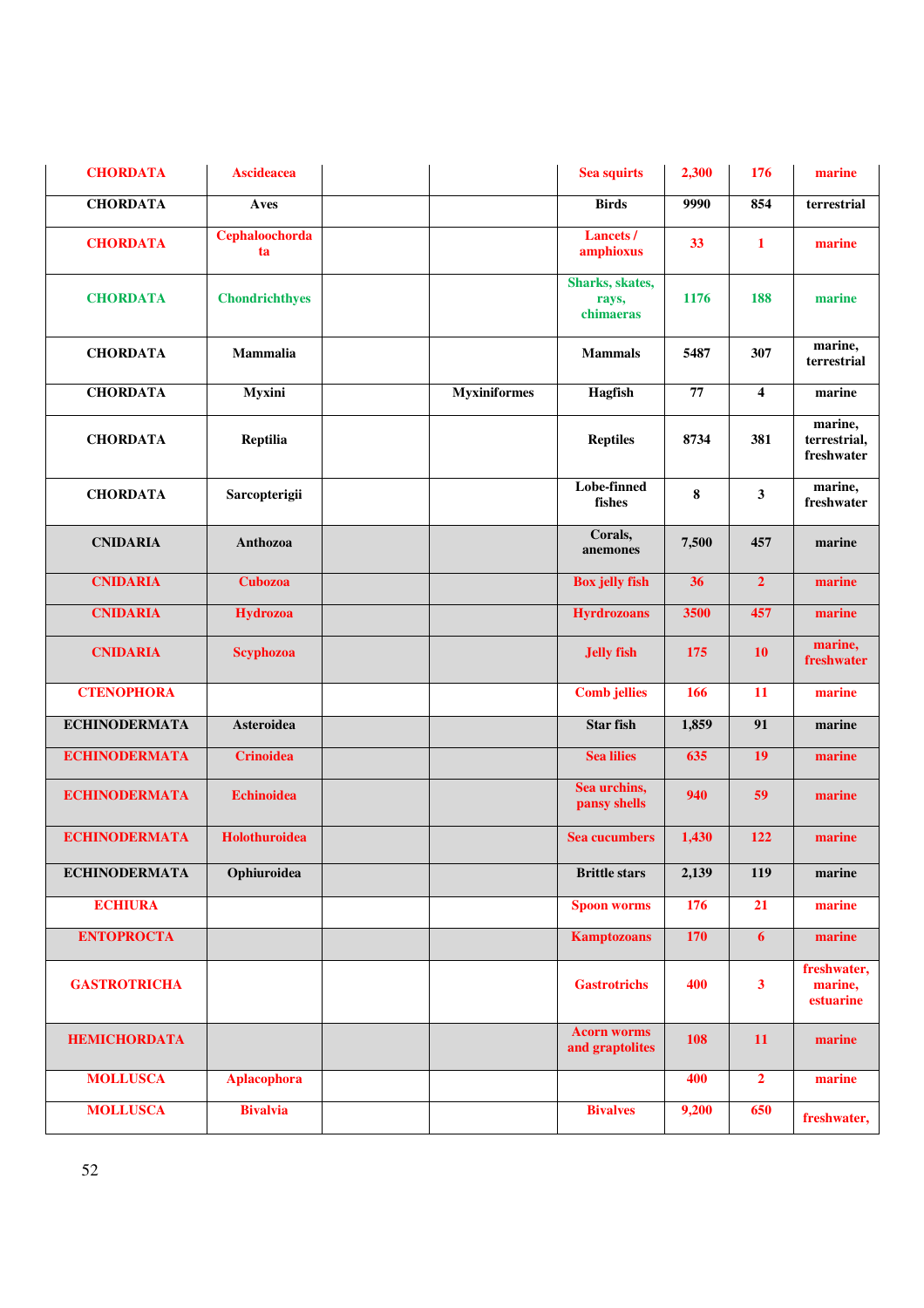| <b>CHORDATA</b>      | <b>Ascideacea</b>     |                     | <b>Sea squirts</b>                    | 2,300 | 176                     | marine                                |
|----------------------|-----------------------|---------------------|---------------------------------------|-------|-------------------------|---------------------------------------|
| <b>CHORDATA</b>      | Aves                  |                     | <b>Birds</b>                          | 9990  | 854                     | terrestrial                           |
| <b>CHORDATA</b>      | Cephaloochorda<br>ta  |                     | Lancets /<br>amphioxus                | 33    | 1                       | marine                                |
| <b>CHORDATA</b>      | <b>Chondrichthyes</b> |                     | Sharks, skates,<br>rays,<br>chimaeras | 1176  | 188                     | marine                                |
| <b>CHORDATA</b>      | <b>Mammalia</b>       |                     | <b>Mammals</b>                        | 5487  | 307                     | marine,<br>terrestrial                |
| <b>CHORDATA</b>      | <b>Myxini</b>         | <b>Myxiniformes</b> | Hagfish                               | 77    | $\overline{\mathbf{4}}$ | marine                                |
| <b>CHORDATA</b>      | Reptilia              |                     | <b>Reptiles</b>                       | 8734  | 381                     | marine,<br>terrestrial,<br>freshwater |
| <b>CHORDATA</b>      | Sarcopterigii         |                     | Lobe-finned<br>fishes                 | 8     | 3                       | marine,<br>freshwater                 |
| <b>CNIDARIA</b>      | Anthozoa              |                     | Corals,<br>anemones                   | 7,500 | 457                     | marine                                |
| <b>CNIDARIA</b>      | <b>Cubozoa</b>        |                     | <b>Box jelly fish</b>                 | 36    | $\overline{2}$          | marine                                |
| <b>CNIDARIA</b>      | <b>Hydrozoa</b>       |                     | <b>Hyrdrozoans</b>                    | 3500  | 457                     | marine                                |
| <b>CNIDARIA</b>      | <b>Scyphozoa</b>      |                     | <b>Jelly fish</b>                     | 175   | <b>10</b>               | marine,<br>freshwater                 |
| <b>CTENOPHORA</b>    |                       |                     | <b>Comb jellies</b>                   | 166   | 11                      | marine                                |
| <b>ECHINODERMATA</b> | Asteroidea            |                     | <b>Star fish</b>                      | 1,859 | 91                      | marine                                |
| <b>ECHINODERMATA</b> | <b>Crinoidea</b>      |                     | <b>Sea lilies</b>                     | 635   | 19                      | marine                                |
| <b>ECHINODERMATA</b> | <b>Echinoidea</b>     |                     | Sea urchins,<br>pansy shells          | 940   | 59                      | marine                                |
| <b>ECHINODERMATA</b> | Holothuroidea         |                     | <b>Sea cucumbers</b>                  | 1,430 | 122                     | marine                                |
| <b>ECHINODERMATA</b> | Ophiuroidea           |                     | <b>Brittle stars</b>                  | 2,139 | 119                     | marine                                |
| <b>ECHIURA</b>       |                       |                     | <b>Spoon worms</b>                    | 176   | $\overline{21}$         | marine                                |
| <b>ENTOPROCTA</b>    |                       |                     | <b>Kamptozoans</b>                    | 170   | $\boldsymbol{6}$        | marine                                |
| <b>GASTROTRICHA</b>  |                       |                     | <b>Gastrotrichs</b>                   | 400   | 3                       | freshwater,<br>marine,<br>estuarine   |
| <b>HEMICHORDATA</b>  |                       |                     | <b>Acorn worms</b><br>and graptolites | 108   | 11                      | marine                                |
| <b>MOLLUSCA</b>      | <b>Aplacophora</b>    |                     |                                       | 400   | $\overline{2}$          | marine                                |
| <b>MOLLUSCA</b>      | <b>Bivalvia</b>       |                     | <b>Bivalves</b>                       | 9,200 | 650                     | freshwater,                           |